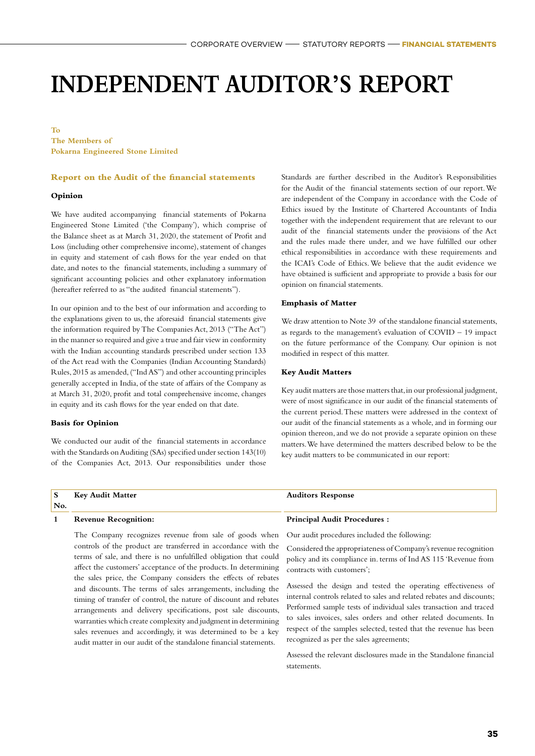### **INDEPENDENT AUDITOR'S REPORT**

**To The Members of Pokarna Engineered Stone Limited**

#### **Report on the Audit of the financial statements**

#### **Opinion**

We have audited accompanying financial statements of Pokarna Engineered Stone Limited ('the Company'), which comprise of the Balance sheet as at March 31, 2020, the statement of Profit and Loss (including other comprehensive income), statement of changes in equity and statement of cash flows for the year ended on that date, and notes to the financial statements, including a summary of significant accounting policies and other explanatory information (hereafter referred to as "the audited financial statements").

In our opinion and to the best of our information and according to the explanations given to us, the aforesaid financial statements give the information required by The Companies Act, 2013 ("The Act") in the manner so required and give a true and fair view in conformity with the Indian accounting standards prescribed under section 133 of the Act read with the Companies (Indian Accounting Standards) Rules, 2015 as amended, ("Ind AS") and other accounting principles generally accepted in India, of the state of affairs of the Company as at March 31, 2020, profit and total comprehensive income, changes in equity and its cash flows for the year ended on that date.

#### **Basis for Opinion**

We conducted our audit of the financial statements in accordance with the Standards on Auditing (SAs) specified under section 143(10) of the Companies Act, 2013. Our responsibilities under those Standards are further described in the Auditor's Responsibilities for the Audit of the financial statements section of our report. We are independent of the Company in accordance with the Code of Ethics issued by the Institute of Chartered Accountants of India together with the independent requirement that are relevant to our audit of the financial statements under the provisions of the Act and the rules made there under, and we have fulfilled our other ethical responsibilities in accordance with these requirements and the ICAI's Code of Ethics. We believe that the audit evidence we have obtained is sufficient and appropriate to provide a basis for our opinion on financial statements.

#### **Emphasis of Matter**

We draw attention to Note 39 of the standalone financial statements, as regards to the management's evaluation of  $COVID - 19$  impact on the future performance of the Company. Our opinion is not modified in respect of this matter.

#### **Key Audit Matters**

Key audit matters are those matters that, in our professional judgment, were of most significance in our audit of the financial statements of the current period. These matters were addressed in the context of our audit of the financial statements as a whole, and in forming our opinion thereon, and we do not provide a separate opinion on these matters. We have determined the matters described below to be the key audit matters to be communicated in our report:

| No. | <b>Key Audit Matter</b>                                                                                                                                                                                                                                                                                                                                                        | <b>Auditors Response</b>                                                                                                                                         |
|-----|--------------------------------------------------------------------------------------------------------------------------------------------------------------------------------------------------------------------------------------------------------------------------------------------------------------------------------------------------------------------------------|------------------------------------------------------------------------------------------------------------------------------------------------------------------|
|     | <b>Revenue Recognition:</b>                                                                                                                                                                                                                                                                                                                                                    | <b>Principal Audit Procedures:</b>                                                                                                                               |
|     | The Company recognizes revenue from sale of goods when Our audit procedures included the following:<br>controls of the product are transferred in accordance with the<br>terms of sale, and there is no unfulfilled obligation that could<br>affect the customers' acceptance of the products. In determining<br>the sales price, the Company considers the effects of rebates | Considered the appropriateness of Company's revenue recognition<br>policy and its compliance in. terms of Ind AS 115 'Revenue from<br>contracts with customers'; |

Assessed the design and tested the operating effectiveness of internal controls related to sales and related rebates and discounts; Performed sample tests of individual sales transaction and traced to sales invoices, sales orders and other related documents. In respect of the samples selected, tested that the revenue has been recognized as per the sales agreements;

Assessed the relevant disclosures made in the Standalone financial statements.

and discounts. The terms of sales arrangements, including the timing of transfer of control, the nature of discount and rebates arrangements and delivery specifications, post sale discounts, warranties which create complexity and judgment in determining sales revenues and accordingly, it was determined to be a key audit matter in our audit of the standalone financial statements.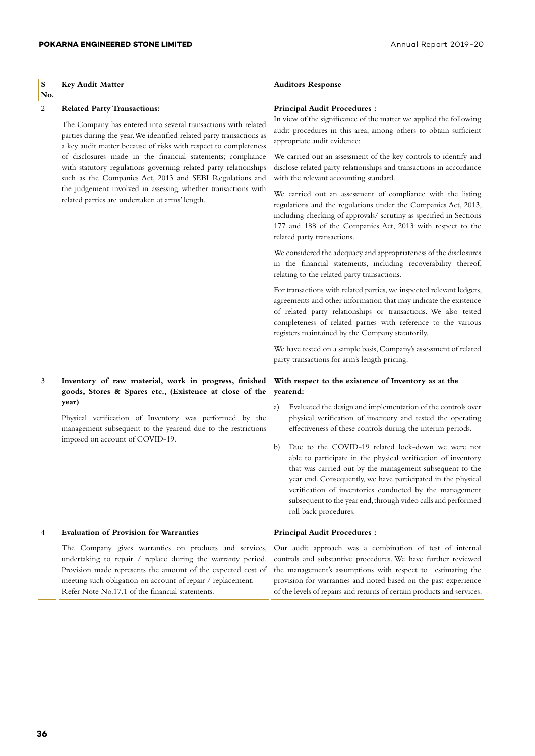#### POKARNA ENGINEERED STONE LIMITED **Annual Report 2019-20** ---

| ${\bf S}$<br>No. | <b>Key Audit Matter</b>                                                                                                                                                                                                                              | <b>Auditors Response</b>                                                                                                                                                                                                                                                                                                                                                                                  |
|------------------|------------------------------------------------------------------------------------------------------------------------------------------------------------------------------------------------------------------------------------------------------|-----------------------------------------------------------------------------------------------------------------------------------------------------------------------------------------------------------------------------------------------------------------------------------------------------------------------------------------------------------------------------------------------------------|
| 2                | <b>Related Party Transactions:</b><br>The Company has entered into several transactions with related<br>parties during the year. We identified related party transactions as<br>a key audit matter because of risks with respect to completeness     | <b>Principal Audit Procedures:</b><br>In view of the significance of the matter we applied the following<br>audit procedures in this area, among others to obtain sufficient<br>appropriate audit evidence:                                                                                                                                                                                               |
|                  | of disclosures made in the financial statements; compliance<br>with statutory regulations governing related party relationships<br>such as the Companies Act, 2013 and SEBI Regulations and                                                          | We carried out an assessment of the key controls to identify and<br>disclose related party relationships and transactions in accordance<br>with the relevant accounting standard.                                                                                                                                                                                                                         |
|                  | the judgement involved in assessing whether transactions with<br>related parties are undertaken at arms' length.                                                                                                                                     | We carried out an assessment of compliance with the listing<br>regulations and the regulations under the Companies Act, 2013,<br>including checking of approvals/ scrutiny as specified in Sections<br>177 and 188 of the Companies Act, 2013 with respect to the<br>related party transactions.                                                                                                          |
|                  |                                                                                                                                                                                                                                                      | We considered the adequacy and appropriateness of the disclosures<br>in the financial statements, including recoverability thereof,<br>relating to the related party transactions.                                                                                                                                                                                                                        |
|                  |                                                                                                                                                                                                                                                      | For transactions with related parties, we inspected relevant ledgers,<br>agreements and other information that may indicate the existence<br>of related party relationships or transactions. We also tested<br>completeness of related parties with reference to the various<br>registers maintained by the Company statutorily.                                                                          |
|                  |                                                                                                                                                                                                                                                      | We have tested on a sample basis, Company's assessment of related<br>party transactions for arm's length pricing.                                                                                                                                                                                                                                                                                         |
| 3                | Inventory of raw material, work in progress, finished<br>goods, Stores & Spares etc., (Existence at close of the                                                                                                                                     | With respect to the existence of Inventory as at the<br>yearend:                                                                                                                                                                                                                                                                                                                                          |
|                  | year)<br>Physical verification of Inventory was performed by the<br>management subsequent to the yearend due to the restrictions                                                                                                                     | Evaluated the design and implementation of the controls over<br>a)<br>physical verification of inventory and tested the operating<br>effectiveness of these controls during the interim periods.                                                                                                                                                                                                          |
|                  | imposed on account of COVID-19.                                                                                                                                                                                                                      | Due to the COVID-19 related lock-down we were not<br>b)<br>able to participate in the physical verification of inventory<br>that was carried out by the management subsequent to the<br>year end. Consequently, we have participated in the physical<br>verification of inventories conducted by the management<br>subsequent to the year end, through video calls and performed<br>roll back procedures. |
| 4                | <b>Evaluation of Provision for Warranties</b>                                                                                                                                                                                                        | <b>Principal Audit Procedures:</b>                                                                                                                                                                                                                                                                                                                                                                        |
|                  | The Company gives warranties on products and services,<br>undertaking to repair / replace during the warranty period.<br>Provision made represents the amount of the expected cost of<br>meeting such obligation on account of repair / replacement. | Our audit approach was a combination of test of internal<br>controls and substantive procedures. We have further reviewed<br>the management's assumptions with respect to estimating the<br>provision for warranties and noted based on the past experience                                                                                                                                               |

Refer Note No.17.1 of the financial statements.

of the levels of repairs and returns of certain products and services.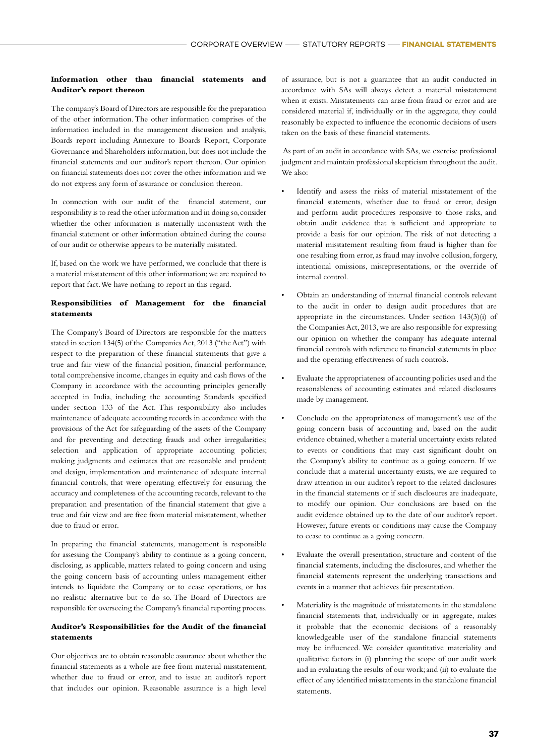#### **Information other than financial statements and Auditor's report thereon**

The company's Board of Directors are responsible for the preparation of the other information. The other information comprises of the information included in the management discussion and analysis, Boards report including Annexure to Boards Report, Corporate Governance and Shareholders information, but does not include the financial statements and our auditor's report thereon. Our opinion on financial statements does not cover the other information and we do not express any form of assurance or conclusion thereon.

In connection with our audit of the financial statement, our responsibility is to read the other information and in doing so, consider whether the other information is materially inconsistent with the financial statement or other information obtained during the course of our audit or otherwise appears to be materially misstated.

If, based on the work we have performed, we conclude that there is a material misstatement of this other information; we are required to report that fact. We have nothing to report in this regard.

#### **Responsibilities of Management for the financial statements**

The Company's Board of Directors are responsible for the matters stated in section 134(5) of the Companies Act, 2013 ("the Act") with respect to the preparation of these financial statements that give a true and fair view of the financial position, financial performance, total comprehensive income, changes in equity and cash flows of the Company in accordance with the accounting principles generally accepted in India, including the accounting Standards specified under section 133 of the Act. This responsibility also includes maintenance of adequate accounting records in accordance with the provisions of the Act for safeguarding of the assets of the Company and for preventing and detecting frauds and other irregularities; selection and application of appropriate accounting policies; making judgments and estimates that are reasonable and prudent; and design, implementation and maintenance of adequate internal financial controls, that were operating effectively for ensuring the accuracy and completeness of the accounting records, relevant to the preparation and presentation of the financial statement that give a true and fair view and are free from material misstatement, whether due to fraud or error.

In preparing the financial statements, management is responsible for assessing the Company's ability to continue as a going concern, disclosing, as applicable, matters related to going concern and using the going concern basis of accounting unless management either intends to liquidate the Company or to cease operations, or has no realistic alternative but to do so. The Board of Directors are responsible for overseeing the Company's financial reporting process.

#### **Auditor's Responsibilities for the Audit of the financial statements**

Our objectives are to obtain reasonable assurance about whether the financial statements as a whole are free from material misstatement, whether due to fraud or error, and to issue an auditor's report that includes our opinion. Reasonable assurance is a high level of assurance, but is not a guarantee that an audit conducted in accordance with SAs will always detect a material misstatement when it exists. Misstatements can arise from fraud or error and are considered material if, individually or in the aggregate, they could reasonably be expected to influence the economic decisions of users taken on the basis of these financial statements.

 As part of an audit in accordance with SAs, we exercise professional judgment and maintain professional skepticism throughout the audit. We also:

- Identify and assess the risks of material misstatement of the financial statements, whether due to fraud or error, design and perform audit procedures responsive to those risks, and obtain audit evidence that is sufficient and appropriate to provide a basis for our opinion. The risk of not detecting a material misstatement resulting from fraud is higher than for one resulting from error, as fraud may involve collusion, forgery, intentional omissions, misrepresentations, or the override of internal control.
- Obtain an understanding of internal financial controls relevant to the audit in order to design audit procedures that are appropriate in the circumstances. Under section 143(3)(i) of the Companies Act, 2013, we are also responsible for expressing our opinion on whether the company has adequate internal financial controls with reference to financial statements in place and the operating effectiveness of such controls.
- Evaluate the appropriateness of accounting policies used and the reasonableness of accounting estimates and related disclosures made by management.
- Conclude on the appropriateness of management's use of the going concern basis of accounting and, based on the audit evidence obtained, whether a material uncertainty exists related to events or conditions that may cast significant doubt on the Company's ability to continue as a going concern. If we conclude that a material uncertainty exists, we are required to draw attention in our auditor's report to the related disclosures in the financial statements or if such disclosures are inadequate, to modify our opinion. Our conclusions are based on the audit evidence obtained up to the date of our auditor's report. However, future events or conditions may cause the Company to cease to continue as a going concern.
- Evaluate the overall presentation, structure and content of the financial statements, including the disclosures, and whether the financial statements represent the underlying transactions and events in a manner that achieves fair presentation.
- Materiality is the magnitude of misstatements in the standalone financial statements that, individually or in aggregate, makes it probable that the economic decisions of a reasonably knowledgeable user of the standalone financial statements may be influenced. We consider quantitative materiality and qualitative factors in (i) planning the scope of our audit work and in evaluating the results of our work; and (ii) to evaluate the effect of any identified misstatements in the standalone financial statements.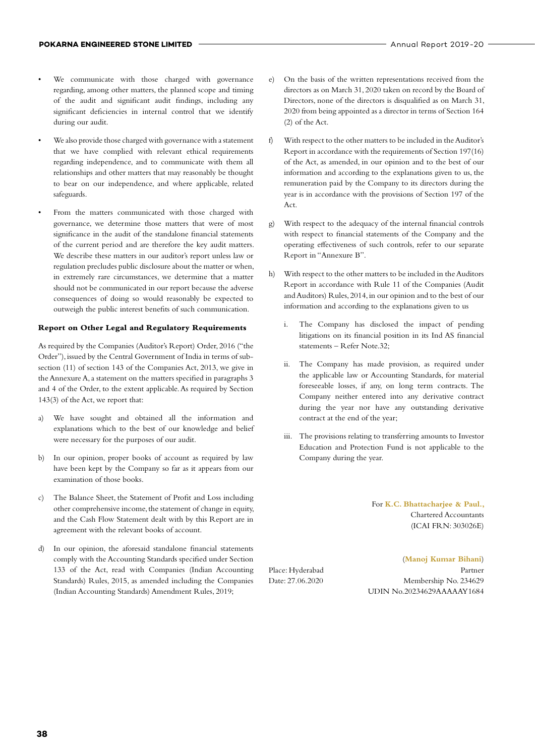- We communicate with those charged with governance regarding, among other matters, the planned scope and timing of the audit and significant audit findings, including any significant deficiencies in internal control that we identify during our audit.
- We also provide those charged with governance with a statement that we have complied with relevant ethical requirements regarding independence, and to communicate with them all relationships and other matters that may reasonably be thought to bear on our independence, and where applicable, related safeguards.
- From the matters communicated with those charged with governance, we determine those matters that were of most significance in the audit of the standalone financial statements of the current period and are therefore the key audit matters. We describe these matters in our auditor's report unless law or regulation precludes public disclosure about the matter or when, in extremely rare circumstances, we determine that a matter should not be communicated in our report because the adverse consequences of doing so would reasonably be expected to outweigh the public interest benefits of such communication.

#### **Report on Other Legal and Regulatory Requirements**

As required by the Companies (Auditor's Report) Order, 2016 ("the Order"), issued by the Central Government of India in terms of subsection (11) of section 143 of the Companies Act, 2013, we give in the Annexure A, a statement on the matters specified in paragraphs 3 and 4 of the Order, to the extent applicable. As required by Section 143(3) of the Act, we report that:

- a) We have sought and obtained all the information and explanations which to the best of our knowledge and belief were necessary for the purposes of our audit.
- b) In our opinion, proper books of account as required by law have been kept by the Company so far as it appears from our examination of those books.
- c) The Balance Sheet, the Statement of Profit and Loss including other comprehensive income, the statement of change in equity, and the Cash Flow Statement dealt with by this Report are in agreement with the relevant books of account.
- d) In our opinion, the aforesaid standalone financial statements comply with the Accounting Standards specified under Section 133 of the Act, read with Companies (Indian Accounting Standards) Rules, 2015, as amended including the Companies (Indian Accounting Standards) Amendment Rules, 2019;
- e) On the basis of the written representations received from the directors as on March 31, 2020 taken on record by the Board of Directors, none of the directors is disqualified as on March 31, 2020 from being appointed as a director in terms of Section 164 (2) of the Act.
- f) With respect to the other matters to be included in the Auditor's Report in accordance with the requirements of Section 197(16) of the Act, as amended, in our opinion and to the best of our information and according to the explanations given to us, the remuneration paid by the Company to its directors during the year is in accordance with the provisions of Section 197 of the Act.
- g) With respect to the adequacy of the internal financial controls with respect to financial statements of the Company and the operating effectiveness of such controls, refer to our separate Report in "Annexure B".
- h) With respect to the other matters to be included in the Auditors Report in accordance with Rule 11 of the Companies (Audit and Auditors) Rules, 2014, in our opinion and to the best of our information and according to the explanations given to us
	- i. The Company has disclosed the impact of pending litigations on its financial position in its Ind AS financial statements – Refer Note.32;
	- ii. The Company has made provision, as required under the applicable law or Accounting Standards, for material foreseeable losses, if any, on long term contracts. The Company neither entered into any derivative contract during the year nor have any outstanding derivative contract at the end of the year;
	- iii. The provisions relating to transferring amounts to Investor Education and Protection Fund is not applicable to the Company during the year.

For **K.C. Bhattacharjee & Paul.,**  Chartered Accountants (ICAI FRN: 303026E)

(**Manoj Kumar Bihani**) Place: Hyderabad Partner Date: 27.06.2020 Membership No. 234629 UDIN No.20234629AAAAAY1684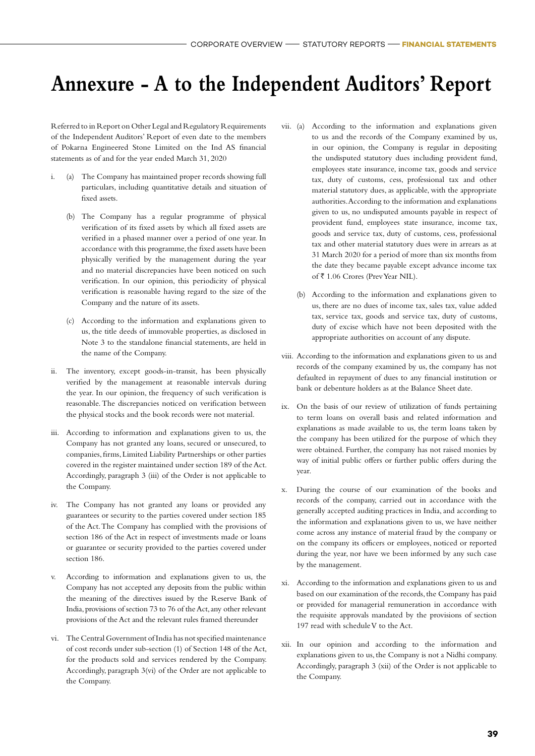### **Annexure - A to the Independent Auditors' Report**

Referred to in Report on Other Legal and Regulatory Requirements of the Independent Auditors' Report of even date to the members of Pokarna Engineered Stone Limited on the Ind AS financial statements as of and for the year ended March 31, 2020

- i. (a) The Company has maintained proper records showing full particulars, including quantitative details and situation of fixed assets.
	- (b) The Company has a regular programme of physical verification of its fixed assets by which all fixed assets are verified in a phased manner over a period of one year. In accordance with this programme, the fixed assets have been physically verified by the management during the year and no material discrepancies have been noticed on such verification. In our opinion, this periodicity of physical verification is reasonable having regard to the size of the Company and the nature of its assets.
	- (c) According to the information and explanations given to us, the title deeds of immovable properties, as disclosed in Note 3 to the standalone financial statements, are held in the name of the Company.
- ii. The inventory, except goods-in-transit, has been physically verified by the management at reasonable intervals during the year. In our opinion, the frequency of such verification is reasonable. The discrepancies noticed on verification between the physical stocks and the book records were not material.
- iii. According to information and explanations given to us, the Company has not granted any loans, secured or unsecured, to companies, firms, Limited Liability Partnerships or other parties covered in the register maintained under section 189 of the Act. Accordingly, paragraph 3 (iii) of the Order is not applicable to the Company.
- iv. The Company has not granted any loans or provided any guarantees or security to the parties covered under section 185 of the Act. The Company has complied with the provisions of section 186 of the Act in respect of investments made or loans or guarantee or security provided to the parties covered under section 186.
- v. According to information and explanations given to us, the Company has not accepted any deposits from the public within the meaning of the directives issued by the Reserve Bank of India, provisions of section 73 to 76 of the Act, any other relevant provisions of the Act and the relevant rules framed thereunder
- vi. The Central Government of India has not specified maintenance of cost records under sub-section (1) of Section 148 of the Act, for the products sold and services rendered by the Company. Accordingly, paragraph 3(vi) of the Order are not applicable to the Company.
- vii. (a) According to the information and explanations given to us and the records of the Company examined by us, in our opinion, the Company is regular in depositing the undisputed statutory dues including provident fund, employees state insurance, income tax, goods and service tax, duty of customs, cess, professional tax and other material statutory dues, as applicable, with the appropriate authorities. According to the information and explanations given to us, no undisputed amounts payable in respect of provident fund, employees state insurance, income tax, goods and service tax, duty of customs, cess, professional tax and other material statutory dues were in arrears as at 31 March 2020 for a period of more than six months from the date they became payable except advance income tax of ₹ 1.06 Crores (Prev Year NIL).
	- (b) According to the information and explanations given to us, there are no dues of income tax, sales tax, value added tax, service tax, goods and service tax, duty of customs, duty of excise which have not been deposited with the appropriate authorities on account of any dispute.
- viii. According to the information and explanations given to us and records of the company examined by us, the company has not defaulted in repayment of dues to any financial institution or bank or debenture holders as at the Balance Sheet date.
- ix. On the basis of our review of utilization of funds pertaining to term loans on overall basis and related information and explanations as made available to us, the term loans taken by the company has been utilized for the purpose of which they were obtained. Further, the company has not raised monies by way of initial public offers or further public offers during the year.
- x. During the course of our examination of the books and records of the company, carried out in accordance with the generally accepted auditing practices in India, and according to the information and explanations given to us, we have neither come across any instance of material fraud by the company or on the company its officers or employees, noticed or reported during the year, nor have we been informed by any such case by the management.
- xi. According to the information and explanations given to us and based on our examination of the records, the Company has paid or provided for managerial remuneration in accordance with the requisite approvals mandated by the provisions of section 197 read with schedule V to the Act.
- xii. In our opinion and according to the information and explanations given to us, the Company is not a Nidhi company. Accordingly, paragraph 3 (xii) of the Order is not applicable to the Company.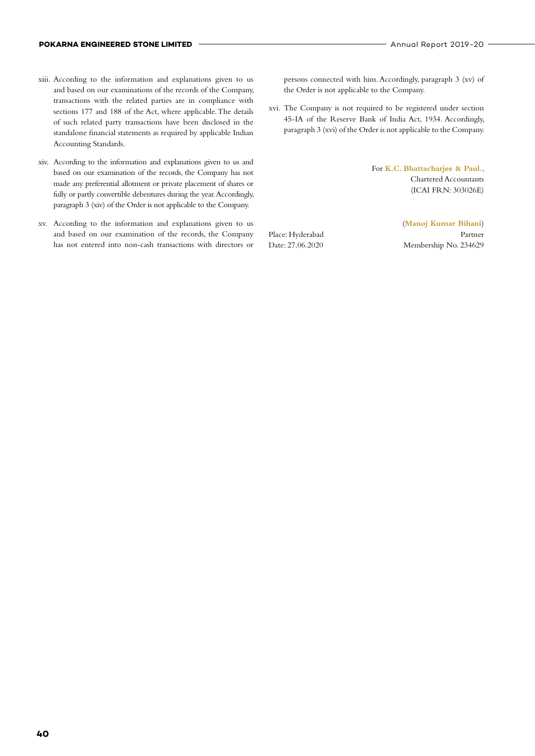- xiii. According to the information and explanations given to us and based on our examinations of the records of the Company, transactions with the related parties are in compliance with sections 177 and 188 of the Act, where applicable. The details of such related party transactions have been disclosed in the standalone financial statements as required by applicable Indian Accounting Standards.
- xiv. According to the information and explanations given to us and based on our examination of the records, the Company has not made any preferential allotment or private placement of shares or fully or partly convertible debentures during the year. Accordingly, paragraph 3 (xiv) of the Order is not applicable to the Company.
- xv. According to the information and explanations given to us and based on our examination of the records, the Company has not entered into non-cash transactions with directors or

persons connected with him. Accordingly, paragraph 3 (xv) of the Order is not applicable to the Company.

xvi. The Company is not required to be registered under section 45-IA of the Reserve Bank of India Act, 1934. Accordingly, paragraph 3 (xvi) of the Order is not applicable to the Company.

> For **K.C. Bhattacharjee & Paul.,**  Chartered Accountants (ICAI FRN: 303026E)

(**Manoj Kumar Bihani**) Place: Hyderabad Partner Date: 27.06.2020 Membership No. 234629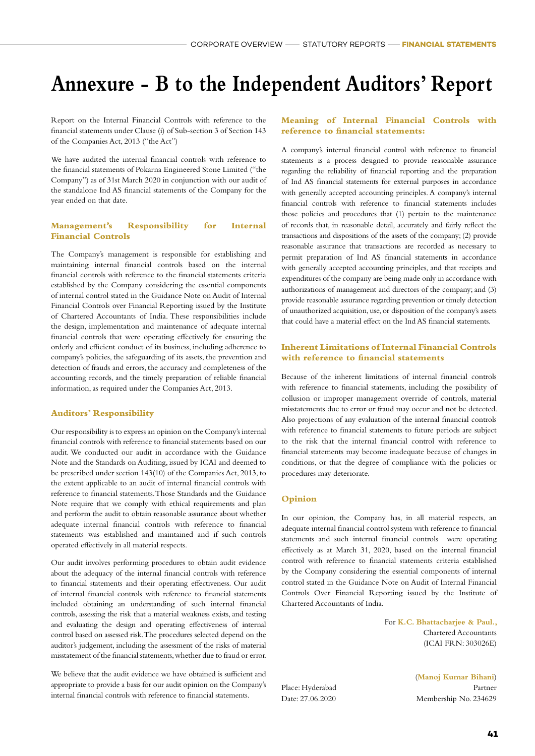### **Annexure - B to the Independent Auditors' Report**

Report on the Internal Financial Controls with reference to the financial statements under Clause (i) of Sub-section 3 of Section 143 of the Companies Act, 2013 ("the Act")

We have audited the internal financial controls with reference to the financial statements of Pokarna Engineered Stone Limited ("the Company") as of 31st March 2020 in conjunction with our audit of the standalone Ind AS financial statements of the Company for the year ended on that date.

#### **Management's Responsibility for Internal Financial Controls**

The Company's management is responsible for establishing and maintaining internal financial controls based on the internal financial controls with reference to the financial statements criteria established by the Company considering the essential components of internal control stated in the Guidance Note on Audit of Internal Financial Controls over Financial Reporting issued by the Institute of Chartered Accountants of India. These responsibilities include the design, implementation and maintenance of adequate internal financial controls that were operating effectively for ensuring the orderly and efficient conduct of its business, including adherence to company's policies, the safeguarding of its assets, the prevention and detection of frauds and errors, the accuracy and completeness of the accounting records, and the timely preparation of reliable financial information, as required under the Companies Act, 2013.

#### **Auditors' Responsibility**

Our responsibility is to express an opinion on the Company's internal financial controls with reference to financial statements based on our audit. We conducted our audit in accordance with the Guidance Note and the Standards on Auditing, issued by ICAI and deemed to be prescribed under section 143(10) of the Companies Act, 2013, to the extent applicable to an audit of internal financial controls with reference to financial statements. Those Standards and the Guidance Note require that we comply with ethical requirements and plan and perform the audit to obtain reasonable assurance about whether adequate internal financial controls with reference to financial statements was established and maintained and if such controls operated effectively in all material respects.

Our audit involves performing procedures to obtain audit evidence about the adequacy of the internal financial controls with reference to financial statements and their operating effectiveness. Our audit of internal financial controls with reference to financial statements included obtaining an understanding of such internal financial controls, assessing the risk that a material weakness exists, and testing and evaluating the design and operating effectiveness of internal control based on assessed risk. The procedures selected depend on the auditor's judgement, including the assessment of the risks of material misstatement of the financial statements, whether due to fraud or error.

We believe that the audit evidence we have obtained is sufficient and appropriate to provide a basis for our audit opinion on the Company's internal financial controls with reference to financial statements.

#### **Meaning of Internal Financial Controls with reference to financial statements:**

A company's internal financial control with reference to financial statements is a process designed to provide reasonable assurance regarding the reliability of financial reporting and the preparation of Ind AS financial statements for external purposes in accordance with generally accepted accounting principles. A company's internal financial controls with reference to financial statements includes those policies and procedures that (1) pertain to the maintenance of records that, in reasonable detail, accurately and fairly reflect the transactions and dispositions of the assets of the company; (2) provide reasonable assurance that transactions are recorded as necessary to permit preparation of Ind AS financial statements in accordance with generally accepted accounting principles, and that receipts and expenditures of the company are being made only in accordance with authorizations of management and directors of the company; and (3) provide reasonable assurance regarding prevention or timely detection of unauthorized acquisition, use, or disposition of the company's assets that could have a material effect on the Ind AS financial statements.

#### **Inherent Limitations of Internal Financial Controls with reference to financial statements**

Because of the inherent limitations of internal financial controls with reference to financial statements, including the possibility of collusion or improper management override of controls, material misstatements due to error or fraud may occur and not be detected. Also projections of any evaluation of the internal financial controls with reference to financial statements to future periods are subject to the risk that the internal financial control with reference to financial statements may become inadequate because of changes in conditions, or that the degree of compliance with the policies or procedures may deteriorate.

#### **Opinion**

In our opinion, the Company has, in all material respects, an adequate internal financial control system with reference to financial statements and such internal financial controls were operating effectively as at March 31, 2020, based on the internal financial control with reference to financial statements criteria established by the Company considering the essential components of internal control stated in the Guidance Note on Audit of Internal Financial Controls Over Financial Reporting issued by the Institute of Chartered Accountants of India.

> For **K.C. Bhattacharjee & Paul.,**  Chartered Accountants (ICAI FRN: 303026E)

(**Manoj Kumar Bihani**)

Place: Hyderabad Partner Date: 27.06.2020 Membership No. 234629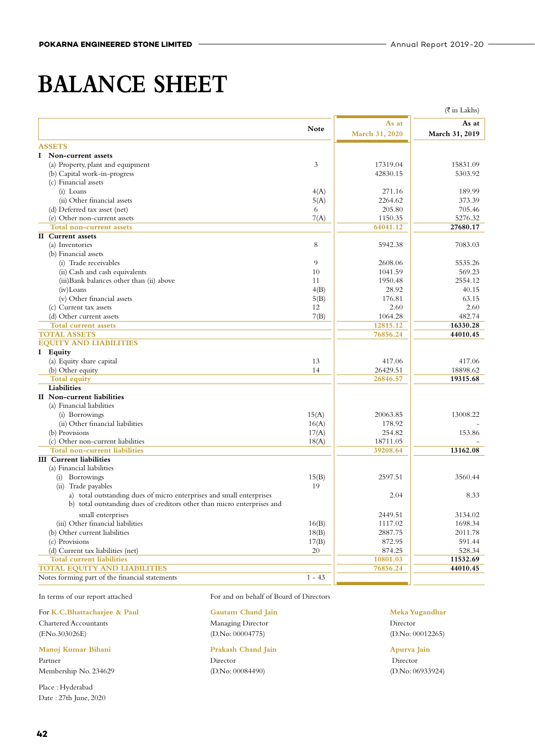### **BALANCE SHEET**

|                                                                         |             |                | $(\overline{\tau}$ in Lakhs) |
|-------------------------------------------------------------------------|-------------|----------------|------------------------------|
|                                                                         |             | As at          | As at                        |
|                                                                         | <b>Note</b> | March 31, 2020 | March 31, 2019               |
| <b>ASSETS</b>                                                           |             |                |                              |
| I Non-current assets                                                    |             |                |                              |
| (a) Property, plant and equipment                                       | 3           | 17319.04       | 15831.09                     |
| (b) Capital work-in-progress                                            |             | 42830.15       | 5303.92                      |
| (c) Financial assets                                                    |             |                |                              |
| (i) Loans                                                               | 4(A)        | 271.16         | 189.99                       |
| (ii) Other financial assets                                             | 5(A)        | 2264.62        | 373.39                       |
| (d) Deferred tax asset (net)                                            | 6           | 205.80         | 705.46                       |
| (e) Other non-current assets                                            | 7(A)        | 1150.35        | 5276.32                      |
| Total non-current assets                                                |             | 64041.12       | 27680.17                     |
| <b>II</b> Current assets                                                |             |                |                              |
| (a) Inventories                                                         | 8           | 5942.38        | 7083.03                      |
| (b) Financial assets                                                    |             |                |                              |
| (i) Trade receivables                                                   | 9           | 2608.06        | 5535.26                      |
| (ii) Cash and cash equivalents                                          | 10          | 1041.59        | 569.23                       |
| (iii) Bank balances other than (ii) above                               | 11          | 1950.48        | 2554.12                      |
| $(iv)$ Loans                                                            | 4(B)        | 28.92          | 40.15                        |
| (v) Other financial assets                                              | 5(B)        | 176.81         | 63.15                        |
| (c) Current tax assets                                                  | 12          | 2.60           | 2.60                         |
| (d) Other current assets                                                | 7(B)        | 1064.28        | 482.74                       |
| <b>Total current assets</b>                                             |             | 12815.12       | 16330.28                     |
| <b>TOTAL ASSETS</b>                                                     |             | 76856.24       | 44010.45                     |
| <b>EQUITY AND LIABILITIES</b>                                           |             |                |                              |
| I Equity                                                                |             |                |                              |
| (a) Equity share capital                                                | 13          | 417.06         | 417.06                       |
| (b) Other equity                                                        | 14          | 26429.51       | 18898.62                     |
| <b>Total equity</b>                                                     |             | 26846.57       | 19315.68                     |
| Liabilities                                                             |             |                |                              |
| II Non-current liabilities                                              |             |                |                              |
| (a) Financial liabilities                                               |             |                |                              |
| (i) Borrowings                                                          | 15(A)       | 20063.85       | 13008.22                     |
| (ii) Other financial liabilities                                        | 16(A)       | 178.92         |                              |
| (b) Provisions                                                          | 17(A)       | 254.82         | 153.86                       |
| (c) Other non-current liabilities                                       | 18(A)       | 18711.05       |                              |
| Total non-current liabilities                                           |             | 39208.64       | 13162.08                     |
| <b>III</b> Current liabilities                                          |             |                |                              |
| (a) Financial liabilities                                               |             |                |                              |
| (i) Borrowings                                                          | 15(B)       | 2597.51        | 3560.44                      |
| (ii) Trade payables                                                     | 19          |                |                              |
| a) total outstanding dues of micro enterprises and small enterprises    |             | 2.04           | 8.33                         |
| b) total outstanding dues of creditors other than micro enterprises and |             |                |                              |
| small enterprises                                                       |             | 2449.51        | 3134.02                      |
| (iii) Other financial liabilities                                       | 16(B)       | 1117.02        | 1698.34                      |
| (b) Other current liabilities                                           | 18(B)       | 2887.75        | 2011.78                      |
| (c) Provisions                                                          | 17(B)       | 872.95         | 591.44                       |
| (d) Current tax liabilities (net)                                       | 20          | 874.25         | 528.34                       |
| <b>Total current liabilities</b>                                        |             | 10801.03       | 11532.69                     |
| <b>TOTAL EQUITY AND LIABILITIES</b>                                     |             | 76856.24       | 44010.45                     |
| Notes forming part of the financial statements                          | $1 - 43$    |                |                              |

For **K.C.Bhattacharjee & Paul Gautam Chand Jain Meka Yugandhar** Chartered Accountants Managing Director Director (F.No.303026E) (D.No: 00004775) (D.No: 00012265)

**Manoj Kumar Bihani Prakash Chand Jain Apurva Jain**

Membership No. 234629 (D.No: 00084490) (D.No: 06933924)

Place : Hyderabad Date : 27th June, 2020

In terms of our report attached For and on behalf of Board of Directors

### Partner Director Director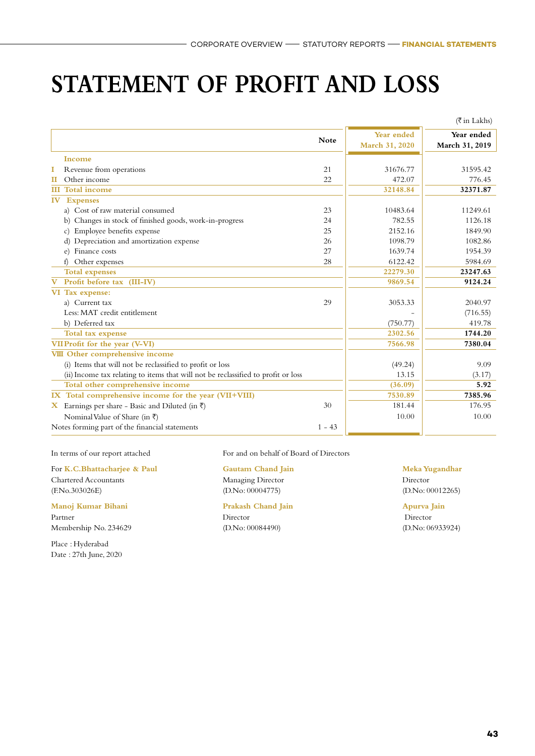### **STATEMENT OF PROFIT AND LOSS**

|                                                                                   |             |                              | $(\overline{\xi}$ in Lakhs)  |
|-----------------------------------------------------------------------------------|-------------|------------------------------|------------------------------|
|                                                                                   | <b>Note</b> | Year ended<br>March 31, 2020 | Year ended<br>March 31, 2019 |
| Income                                                                            |             |                              |                              |
| Revenue from operations<br>1                                                      | 21          | 31676.77                     | 31595.42                     |
| Other income<br>П                                                                 | 22          | 472.07                       | 776.45                       |
| <b>Total income</b><br>ШL                                                         |             | 32148.84                     | 32371.87                     |
| IV<br><b>Expenses</b>                                                             |             |                              |                              |
| a) Cost of raw material consumed                                                  | 23          | 10483.64                     | 11249.61                     |
| b) Changes in stock of finished goods, work-in-progress                           | 24          | 782.55                       | 1126.18                      |
| Employee benefits expense<br>$\mathcal{C}$                                        | 25          | 2152.16                      | 1849.90                      |
| d) Depreciation and amortization expense                                          | 26          | 1098.79                      | 1082.86                      |
| e) Finance costs                                                                  | 27          | 1639.74                      | 1954.39                      |
| Other expenses<br>f)                                                              | 28          | 6122.42                      | 5984.69                      |
| <b>Total expenses</b>                                                             |             | 22279.30                     | 23247.63                     |
| Profit before tax (III-IV)<br>$\bf{V}$                                            |             | 9869.54                      | 9124.24                      |
| VI Tax expense:                                                                   |             |                              |                              |
| a) Current tax                                                                    | 29          | 3053.33                      | 2040.97                      |
| Less: MAT credit entitlement                                                      |             |                              | (716.55)                     |
| b) Deferred tax                                                                   |             | (750.77)                     | 419.78                       |
| Total tax expense                                                                 |             | 2302.56                      | 1744.20                      |
| VIIProfit for the year (V-VI)                                                     |             | 7566.98                      | 7380.04                      |
| VIII Other comprehensive income                                                   |             |                              |                              |
| (i) Items that will not be reclassified to profit or loss                         |             | (49.24)                      | 9.09                         |
| (ii) Income tax relating to items that will not be reclassified to profit or loss |             | 13.15                        | (3.17)                       |
| Total other comprehensive income                                                  |             | (36.09)                      | 5.92                         |
| IX Total comprehensive income for the year (VII+VIII)                             |             | 7530.89                      | 7385.96                      |
| X Earnings per share - Basic and Diluted (in ₹)                                   | 30          | 181.44                       | 176.95                       |
| Nominal Value of Share (in ₹)                                                     |             | 10.00                        | 10.00                        |
| Notes forming part of the financial statements                                    | $1 - 43$    |                              |                              |

Place : Hyderabad Date : 27th June, 2020

In terms of our report attached For and on behalf of Board of Directors

| For K.C.Bhattachariee & Paul | <b>Gautam Chand Jain</b>  | Meka Yugandhar   |
|------------------------------|---------------------------|------------------|
| <b>Chartered Accountants</b> | Managing Director         | Director         |
| (F.No.303026E)               | (D.No: 00004775)          | (D.No: 00012265) |
| Manoj Kumar Bihani           | <b>Prakash Chand Jain</b> | Apurva Jain      |
| Partner                      | Director                  | Director         |

Membership No. 234629 (D.No: 00084490) (D.No: 00084490) (D.No: 06933924)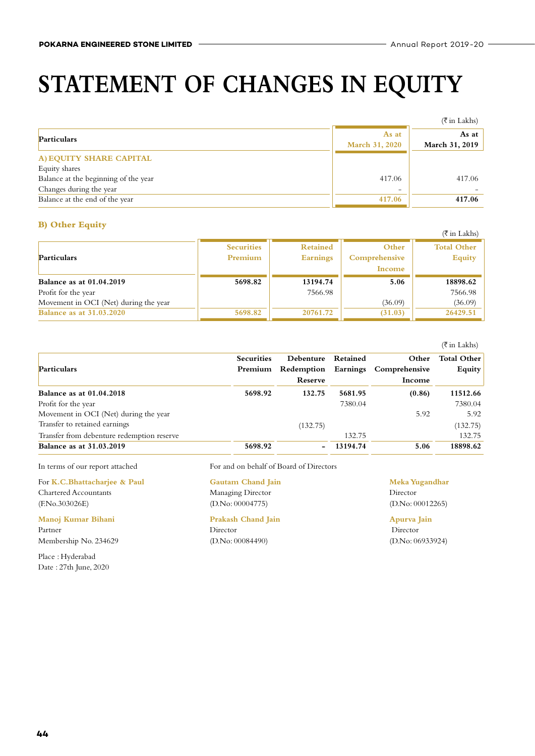# **STATEMENT OF CHANGES IN EQUITY**

|                                      |                                | $(\overline{\xi}$ in Lakhs) |
|--------------------------------------|--------------------------------|-----------------------------|
| Particulars                          | As at<br><b>March 31, 2020</b> | As at<br>March 31, 2019     |
| A) EQUITY SHARE CAPITAL              |                                |                             |
| Equity shares                        |                                |                             |
| Balance at the beginning of the year | 417.06                         | 417.06                      |
| Changes during the year              | $\overline{\phantom{0}}$       |                             |
| Balance at the end of the year       | 417.06                         | 417.06                      |

#### **B) Other Equity**

| $\boldsymbol{\nu}$ vuut $\boldsymbol{\nu}$ |                              |                                    |                                  | $(\overline{\xi}$ in Lakhs)         |
|--------------------------------------------|------------------------------|------------------------------------|----------------------------------|-------------------------------------|
| <b>Particulars</b>                         | <b>Securities</b><br>Premium | <b>Retained</b><br><b>Earnings</b> | Other<br>Comprehensive<br>Income | <b>Total Other</b><br><b>Equity</b> |
| <b>Balance as at 01.04.2019</b>            | 5698.82                      | 13194.74                           | 5.06                             | 18898.62                            |
| Profit for the year                        |                              | 7566.98                            |                                  | 7566.98                             |
| Movement in OCI (Net) during the year      |                              |                                    | (36.09)                          | (36.09)                             |
| <b>Balance as at 31.03.2020</b>            | 5698.82                      | 20761.72                           | (31.03)                          | 26429.51                            |

|                                            |                   |           |          |                                   | $(\bar{\bar{\tau}})$ in Lakhs) |
|--------------------------------------------|-------------------|-----------|----------|-----------------------------------|--------------------------------|
|                                            | <b>Securities</b> | Debenture | Retained | Other                             | Total Other                    |
| Particulars                                | Premium           |           |          | Redemption Earnings Comprehensive | <b>Equity</b>                  |
|                                            |                   | Reserve   |          | Income                            |                                |
| <b>Balance as at 01.04.2018</b>            | 5698.92           | 132.75    | 5681.95  | (0.86)                            | 11512.66                       |
| Profit for the year                        |                   |           | 7380.04  |                                   | 7380.04                        |
| Movement in OCI (Net) during the year      |                   |           |          | 5.92                              | 5.92                           |
| Transfer to retained earnings              |                   | (132.75)  |          |                                   | (132.75)                       |
| Transfer from debenture redemption reserve |                   |           | 132.75   |                                   | 132.75                         |
| <b>Balance as at 31.03.2019</b>            | 5698.92           |           | 13194.74 | 5.06                              | 18898.62                       |

For **K.C.Bhattacharjee & Paul Gautam Chand Jain Meka Yugandhar** Chartered Accountants Managing Director Director (F.No.303026E) (D.No: 00004775) (D.No: 00012265)

**Manoj Kumar Bihani Prakash Chand Jain Apurva Jain** Partner Director Director Membership No. 234629 (D.No: 00084490) (D.No: 06933924)

Place : Hyderabad Date : 27th June, 2020

In terms of our report attached For and on behalf of Board of Directors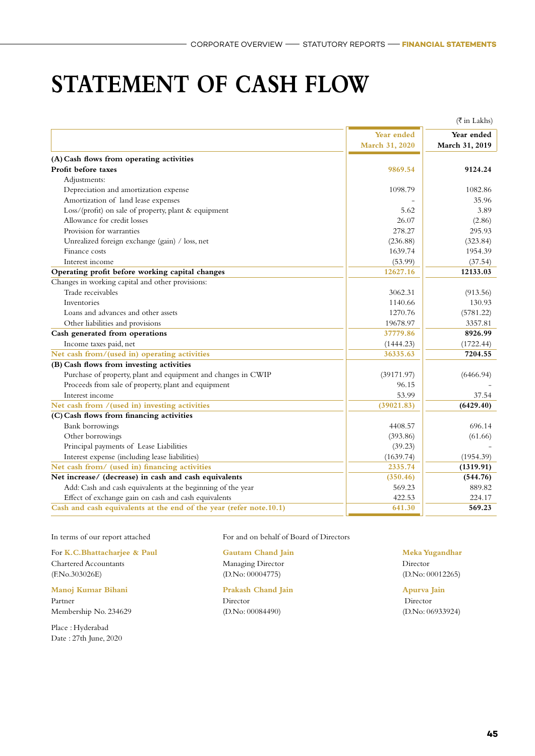### **STATEMENT OF CASH FLOW**

|                                                                    |                | $(\overline{\xi}$ in Lakhs) |
|--------------------------------------------------------------------|----------------|-----------------------------|
|                                                                    | Year ended     | Year ended                  |
|                                                                    | March 31, 2020 | March 31, 2019              |
| (A) Cash flows from operating activities                           |                |                             |
| Profit before taxes                                                | 9869.54        | 9124.24                     |
| Adjustments:                                                       |                |                             |
| Depreciation and amortization expense                              | 1098.79        | 1082.86                     |
| Amortization of land lease expenses                                |                | 35.96                       |
| Loss/(profit) on sale of property, plant & equipment               | 5.62           | 3.89                        |
| Allowance for credit losses                                        | 26.07          | (2.86)                      |
| Provision for warranties                                           | 278.27         | 295.93                      |
| Unrealized foreign exchange (gain) / loss, net                     | (236.88)       | (323.84)                    |
| Finance costs                                                      | 1639.74        | 1954.39                     |
| Interest income                                                    | (53.99)        | (37.54)                     |
| Operating profit before working capital changes                    | 12627.16       | 12133.03                    |
| Changes in working capital and other provisions:                   |                |                             |
| Trade receivables                                                  | 3062.31        | (913.56)                    |
| Inventories                                                        | 1140.66        | 130.93                      |
| Loans and advances and other assets                                | 1270.76        | (5781.22)                   |
| Other liabilities and provisions                                   | 19678.97       | 3357.81                     |
| Cash generated from operations                                     | 37779.86       | 8926.99                     |
| Income taxes paid, net                                             | (1444.23)      | (1722.44)                   |
| Net cash from/(used in) operating activities                       | 36335.63       | 7204.55                     |
| (B) Cash flows from investing activities                           |                |                             |
| Purchase of property, plant and equipment and changes in CWIP      | (39171.97)     | (6466.94)                   |
| Proceeds from sale of property, plant and equipment                | 96.15          |                             |
| Interest income                                                    | 53.99          | 37.54                       |
| Net cash from /(used in) investing activities                      | (39021.83)     | (6429.40)                   |
| (C) Cash flows from financing activities                           |                |                             |
| Bank borrowings                                                    | 4408.57        | 696.14                      |
| Other borrowings                                                   | (393.86)       | (61.66)                     |
| Principal payments of Lease Liabilities                            | (39.23)        |                             |
| Interest expense (including lease liabilities)                     | (1639.74)      | (1954.39)                   |
| Net cash from/ (used in) financing activities                      | 2335.74        | (1319.91)                   |
| Net increase/ (decrease) in cash and cash equivalents              | (350.46)       | (544.76)                    |
| Add: Cash and cash equivalents at the beginning of the year        | 569.23         | 889.82                      |
| Effect of exchange gain on cash and cash equivalents               | 422.53         | 224.17                      |
| Cash and cash equivalents at the end of the year (refer note.10.1) | 641.30         | 569.23                      |

For **K.C.Bhattacharjee & Paul Gautam Chand Jain Meka Yugandhar** Chartered Accountants Managing Director Director (F.No.303026E) (D.No: 00004775) (D.No: 00012265)

#### **Manoj Kumar Bihani Prakash Chand Jain Apurva Jain**

Partner Director Director Membership No. 234629 (D.No: 00084490) (D.No: 06933924)

Place : Hyderabad Date : 27th June, 2020

In terms of our report attached For and on behalf of Board of Directors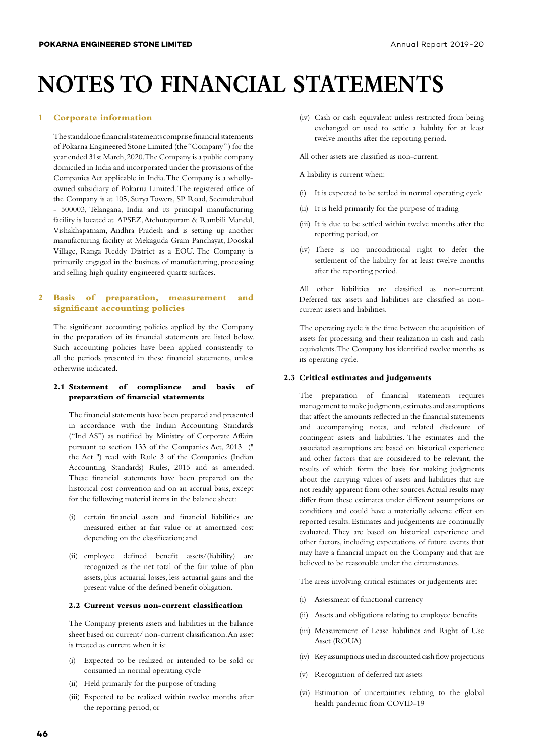#### **1 Corporate information**

The standalone financial statements comprise financial statements of Pokarna Engineered Stone Limited (the "Company" ) for the year ended 31st March, 2020. The Company is a public company domiciled in India and incorporated under the provisions of the Companies Act applicable in India. The Company is a whollyowned subsidiary of Pokarna Limited. The registered office of the Company is at 105, Surya Towers, SP Road, Secunderabad - 500003, Telangana, India and its principal manufacturing facility is located at APSEZ, Atchutapuram & Rambili Mandal, Vishakhapatnam, Andhra Pradesh and is setting up another manufacturing facility at Mekaguda Gram Panchayat, Dooskal Village, Ranga Reddy District as a EOU. The Company is primarily engaged in the business of manufacturing, processing and selling high quality engineered quartz surfaces.

#### **2 Basis of preparation, measurement and significant accounting policies**

The significant accounting policies applied by the Company in the preparation of its financial statements are listed below. Such accounting policies have been applied consistently to all the periods presented in these financial statements, unless otherwise indicated.

#### **2.1 Statement of compliance and basis of preparation of financial statements**

 The financial statements have been prepared and presented in accordance with the Indian Accounting Standards ("Ind AS") as notified by Ministry of Corporate Affairs pursuant to section 133 of the Companies Act, 2013 ('' the Act '') read with Rule 3 of the Companies (Indian Accounting Standards) Rules, 2015 and as amended. These financial statements have been prepared on the historical cost convention and on an accrual basis, except for the following material items in the balance sheet:

- (i) certain financial assets and financial liabilities are measured either at fair value or at amortized cost depending on the classification; and
- (ii) employee defined benefit assets/(liability) are recognized as the net total of the fair value of plan assets, plus actuarial losses, less actuarial gains and the present value of the defined benefit obligation.

#### **2.2 Current versus non-current classification**

 The Company presents assets and liabilities in the balance sheet based on current/ non-current classification. An asset is treated as current when it is:

- (i) Expected to be realized or intended to be sold or consumed in normal operating cycle
- (ii) Held primarily for the purpose of trading
- (iii) Expected to be realized within twelve months after the reporting period, or

 (iv) Cash or cash equivalent unless restricted from being exchanged or used to settle a liability for at least twelve months after the reporting period.

All other assets are classified as non-current.

A liability is current when:

- (i) It is expected to be settled in normal operating cycle
- (ii) It is held primarily for the purpose of trading
- (iii) It is due to be settled within twelve months after the reporting period, or
- (iv) There is no unconditional right to defer the settlement of the liability for at least twelve months after the reporting period.

 All other liabilities are classified as non-current. Deferred tax assets and liabilities are classified as noncurrent assets and liabilities.

 The operating cycle is the time between the acquisition of assets for processing and their realization in cash and cash equivalents. The Company has identified twelve months as its operating cycle.

#### **2.3 Critical estimates and judgements**

 The preparation of financial statements requires management to make judgments, estimates and assumptions that affect the amounts reflected in the financial statements and accompanying notes, and related disclosure of contingent assets and liabilities. The estimates and the associated assumptions are based on historical experience and other factors that are considered to be relevant, the results of which form the basis for making judgments about the carrying values of assets and liabilities that are not readily apparent from other sources. Actual results may differ from these estimates under different assumptions or conditions and could have a materially adverse effect on reported results. Estimates and judgements are continually evaluated. They are based on historical experience and other factors, including expectations of future events that may have a financial impact on the Company and that are believed to be reasonable under the circumstances.

The areas involving critical estimates or judgements are:

- (i) Assessment of functional currency
- (ii) Assets and obligations relating to employee benefits
- (iii) Measurement of Lease liabilities and Right of Use Asset (ROUA)
- (iv) Key assumptions used in discounted cash flow projections
- (v) Recognition of deferred tax assets
- (vi) Estimation of uncertainties relating to the global health pandemic from COVID-19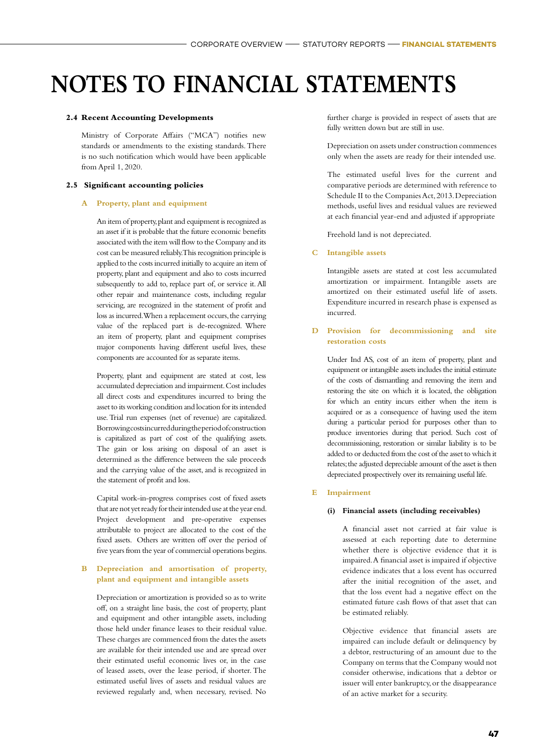#### **2.4 Recent Accounting Developments**

 Ministry of Corporate Affairs ("MCA") notifies new standards or amendments to the existing standards. There is no such notification which would have been applicable from April 1, 2020.

#### **2.5 Significant accounting policies**

#### **A Property, plant and equipment**

 An item of property, plant and equipment is recognized as an asset if it is probable that the future economic benefits associated with the item will flow to the Company and its cost can be measured reliably. This recognition principle is applied to the costs incurred initially to acquire an item of property, plant and equipment and also to costs incurred subsequently to add to, replace part of, or service it. All other repair and maintenance costs, including regular servicing, are recognized in the statement of profit and loss as incurred. When a replacement occurs, the carrying value of the replaced part is de-recognized. Where an item of property, plant and equipment comprises major components having different useful lives, these components are accounted for as separate items.

 Property, plant and equipment are stated at cost, less accumulated depreciation and impairment. Cost includes all direct costs and expenditures incurred to bring the asset to its working condition and location for its intended use. Trial run expenses (net of revenue) are capitalized. Borrowing costs incurred during the period of construction is capitalized as part of cost of the qualifying assets. The gain or loss arising on disposal of an asset is determined as the difference between the sale proceeds and the carrying value of the asset, and is recognized in the statement of profit and loss.

 Capital work-in-progress comprises cost of fixed assets that are not yet ready for their intended use at the year end. Project development and pre-operative expenses attributable to project are allocated to the cost of the fixed assets. Others are written off over the period of five years from the year of commercial operations begins.

#### **B Depreciation and amortisation of property, plant and equipment and intangible assets**

 Depreciation or amortization is provided so as to write off, on a straight line basis, the cost of property, plant and equipment and other intangible assets, including those held under finance leases to their residual value. These charges are commenced from the dates the assets are available for their intended use and are spread over their estimated useful economic lives or, in the case of leased assets, over the lease period, if shorter. The estimated useful lives of assets and residual values are reviewed regularly and, when necessary, revised. No further charge is provided in respect of assets that are fully written down but are still in use.

 Depreciation on assets under construction commences only when the assets are ready for their intended use.

 The estimated useful lives for the current and comparative periods are determined with reference to Schedule II to the Companies Act, 2013. Depreciation methods, useful lives and residual values are reviewed at each financial year-end and adjusted if appropriate

Freehold land is not depreciated.

#### **C Intangible assets**

 Intangible assets are stated at cost less accumulated amortization or impairment. Intangible assets are amortized on their estimated useful life of assets. Expenditure incurred in research phase is expensed as incurred.

#### **D Provision for decommissioning and site restoration costs**

 Under Ind AS, cost of an item of property, plant and equipment or intangible assets includes the initial estimate of the costs of dismantling and removing the item and restoring the site on which it is located, the obligation for which an entity incurs either when the item is acquired or as a consequence of having used the item during a particular period for purposes other than to produce inventories during that period. Such cost of decommissioning, restoration or similar liability is to be added to or deducted from the cost of the asset to which it relates; the adjusted depreciable amount of the asset is then depreciated prospectively over its remaining useful life.

#### **E Impairment**

#### **(i) Financial assets (including receivables)**

 A financial asset not carried at fair value is assessed at each reporting date to determine whether there is objective evidence that it is impaired. A financial asset is impaired if objective evidence indicates that a loss event has occurred after the initial recognition of the asset, and that the loss event had a negative effect on the estimated future cash flows of that asset that can be estimated reliably.

 Objective evidence that financial assets are impaired can include default or delinquency by a debtor, restructuring of an amount due to the Company on terms that the Company would not consider otherwise, indications that a debtor or issuer will enter bankruptcy, or the disappearance of an active market for a security.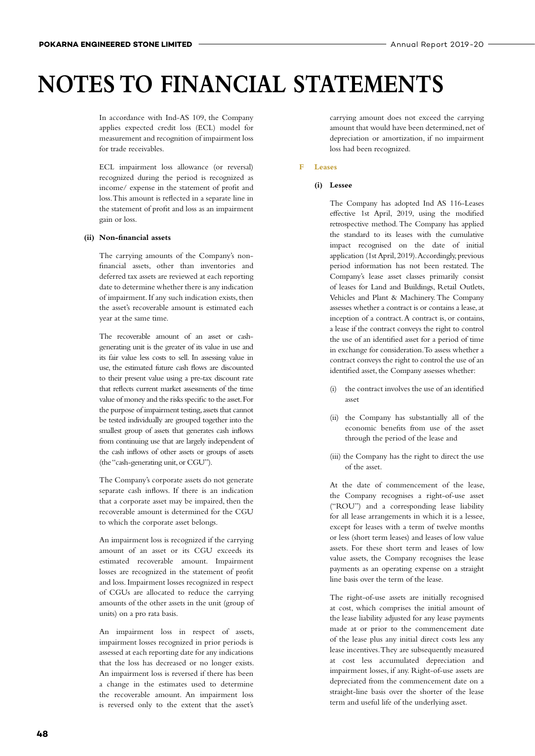In accordance with Ind-AS 109, the Company applies expected credit loss (ECL) model for measurement and recognition of impairment loss for trade receivables.

 ECL impairment loss allowance (or reversal) recognized during the period is recognized as income/ expense in the statement of profit and loss. This amount is reflected in a separate line in the statement of profit and loss as an impairment gain or loss.

#### **(ii) Non-financial assets**

 The carrying amounts of the Company's nonfinancial assets, other than inventories and deferred tax assets are reviewed at each reporting date to determine whether there is any indication of impairment. If any such indication exists, then the asset's recoverable amount is estimated each year at the same time.

 The recoverable amount of an asset or cashgenerating unit is the greater of its value in use and its fair value less costs to sell. In assessing value in use, the estimated future cash flows are discounted to their present value using a pre-tax discount rate that reflects current market assessments of the time value of money and the risks specific to the asset. For the purpose of impairment testing, assets that cannot be tested individually are grouped together into the smallest group of assets that generates cash inflows from continuing use that are largely independent of the cash inflows of other assets or groups of assets (the "cash-generating unit, or CGU").

 The Company's corporate assets do not generate separate cash inflows. If there is an indication that a corporate asset may be impaired, then the recoverable amount is determined for the CGU to which the corporate asset belongs.

 An impairment loss is recognized if the carrying amount of an asset or its CGU exceeds its estimated recoverable amount. Impairment losses are recognized in the statement of profit and loss. Impairment losses recognized in respect of CGUs are allocated to reduce the carrying amounts of the other assets in the unit (group of units) on a pro rata basis.

 An impairment loss in respect of assets, impairment losses recognized in prior periods is assessed at each reporting date for any indications that the loss has decreased or no longer exists. An impairment loss is reversed if there has been a change in the estimates used to determine the recoverable amount. An impairment loss is reversed only to the extent that the asset's

carrying amount does not exceed the carrying amount that would have been determined, net of depreciation or amortization, if no impairment loss had been recognized.

#### **F Leases**

#### **(i) Lessee**

 The Company has adopted Ind AS 116-Leases effective 1st April, 2019, using the modified retrospective method. The Company has applied the standard to its leases with the cumulative impact recognised on the date of initial application (1st April, 2019). Accordingly, previous period information has not been restated. The Company's lease asset classes primarily consist of leases for Land and Buildings, Retail Outlets, Vehicles and Plant & Machinery. The Company assesses whether a contract is or contains a lease, at inception of a contract. A contract is, or contains, a lease if the contract conveys the right to control the use of an identified asset for a period of time in exchange for consideration. To assess whether a contract conveys the right to control the use of an identified asset, the Company assesses whether:

- (i) the contract involves the use of an identified asset
- (ii) the Company has substantially all of the economic benefits from use of the asset through the period of the lease and
- (iii) the Company has the right to direct the use of the asset.

 At the date of commencement of the lease, the Company recognises a right-of-use asset ("ROU") and a corresponding lease liability for all lease arrangements in which it is a lessee, except for leases with a term of twelve months or less (short term leases) and leases of low value assets. For these short term and leases of low value assets, the Company recognises the lease payments as an operating expense on a straight line basis over the term of the lease.

 The right-of-use assets are initially recognised at cost, which comprises the initial amount of the lease liability adjusted for any lease payments made at or prior to the commencement date of the lease plus any initial direct costs less any lease incentives. They are subsequently measured at cost less accumulated depreciation and impairment losses, if any. Right-of-use assets are depreciated from the commencement date on a straight-line basis over the shorter of the lease term and useful life of the underlying asset.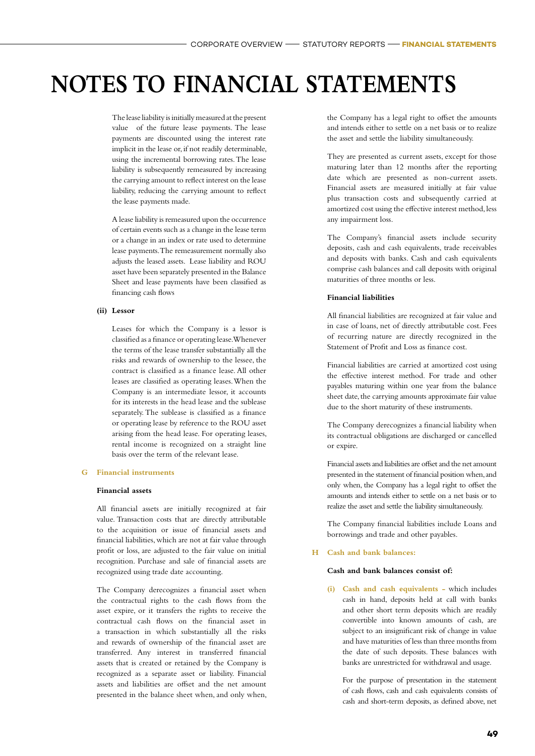The lease liability is initially measured at the present value of the future lease payments. The lease payments are discounted using the interest rate implicit in the lease or, if not readily determinable, using the incremental borrowing rates. The lease liability is subsequently remeasured by increasing the carrying amount to reflect interest on the lease liability, reducing the carrying amount to reflect the lease payments made.

 A lease liability is remeasured upon the occurrence of certain events such as a change in the lease term or a change in an index or rate used to determine lease payments. The remeasurement normally also adjusts the leased assets. Lease liability and ROU asset have been separately presented in the Balance Sheet and lease payments have been classified as financing cash flows

#### **(ii) Lessor**

 Leases for which the Company is a lessor is classified as a finance or operating lease. Whenever the terms of the lease transfer substantially all the risks and rewards of ownership to the lessee, the contract is classified as a finance lease. All other leases are classified as operating leases. When the Company is an intermediate lessor, it accounts for its interests in the head lease and the sublease separately. The sublease is classified as a finance or operating lease by reference to the ROU asset arising from the head lease. For operating leases, rental income is recognized on a straight line basis over the term of the relevant lease.

#### **G Financial instruments**

#### **Financial assets**

 All financial assets are initially recognized at fair value. Transaction costs that are directly attributable to the acquisition or issue of financial assets and financial liabilities, which are not at fair value through profit or loss, are adjusted to the fair value on initial recognition. Purchase and sale of financial assets are recognized using trade date accounting.

 The Company derecognizes a financial asset when the contractual rights to the cash flows from the asset expire, or it transfers the rights to receive the contractual cash flows on the financial asset in a transaction in which substantially all the risks and rewards of ownership of the financial asset are transferred. Any interest in transferred financial assets that is created or retained by the Company is recognized as a separate asset or liability. Financial assets and liabilities are offset and the net amount presented in the balance sheet when, and only when, the Company has a legal right to offset the amounts and intends either to settle on a net basis or to realize the asset and settle the liability simultaneously.

 They are presented as current assets, except for those maturing later than 12 months after the reporting date which are presented as non-current assets. Financial assets are measured initially at fair value plus transaction costs and subsequently carried at amortized cost using the effective interest method, less any impairment loss.

 The Company's financial assets include security deposits, cash and cash equivalents, trade receivables and deposits with banks. Cash and cash equivalents comprise cash balances and call deposits with original maturities of three months or less.

#### **Financial liabilities**

 All financial liabilities are recognized at fair value and in case of loans, net of directly attributable cost. Fees of recurring nature are directly recognized in the Statement of Profit and Loss as finance cost.

 Financial liabilities are carried at amortized cost using the effective interest method. For trade and other payables maturing within one year from the balance sheet date, the carrying amounts approximate fair value due to the short maturity of these instruments.

 The Company derecognizes a financial liability when its contractual obligations are discharged or cancelled or expire.

 Financial assets and liabilities are offset and the net amount presented in the statement of financial position when, and only when, the Company has a legal right to offset the amounts and intends either to settle on a net basis or to realize the asset and settle the liability simultaneously.

 The Company financial liabilities include Loans and borrowings and trade and other payables.

#### **H Cash and bank balances:**

#### **Cash and bank balances consist of:**

 **(i) Cash and cash equivalents -** which includes cash in hand, deposits held at call with banks and other short term deposits which are readily convertible into known amounts of cash, are subject to an insignificant risk of change in value and have maturities of less than three months from the date of such deposits. These balances with banks are unrestricted for withdrawal and usage.

 For the purpose of presentation in the statement of cash flows, cash and cash equivalents consists of cash and short-term deposits, as defined above, net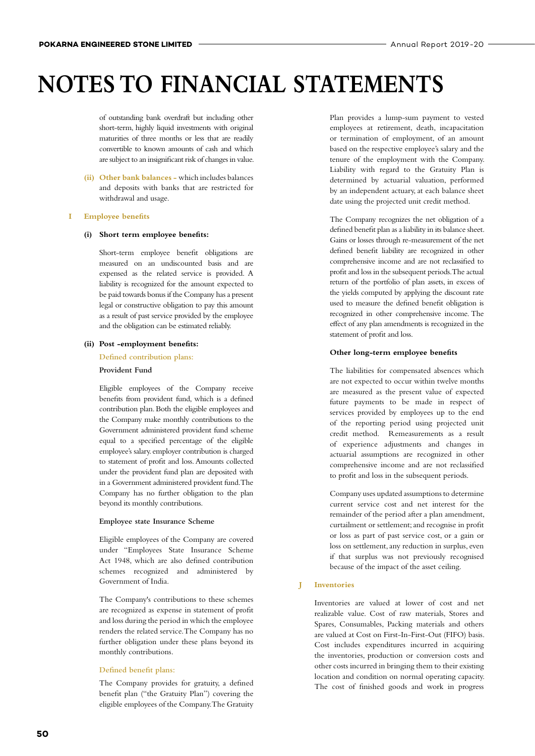of outstanding bank overdraft but including other short-term, highly liquid investments with original maturities of three months or less that are readily convertible to known amounts of cash and which are subject to an insignificant risk of changes in value.

 **(ii) Other bank balances -** which includes balances and deposits with banks that are restricted for withdrawal and usage.

#### **I Employee benefits**

#### **(i) Short term employee benefits:**

 Short-term employee benefit obligations are measured on an undiscounted basis and are expensed as the related service is provided. A liability is recognized for the amount expected to be paid towards bonus if the Company has a present legal or constructive obligation to pay this amount as a result of past service provided by the employee and the obligation can be estimated reliably.

#### **(ii) Post -employment benefits:**

 **Defined contribution plans:**

#### **Provident Fund**

 Eligible employees of the Company receive benefits from provident fund, which is a defined contribution plan. Both the eligible employees and the Company make monthly contributions to the Government administered provident fund scheme equal to a specified percentage of the eligible employee's salary. employer contribution is charged to statement of profit and loss. Amounts collected under the provident fund plan are deposited with in a Government administered provident fund. The Company has no further obligation to the plan beyond its monthly contributions.

#### **Employee state Insurance Scheme**

 Eligible employees of the Company are covered under "Employees State Insurance Scheme Act 1948, which are also defined contribution schemes recognized and administered by Government of India.

 The Company's contributions to these schemes are recognized as expense in statement of profit and loss during the period in which the employee renders the related service. The Company has no further obligation under these plans beyond its monthly contributions.

#### **Defined benefit plans:**

 The Company provides for gratuity, a defined benefit plan ("the Gratuity Plan") covering the eligible employees of the Company. The Gratuity

Plan provides a lump-sum payment to vested employees at retirement, death, incapacitation or termination of employment, of an amount based on the respective employee's salary and the tenure of the employment with the Company. Liability with regard to the Gratuity Plan is determined by actuarial valuation, performed by an independent actuary, at each balance sheet date using the projected unit credit method.

 The Company recognizes the net obligation of a defined benefit plan as a liability in its balance sheet. Gains or losses through re-measurement of the net defined benefit liability are recognized in other comprehensive income and are not reclassified to profit and loss in the subsequent periods. The actual return of the portfolio of plan assets, in excess of the yields computed by applying the discount rate used to measure the defined benefit obligation is recognized in other comprehensive income. The effect of any plan amendments is recognized in the statement of profit and loss.

#### **Other long-term employee benefits**

 The liabilities for compensated absences which are not expected to occur within twelve months are measured as the present value of expected future payments to be made in respect of services provided by employees up to the end of the reporting period using projected unit credit method. Remeasurements as a result of experience adjustments and changes in actuarial assumptions are recognized in other comprehensive income and are not reclassified to profit and loss in the subsequent periods.

 Company uses updated assumptions to determine current service cost and net interest for the remainder of the period after a plan amendment, curtailment or settlement; and recognise in profit or loss as part of past service cost, or a gain or loss on settlement, any reduction in surplus, even if that surplus was not previously recognised because of the impact of the asset ceiling.

#### **J Inventories**

 Inventories are valued at lower of cost and net realizable value. Cost of raw materials, Stores and Spares, Consumables, Packing materials and others are valued at Cost on First-In-First-Out (FIFO) basis. Cost includes expenditures incurred in acquiring the inventories, production or conversion costs and other costs incurred in bringing them to their existing location and condition on normal operating capacity. The cost of finished goods and work in progress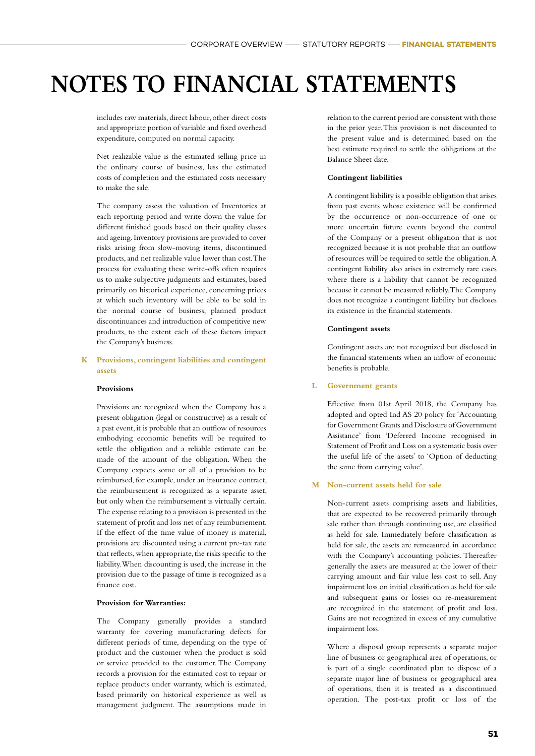includes raw materials, direct labour, other direct costs and appropriate portion of variable and fixed overhead expenditure, computed on normal capacity.

 Net realizable value is the estimated selling price in the ordinary course of business, less the estimated costs of completion and the estimated costs necessary to make the sale.

 The company assess the valuation of Inventories at each reporting period and write down the value for different finished goods based on their quality classes and ageing. Inventory provisions are provided to cover risks arising from slow-moving items, discontinued products, and net realizable value lower than cost. The process for evaluating these write-offs often requires us to make subjective judgments and estimates, based primarily on historical experience, concerning prices at which such inventory will be able to be sold in the normal course of business, planned product discontinuances and introduction of competitive new products, to the extent each of these factors impact the Company's business.

#### **K Provisions, contingent liabilities and contingent assets**

#### **Provisions**

 Provisions are recognized when the Company has a present obligation (legal or constructive) as a result of a past event, it is probable that an outflow of resources embodying economic benefits will be required to settle the obligation and a reliable estimate can be made of the amount of the obligation. When the Company expects some or all of a provision to be reimbursed, for example, under an insurance contract, the reimbursement is recognized as a separate asset, but only when the reimbursement is virtually certain. The expense relating to a provision is presented in the statement of profit and loss net of any reimbursement. If the effect of the time value of money is material, provisions are discounted using a current pre-tax rate that reflects, when appropriate, the risks specific to the liability. When discounting is used, the increase in the provision due to the passage of time is recognized as a finance cost.

#### **Provision for Warranties:**

 The Company generally provides a standard warranty for covering manufacturing defects for different periods of time, depending on the type of product and the customer when the product is sold or service provided to the customer. The Company records a provision for the estimated cost to repair or replace products under warranty, which is estimated, based primarily on historical experience as well as management judgment. The assumptions made in

relation to the current period are consistent with those in the prior year. This provision is not discounted to the present value and is determined based on the best estimate required to settle the obligations at the Balance Sheet date.

#### **Contingent liabilities**

 A contingent liability is a possible obligation that arises from past events whose existence will be confirmed by the occurrence or non-occurrence of one or more uncertain future events beyond the control of the Company or a present obligation that is not recognized because it is not probable that an outflow of resources will be required to settle the obligation. A contingent liability also arises in extremely rare cases where there is a liability that cannot be recognized because it cannot be measured reliably. The Company does not recognize a contingent liability but discloses its existence in the financial statements.

#### **Contingent assets**

 Contingent assets are not recognized but disclosed in the financial statements when an inflow of economic benefits is probable.

#### **L Government grants**

 Effective from 01st April 2018, the Company has adopted and opted Ind AS 20 policy for 'Accounting for Government Grants and Disclosure of Government Assistance' from 'Deferred Income recognised in Statement of Profit and Loss on a systematic basis over the useful life of the assets' to 'Option of deducting the same from carrying value'.

#### **M Non-current assets held for sale**

 Non-current assets comprising assets and liabilities, that are expected to be recovered primarily through sale rather than through continuing use, are classified as held for sale. Immediately before classification as held for sale, the assets are remeasured in accordance with the Company's accounting policies. Thereafter generally the assets are measured at the lower of their carrying amount and fair value less cost to sell. Any impairment loss on initial classification as held for sale and subsequent gains or losses on re-measurement are recognized in the statement of profit and loss. Gains are not recognized in excess of any cumulative impairment loss.

 Where a disposal group represents a separate major line of business or geographical area of operations, or is part of a single coordinated plan to dispose of a separate major line of business or geographical area of operations, then it is treated as a discontinued operation. The post-tax profit or loss of the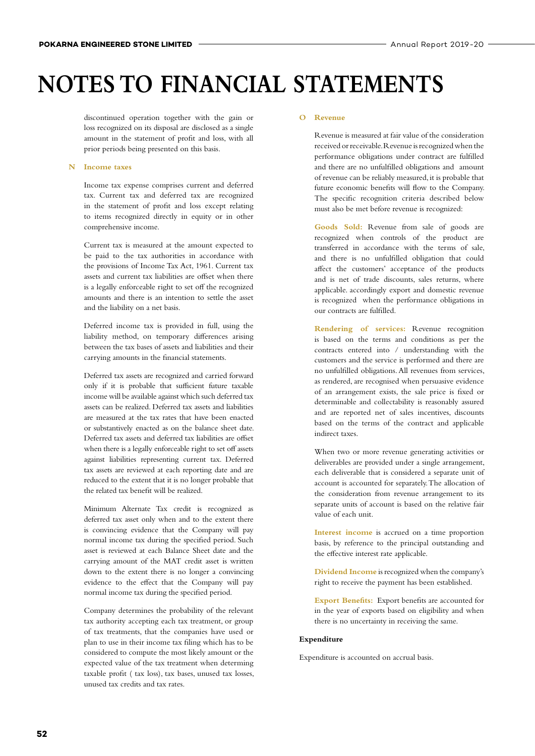discontinued operation together with the gain or loss recognized on its disposal are disclosed as a single amount in the statement of profit and loss, with all prior periods being presented on this basis.

#### **N Income taxes**

 Income tax expense comprises current and deferred tax. Current tax and deferred tax are recognized in the statement of profit and loss except relating to items recognized directly in equity or in other comprehensive income.

 Current tax is measured at the amount expected to be paid to the tax authorities in accordance with the provisions of Income Tax Act, 1961. Current tax assets and current tax liabilities are offset when there is a legally enforceable right to set off the recognized amounts and there is an intention to settle the asset and the liability on a net basis.

 Deferred income tax is provided in full, using the liability method, on temporary differences arising between the tax bases of assets and liabilities and their carrying amounts in the financial statements.

 Deferred tax assets are recognized and carried forward only if it is probable that sufficient future taxable income will be available against which such deferred tax assets can be realized. Deferred tax assets and liabilities are measured at the tax rates that have been enacted or substantively enacted as on the balance sheet date. Deferred tax assets and deferred tax liabilities are offset when there is a legally enforceable right to set off assets against liabilities representing current tax. Deferred tax assets are reviewed at each reporting date and are reduced to the extent that it is no longer probable that the related tax benefit will be realized.

 Minimum Alternate Tax credit is recognized as deferred tax asset only when and to the extent there is convincing evidence that the Company will pay normal income tax during the specified period. Such asset is reviewed at each Balance Sheet date and the carrying amount of the MAT credit asset is written down to the extent there is no longer a convincing evidence to the effect that the Company will pay normal income tax during the specified period.

 Company determines the probability of the relevant tax authority accepting each tax treatment, or group of tax treatments, that the companies have used or plan to use in their income tax filing which has to be considered to compute the most likely amount or the expected value of the tax treatment when determing taxable profit ( tax loss), tax bases, unused tax losses, unused tax credits and tax rates.

#### **O Revenue**

 Revenue is measured at fair value of the consideration received or receivable. Revenue is recognized when the performance obligations under contract are fulfilled and there are no unfulfilled obligations and amount of revenue can be reliably measured, it is probable that future economic benefits will flow to the Company. The specific recognition criteria described below must also be met before revenue is recognized:

 **Goods Sold:** Revenue from sale of goods are recognized when controls of the product are transferred in accordance with the terms of sale, and there is no unfulfilled obligation that could affect the customers' acceptance of the products and is net of trade discounts, sales returns, where applicable. accordingly export and domestic revenue is recognized when the performance obligations in our contracts are fulfilled.

 **Rendering of services:** Revenue recognition is based on the terms and conditions as per the contracts entered into / understanding with the customers and the service is performed and there are no unfulfilled obligations. All revenues from services, as rendered, are recognised when persuasive evidence of an arrangement exists, the sale price is fixed or determinable and collectability is reasonably assured and are reported net of sales incentives, discounts based on the terms of the contract and applicable indirect taxes.

 When two or more revenue generating activities or deliverables are provided under a single arrangement, each deliverable that is considered a separate unit of account is accounted for separately. The allocation of the consideration from revenue arrangement to its separate units of account is based on the relative fair value of each unit.

 **Interest income** is accrued on a time proportion basis, by reference to the principal outstanding and the effective interest rate applicable.

 **Dividend Income** is recognized when the company's right to receive the payment has been established.

 **Export Benefits:** Export benefits are accounted for in the year of exports based on eligibility and when there is no uncertainty in receiving the same.

#### **Expenditure**

Expenditure is accounted on accrual basis.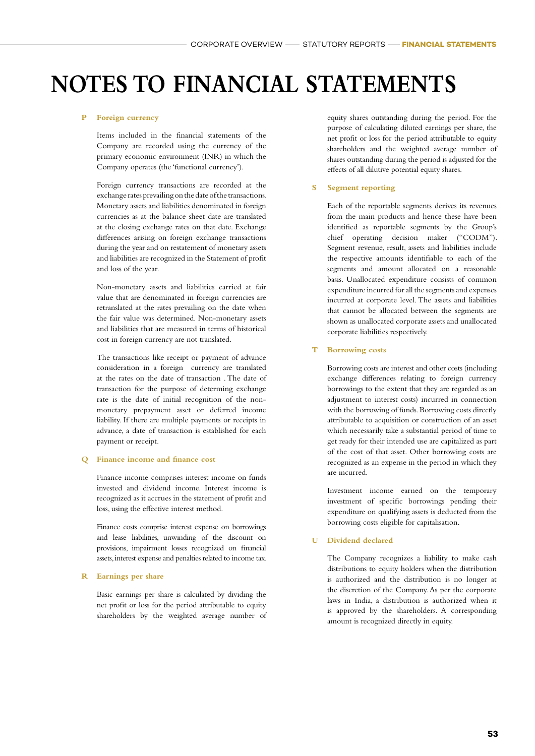#### **P Foreign currency**

 Items included in the financial statements of the Company are recorded using the currency of the primary economic environment (INR) in which the Company operates (the 'functional currency').

 Foreign currency transactions are recorded at the exchange rates prevailing on the date of the transactions. Monetary assets and liabilities denominated in foreign currencies as at the balance sheet date are translated at the closing exchange rates on that date. Exchange differences arising on foreign exchange transactions during the year and on restatement of monetary assets and liabilities are recognized in the Statement of profit and loss of the year.

 Non-monetary assets and liabilities carried at fair value that are denominated in foreign currencies are retranslated at the rates prevailing on the date when the fair value was determined. Non-monetary assets and liabilities that are measured in terms of historical cost in foreign currency are not translated.

 The transactions like receipt or payment of advance consideration in a foreign currency are translated at the rates on the date of transaction . The date of transaction for the purpose of determing exchange rate is the date of initial recognition of the nonmonetary prepayment asset or deferred income liability. If there are multiple payments or receipts in advance, a date of transaction is established for each payment or receipt.

#### **Q Finance income and finance cost**

 Finance income comprises interest income on funds invested and dividend income. Interest income is recognized as it accrues in the statement of profit and loss, using the effective interest method.

 Finance costs comprise interest expense on borrowings and lease liabilities, unwinding of the discount on provisions, impairment losses recognized on financial assets, interest expense and penalties related to income tax.

#### **R Earnings per share**

 Basic earnings per share is calculated by dividing the net profit or loss for the period attributable to equity shareholders by the weighted average number of equity shares outstanding during the period. For the purpose of calculating diluted earnings per share, the net profit or loss for the period attributable to equity shareholders and the weighted average number of shares outstanding during the period is adjusted for the effects of all dilutive potential equity shares.

#### **S Segment reporting**

 Each of the reportable segments derives its revenues from the main products and hence these have been identified as reportable segments by the Group's chief operating decision maker ("CODM"). Segment revenue, result, assets and liabilities include the respective amounts identifiable to each of the segments and amount allocated on a reasonable basis. Unallocated expenditure consists of common expenditure incurred for all the segments and expenses incurred at corporate level. The assets and liabilities that cannot be allocated between the segments are shown as unallocated corporate assets and unallocated corporate liabilities respectively.

#### **T Borrowing costs**

 Borrowing costs are interest and other costs (including exchange differences relating to foreign currency borrowings to the extent that they are regarded as an adjustment to interest costs) incurred in connection with the borrowing of funds. Borrowing costs directly attributable to acquisition or construction of an asset which necessarily take a substantial period of time to get ready for their intended use are capitalized as part of the cost of that asset. Other borrowing costs are recognized as an expense in the period in which they are incurred.

 Investment income earned on the temporary investment of specific borrowings pending their expenditure on qualifying assets is deducted from the borrowing costs eligible for capitalisation.

#### **U Dividend declared**

 The Company recognizes a liability to make cash distributions to equity holders when the distribution is authorized and the distribution is no longer at the discretion of the Company. As per the corporate laws in India, a distribution is authorized when it is approved by the shareholders. A corresponding amount is recognized directly in equity.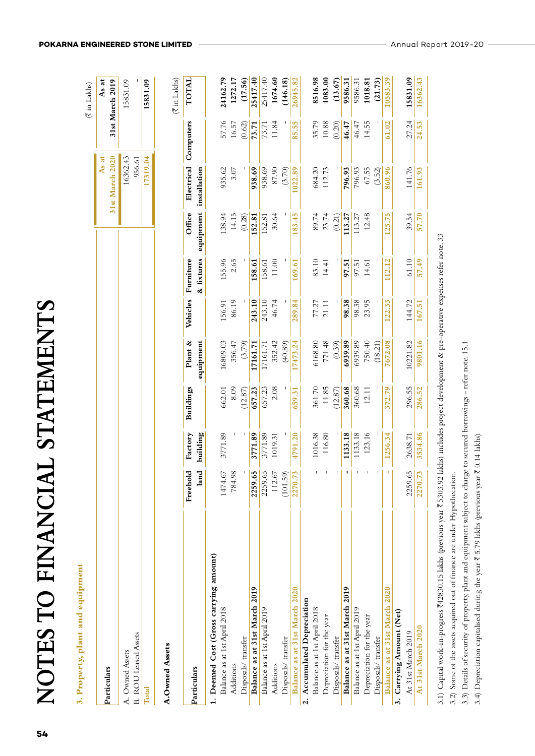| ,                  |  |
|--------------------|--|
|                    |  |
| Í<br>I             |  |
| I<br> <br>く        |  |
|                    |  |
| $\frac{1}{3}$<br>j |  |
|                    |  |
| l<br>ا<br>ا<br>I   |  |
| I<br>l             |  |
| ļ<br>.<br>د        |  |
|                    |  |

# 3. Property, plant and equipment **3. Property, plant and equipment**

|                                         |        |                 |                            |                      |        |                    |                                   |                             |        | (₹ in Lakhs)             |
|-----------------------------------------|--------|-----------------|----------------------------|----------------------|--------|--------------------|-----------------------------------|-----------------------------|--------|--------------------------|
| Particulars                             |        |                 |                            |                      |        |                    |                                   | 31st March 2020<br>As at    |        | As at<br>31st March 2019 |
| B. ROU Leased Assets<br>A. Owned Assets |        |                 |                            |                      |        |                    |                                   | 16362.43<br>956.61          |        | 15831.09                 |
| Total                                   |        |                 |                            |                      |        |                    |                                   | 17319.04                    |        | 15831.09                 |
| A.Owned Assets                          |        |                 |                            |                      |        |                    |                                   |                             |        | (₹in Lakhs)              |
| Particulars                             |        | land building   | Freehold Factory Buildings | Plant &<br>equipment |        | Vehicles Furniture | & fixtures equipment installation | Office Electrical Computers |        | <b>TOTAL</b>             |
| 1. Deemed Cost (Gross carrying amount)  |        |                 |                            |                      |        |                    |                                   |                             |        |                          |
| Balance as at 1st April 2018            |        | 1474.67 3771.89 | 662.01                     | 16809.03             | 156.91 | 155.96             | 138.94                            | 935.62                      | 57.76  | 24162.79                 |
| Additions                               | 784.98 |                 | 8.09                       | 356.47               | 86.19  | 2.65               | 14.15                             | 3.07                        | 16.57  | 1272.17                  |
| Disposals/ transfer                     |        |                 | (12.87)                    | (3.79)               |        |                    | (0.28)                            |                             | (0.62) | (17.56)                  |

 $(0.28)$ 152.81 8516.98 1083.00  $(13.67)$ 9586.31 1018.81  $(21.73)$ 

 $(3.52)$ 

| Balance as at 31st March 2019 | 2259                       |                                   |                                                |                                                          |                                  |                                                  |                                                           |                                             |                                             |                                                                |
|-------------------------------|----------------------------|-----------------------------------|------------------------------------------------|----------------------------------------------------------|----------------------------------|--------------------------------------------------|-----------------------------------------------------------|---------------------------------------------|---------------------------------------------|----------------------------------------------------------------|
| Balance as at 1st April 2019  | $rac{65}{36}$<br>2259.     | 3771.89<br>3771.89<br>1019.31     | $\frac{657.23}{657.23}$                        |                                                          | $\frac{243.10}{243.10}$<br>46.74 | $\frac{158.61}{158.61}$<br>11.00                 | $\frac{152.81}{152.81}$<br>30.64                          |                                             | $\frac{73.71}{73.71}$                       |                                                                |
| Additions                     | 112.67                     |                                   |                                                |                                                          |                                  |                                                  |                                                           |                                             |                                             |                                                                |
| Disposals/transfer            | $\frac{(101.59)}{2270.73}$ |                                   |                                                | 17161.71<br>17161.71<br>352.42<br>(40.89)                |                                  |                                                  |                                                           | <b>938.69<br/>938.69</b><br>87.90<br>(3.70) |                                             | 25417.40<br>25417.40<br>1674.60<br>(146.18)                    |
| Balance as at 31st March 2020 |                            | 4791.20                           | 659.31                                         | 7473.24                                                  | 289.84                           | .69.61                                           | 83.45                                                     | 022.89                                      | 85.55                                       | 6945.8                                                         |
| 2. Accumulated Depreciation   |                            |                                   |                                                |                                                          |                                  |                                                  |                                                           |                                             |                                             |                                                                |
| Balance as at 1st April 2018  |                            |                                   |                                                |                                                          |                                  |                                                  |                                                           |                                             | 35.79                                       |                                                                |
| Depreciation for the year     |                            | 1016.38<br>116.80                 |                                                |                                                          |                                  |                                                  |                                                           | 684.20<br>112.73                            |                                             |                                                                |
| Disposals/ transfer           |                            |                                   | 361.70<br>11.85<br>(12.87)<br>360.68<br>360.68 | 6168.80<br>771.48<br>(0.39)<br><b>6939.89</b><br>6939.89 | 77.27<br>21.11<br>98.38<br>98.39 | 83.10<br>14.41<br><b>97.51</b><br>97.51<br>14.61 | 89.74<br>23.74<br>0.21)<br><u>0.27</u><br>113.27<br>12.48 |                                             | $\frac{10.88}{46.47}$ $\frac{46.47}{46.47}$ | 8516.98<br>1083.00<br>(13.67)<br>9586.31<br>9586.31<br>1018.81 |
| Balance as at 31st March 2019 |                            |                                   |                                                |                                                          |                                  |                                                  |                                                           | 796.93<br>796.93<br>67.55                   |                                             |                                                                |
| Balance as at 1st April 2019  |                            | <b>133.18</b><br>133.18<br>123.16 |                                                |                                                          |                                  |                                                  |                                                           |                                             |                                             |                                                                |
| Depreciation for the year     |                            |                                   |                                                |                                                          |                                  |                                                  |                                                           |                                             |                                             |                                                                |

# At 31st March 2019 2259.65 2638.71 296.55 10221.82 144.72 61.10 39.54 141.76 27.24 **15831.09 At 31st March 2020 2270.73 3534.86 286.52 9801.16 167.51 57.49 57.70 161.93 24.53 16362.43** 141.76 161.93  $\frac{39.54}{57.70}$  $61.10$ 57.49 144.72 167.51 10221.82 9801.16 296.55 286.52 2638.71 3534.86 2259.65 2270.73 3. Carrying Amount (Net) **3. Carrying Amount (Net)** At 31st March 2020 At 31st March 2019

Disposals/ transfer - - - - - - - - (18.21) - - - - - - (18.21) - - - - - - - - - - - - (3.5.2) **Balance as at 31st March 2020 - 1256.34 372.79 7672.08 122.33 112.12 125.75 860.96 61.02 10583.39**

372.79

1256.34

 $\hat{\boldsymbol{\theta}}$ 

Balance as at 31st March 2020

Disposals/ transfer

 $\mathbf{L}$ 

 $(18.21)$ 7672.08 3.1) Capital work-in-progress ₹42830.15 lakhs (previous year ₹ 5303.92 lakhs) includes project development & pre-operative expenses refer note. 33 3.1) Capital work-in-progress H42830.15 lakhs (previous year H 5303.92 lakhs) includes project development & pre-operative expenses refer note. 33

3.2) Some of the assets acquired out of finance are under Hypothecation. 3.2) Some of the assets acquired out of finance are under Hypothecation.

3.3) Details of security of property, plant and equipment subject to charge to secured borrowings - refer note. 15.1 3.3) Details of security of property, plant and equipment subject to charge to secured borrowings - refer note. 15.1

3.4) Depreciation capitalised during the year ₹ 5.79 lakhs (previous year ₹ 0.14 lakhs) 3.4) Depreciation capitalised during the year  $\bar{\xi}$  5.79 lakhs (previous year  $\bar{\xi}$  0.14 lakhs)

15831.09

27.24

16362.43

24.53

10583.39

61.02

860.96

125.75

112.12

122.33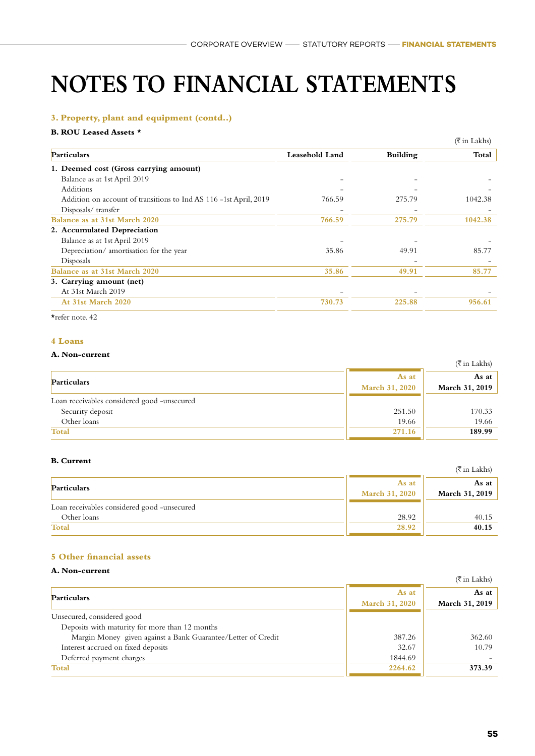#### **3. Property, plant and equipment (contd..)**

#### **B. ROU Leased Assets \***

|                                                                   |                |                 | $(\overline{\xi}$ in Lakhs) |
|-------------------------------------------------------------------|----------------|-----------------|-----------------------------|
| Particulars                                                       | Leasehold Land | <b>Building</b> | Total                       |
| 1. Deemed cost (Gross carrying amount)                            |                |                 |                             |
| Balance as at 1st April 2019                                      |                |                 |                             |
| Additions                                                         |                |                 |                             |
| Addition on account of transitions to Ind AS 116 -1st April, 2019 | 766.59         | 275.79          | 1042.38                     |
| Disposals/transfer                                                |                |                 |                             |
| Balance as at 31st March 2020                                     | 766.59         | 275.79          | 1042.38                     |
| 2. Accumulated Depreciation                                       |                |                 |                             |
| Balance as at 1st April 2019                                      |                |                 |                             |
| Depreciation/amortisation for the year                            | 35.86          | 49.91           | 85.77                       |
| Disposals                                                         |                |                 |                             |
| Balance as at 31st March 2020                                     | 35.86          | 49.91           | 85.77                       |
| 3. Carrying amount (net)                                          |                |                 |                             |
| At 31st March 2019                                                |                |                 |                             |
| At 31st March 2020                                                | 730.73         | 225.88          | 956.61                      |

\*refer note. 42

#### **4 Loans**

#### **A. Non-current**

|                                             |                         | (₹ in Lakhs)            |
|---------------------------------------------|-------------------------|-------------------------|
| <b>Particulars</b>                          | As at<br>March 31, 2020 | As at<br>March 31, 2019 |
| Loan receivables considered good -unsecured |                         |                         |
| Security deposit                            | 251.50                  | 170.33                  |
| Other loans                                 | 19.66                   | 19.66                   |
| <b>Total</b>                                | 271.16                  | 189.99                  |

#### **B. Current**

| v. van van                                  |                                | (₹ in Lakhs)            |
|---------------------------------------------|--------------------------------|-------------------------|
| Particulars                                 | As at<br><b>March 31, 2020</b> | As at<br>March 31, 2019 |
| Loan receivables considered good -unsecured |                                |                         |
| Other loans                                 | 28.92                          | 40.15                   |
| <b>Total</b>                                | 28.92                          | 40.15                   |

#### **5 Other financial assets**

#### **A. Non-current**

| 11. IVUL-VULLUI                                              |                                | $(\overline{\xi}$ in Lakhs) |
|--------------------------------------------------------------|--------------------------------|-----------------------------|
| <b>Particulars</b>                                           | As at<br><b>March 31, 2020</b> | As at<br>March 31, 2019     |
| Unsecured, considered good                                   |                                |                             |
| Deposits with maturity for more than 12 months               |                                |                             |
| Margin Money given against a Bank Guarantee/Letter of Credit | 387.26                         | 362.60                      |
| Interest accrued on fixed deposits                           | 32.67                          | 10.79                       |
| Deferred payment charges                                     | 1844.69                        |                             |
| Total                                                        | 2264.62                        | 373.39                      |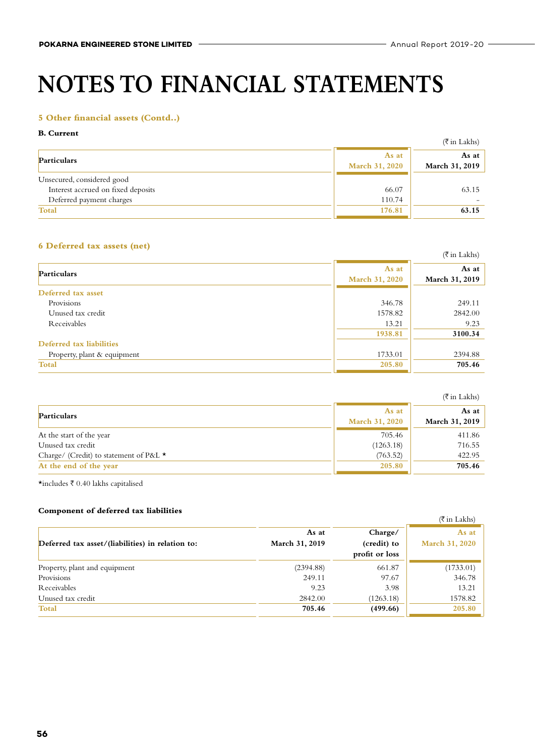#### **5 Other financial assets (Contd..)**

#### **B. Current**

| v. vultuu                          |                         | $(\overline{\xi}$ in Lakhs) |
|------------------------------------|-------------------------|-----------------------------|
| Particulars                        | As at<br>March 31, 2020 | As at $ $<br>March 31, 2019 |
| Unsecured, considered good         |                         |                             |
| Interest accrued on fixed deposits | 66.07                   | 63.15                       |
| Deferred payment charges           | 110.74                  |                             |
| <b>Total</b>                       | 176.81                  | 63.15                       |

#### **6 Deferred tax assets (net)**

|         | $(\overline{\xi}$ in Lakhs) |
|---------|-----------------------------|
| As at   | As at<br>March 31, 2019     |
|         |                             |
| 346.78  | 249.11                      |
| 1578.82 | 2842.00                     |
| 13.21   | 9.23                        |
| 1938.81 | 3100.34                     |
|         |                             |
| 1733.01 | 2394.88                     |
| 205.80  | 705.46                      |
|         | March 31, 2020              |

|                                        |                                | (₹in Lakhs)             |
|----------------------------------------|--------------------------------|-------------------------|
| Particulars                            | As at<br><b>March 31, 2020</b> | As at<br>March 31, 2019 |
| At the start of the year               | 705.46                         | 411.86                  |
| Unused tax credit                      | (1263.18)                      | 716.55                  |
| Charge/ (Credit) to statement of P&L ★ | (763.52)                       | 422.95                  |
| At the end of the year                 | 205.80                         | 705.46                  |

 $\star$ includes  $\bar{\tau}$  0.40 lakhs capitalised

#### **Component of deferred tax liabilities**

| Component of acterica tax habitates              |                |                | $(\overline{\xi}$ in Lakhs) |
|--------------------------------------------------|----------------|----------------|-----------------------------|
|                                                  | As at          | Charge/        | As at                       |
| Deferred tax asset/(liabilities) in relation to: | March 31, 2019 | (credit) to    | <b>March 31, 2020</b>       |
|                                                  |                | profit or loss |                             |
| Property, plant and equipment                    | (2394.88)      | 661.87         | (1733.01)                   |
| Provisions                                       | 249.11         | 97.67          | 346.78                      |
| Receivables                                      | 9.23           | 3.98           | 13.21                       |
| Unused tax credit                                | 2842.00        | (1263.18)      | 1578.82                     |
| <b>Total</b>                                     | 705.46         | (499.66)       | 205.80                      |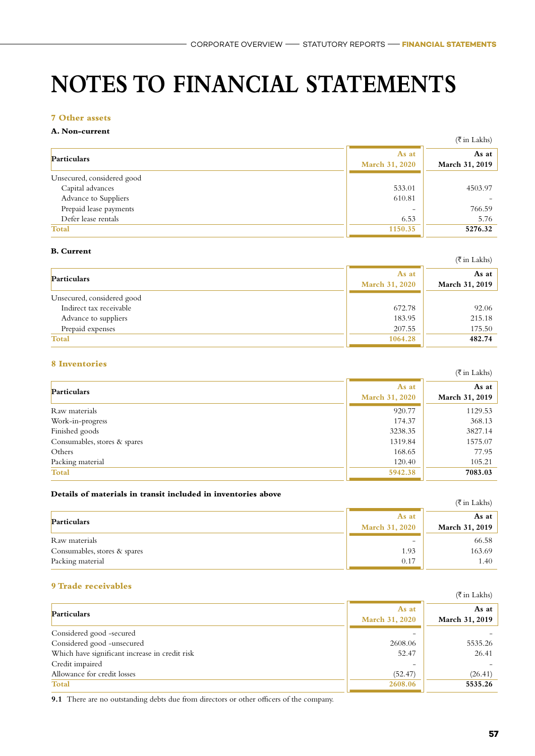#### **7 Other assets**

#### **A. Non-current**

|                            |                | $(\overline{\xi}$ in Lakhs) |
|----------------------------|----------------|-----------------------------|
| Particulars                | As at          | As at $\vert$               |
|                            | March 31, 2020 | March 31, 2019              |
| Unsecured, considered good |                |                             |
| Capital advances           | 533.01         | 4503.97                     |
| Advance to Suppliers       | 610.81         |                             |
| Prepaid lease payments     |                | 766.59                      |
| Defer lease rentals        | 6.53           | 5.76                        |
| <b>Total</b>               | 1150.35        | 5276.32                     |

### **B. Current**

|                            |                                | (₹in Lakhs)             |
|----------------------------|--------------------------------|-------------------------|
| Particulars                | As at<br><b>March 31, 2020</b> | As at<br>March 31, 2019 |
| Unsecured, considered good |                                |                         |
| Indirect tax receivable    | 672.78                         | 92.06                   |
| Advance to suppliers       | 183.95                         | 215.18                  |
| Prepaid expenses           | 207.55                         | 175.50                  |
| <b>Total</b>               | 1064.28                        | 482.74                  |

#### **8 Inventories**

|                              |                                | $(\bar{\bar{\tau}}$ in Lakhs) |
|------------------------------|--------------------------------|-------------------------------|
| Particulars                  | As at<br><b>March 31, 2020</b> | As at<br>March 31, 2019       |
| Raw materials                | 920.77                         | 1129.53                       |
| Work-in-progress             | 174.37                         | 368.13                        |
| Finished goods               | 3238.35                        | 3827.14                       |
| Consumables, stores & spares | 1319.84                        | 1575.07                       |
| Others                       | 168.65                         | 77.95                         |
| Packing material             | 120.40                         | 105.21                        |
| <b>Total</b>                 | 5942.38                        | 7083.03                       |

#### **Details of materials in transit included in inventories above**

|                              |                       | (₹ in Lakhs)   |
|------------------------------|-----------------------|----------------|
| Particulars                  | As at                 | As at          |
|                              | <b>March 31, 2020</b> | March 31, 2019 |
| Raw materials                |                       | 66.58          |
| Consumables, stores & spares | 1.93                  | 163.69         |
| Packing material             | 0.17                  | 1.40           |

#### **9 Trade receivables**

|                                                |                                | $(\overline{\xi}$ in Lakhs) |
|------------------------------------------------|--------------------------------|-----------------------------|
| Particulars                                    | As at<br><b>March 31, 2020</b> | As at<br>March 31, 2019     |
| Considered good -secured                       |                                |                             |
| Considered good -unsecured                     | 2608.06                        | 5535.26                     |
| Which have significant increase in credit risk | 52.47                          | 26.41                       |
| Credit impaired                                |                                |                             |
| Allowance for credit losses                    | (52.47)                        | (26.41)                     |
| Total                                          | 2608.06                        | 5535.26                     |

**9.1** There are no outstanding debts due from directors or other officers of the company.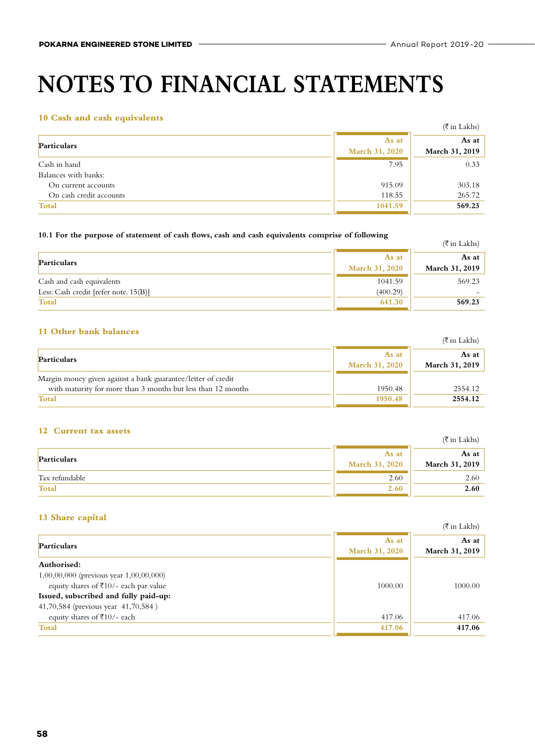#### **10 Cash and cash equivalents**

|                                                |                                | $(\overline{\mathfrak{F}}$ in Lakhs) |
|------------------------------------------------|--------------------------------|--------------------------------------|
| Particulars                                    | As at<br><b>March 31, 2020</b> | As at<br>March 31, 2019              |
| Cash in hand<br>Balances with banks:           | 7.95                           | 0.33                                 |
| On current accounts<br>On cash credit accounts | 915.09<br>118.55               | 303.18<br>265.72                     |
| <b>Total</b>                                   | 1041.59                        | 569.23                               |

#### **10.1 For the purpose of statement of cash flows, cash and cash equivalents comprise of following**

| TV.I TOT the purpose of statement of easil hows, easil and easil equivalents complise of following |                                | $(\bar{\bar{\tau}}$ in Lakhs)   |
|----------------------------------------------------------------------------------------------------|--------------------------------|---------------------------------|
| <b>Particulars</b>                                                                                 | As at<br><b>March 31, 2020</b> | As at $\vert$<br>March 31, 2019 |
| Cash and cash equivalents                                                                          | 1041.59                        | 569.23                          |
| Less: Cash credit [refer note. $15(B)$ ]                                                           | (400.29)                       |                                 |
| Total                                                                                              | 641.30                         | 569.23                          |

#### **11 Other bank balances**

|                                                              |                                | $(\bar{\bar{\tau}}$ in Lakhs) |
|--------------------------------------------------------------|--------------------------------|-------------------------------|
| Particulars                                                  | As at<br><b>March 31, 2020</b> | As at<br>March 31, 2019       |
| Margin money given against a bank guarantee/letter of credit |                                |                               |
| with maturity for more than 3 months but less than 12 months | 1950.48                        | 2554.12                       |
| Total                                                        | 1950.48                        | 2554.12                       |

#### **12 Current tax assets**

| ___________________ |                                | $(\overline{\xi}$ in Lakhs)     |
|---------------------|--------------------------------|---------------------------------|
| Particulars         | As at<br><b>March 31, 2020</b> | As at $\vert$<br>March 31, 2019 |
| Tax refundable      | 2.60                           | 2.60                            |
| <b>Total</b>        | 2.60                           | 2.60                            |

#### **13 Share capital**

|                                              |                                | $(\overline{\tau}$ in Lakhs)   |
|----------------------------------------------|--------------------------------|--------------------------------|
| <b>Particulars</b>                           | As at<br><b>March 31, 2020</b> | As at<br><b>March 31, 2019</b> |
| Authorised:                                  |                                |                                |
| $1,00,00,000$ (previous year $1,00,00,000$ ) |                                |                                |
| equity shares of ₹10/- each par value        | 1000.00                        | 1000.00                        |
| Issued, subscribed and fully paid-up:        |                                |                                |
| 41,70,584 (previous year 41,70,584)          |                                |                                |
| equity shares of $\overline{\xi}10/-$ each   | 417.06                         | 417.06                         |
| Total                                        | 417.06                         | 417.06                         |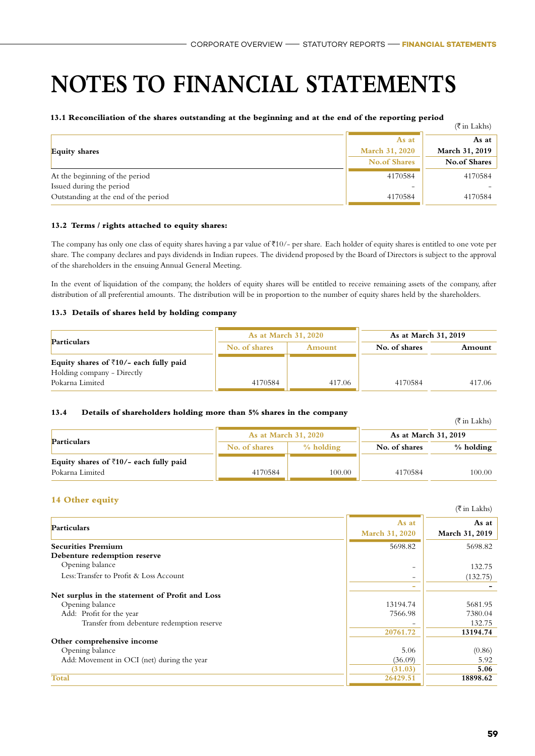#### **13.1 Reconciliation of the shares outstanding at the beginning and at the end of the reporting period**

|                                      |                     | $(\overline{\xi}$ in Lakhs) |
|--------------------------------------|---------------------|-----------------------------|
|                                      | As at               | As at $ $                   |
| <b>Equity shares</b>                 | March 31, 2020      | March 31, 2019              |
|                                      | <b>No.of Shares</b> | No.of Shares                |
| At the beginning of the period       | 4170584             | 4170584                     |
| Issued during the period             | -                   |                             |
| Outstanding at the end of the period | 4170584             | 4170584                     |

#### **13.2 Terms / rights attached to equity shares:**

The company has only one class of equity shares having a par value of  $\overline{f}10/-$  per share. Each holder of equity shares is entitled to one vote per share. The company declares and pays dividends in Indian rupees. The dividend proposed by the Board of Directors is subject to the approval of the shareholders in the ensuing Annual General Meeting.

In the event of liquidation of the company, the holders of equity shares will be entitled to receive remaining assets of the company, after distribution of all preferential amounts. The distribution will be in proportion to the number of equity shares held by the shareholders.

#### **13.3 Details of shares held by holding company**

| <b>Particulars</b>                                | <b>As at March 31, 2020</b> |        | As at March 31, 2019 |        |
|---------------------------------------------------|-----------------------------|--------|----------------------|--------|
|                                                   | No. of shares               | Amount | No. of shares        | Amount |
| Equity shares of $\bar{\tau}10/-$ each fully paid |                             |        |                      |        |
| Holding company - Directly                        |                             |        |                      |        |
| Pokarna Limited                                   | 4170584                     | 417.06 | 4170584              | 417.06 |

#### **13.4 Details of shareholders holding more than 5% shares in the company**

|                                                   |                             |             |                      | (₹ in Lakhs) |
|---------------------------------------------------|-----------------------------|-------------|----------------------|--------------|
|                                                   | <b>As at March 31, 2020</b> |             | As at March 31, 2019 |              |
| Particulars                                       | No. of shares               | $%$ holding | No. of shares        | % holding    |
| Equity shares of $\bar{\tau}10/-$ each fully paid |                             |             |                      |              |
| Pokarna Limited                                   | 4170584                     | 100.00      | 4170584              | 100.00       |

#### **14 Other equity**

| $11$ value vquicy                               |                         | $(\overline{\xi}$ in Lakhs) |
|-------------------------------------------------|-------------------------|-----------------------------|
| Particulars                                     | As at<br>March 31, 2020 | As at<br>March 31, 2019     |
| <b>Securities Premium</b>                       | 5698.82                 | 5698.82                     |
| Debenture redemption reserve                    |                         |                             |
| Opening balance                                 |                         | 132.75                      |
| Less: Transfer to Profit & Loss Account         |                         | (132.75)                    |
|                                                 |                         |                             |
| Net surplus in the statement of Profit and Loss |                         |                             |
| Opening balance                                 | 13194.74                | 5681.95                     |
| Add: Profit for the year                        | 7566.98                 | 7380.04                     |
| Transfer from debenture redemption reserve      |                         | 132.75                      |
|                                                 | 20761.72                | 13194.74                    |
| Other comprehensive income                      |                         |                             |
| Opening balance                                 | 5.06                    | (0.86)                      |
| Add: Movement in OCI (net) during the year      | (36.09)                 | 5.92                        |
|                                                 | (31.03)                 | 5.06                        |
| <b>Total</b>                                    | 26429.51                | 18898.62                    |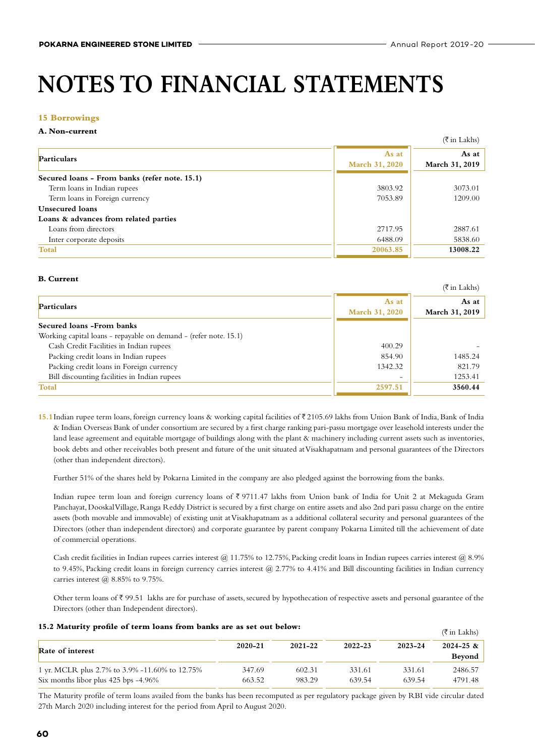(H in Lakhs)

# **NOTES TO FINANCIAL STATEMENTS**

#### **15 Borrowings**

#### **A. Non-current**

|                                               |                                | (ব in Lakhs)            |
|-----------------------------------------------|--------------------------------|-------------------------|
| Particulars                                   | As at<br><b>March 31, 2020</b> | As at<br>March 31, 2019 |
| Secured loans - From banks (refer note. 15.1) |                                |                         |
| Term loans in Indian rupees                   | 3803.92                        | 3073.01                 |
| Term loans in Foreign currency                | 7053.89                        | 1209.00                 |
| Unsecured loans                               |                                |                         |
| Loans & advances from related parties         |                                |                         |
| Loans from directors                          | 2717.95                        | 2887.61                 |
| Inter corporate deposits                      | 6488.09                        | 5838.60                 |
| <b>Total</b>                                  | 20063.85                       | 13008.22                |

#### **B. Current**

|                                                                  |                       | $(\overline{\xi}$ in Lakhs) |
|------------------------------------------------------------------|-----------------------|-----------------------------|
| <b>Particulars</b>                                               | As at                 | As at                       |
|                                                                  | <b>March 31, 2020</b> | March 31, 2019              |
| Secured loans - From banks                                       |                       |                             |
| Working capital loans – repayable on demand – (refer note. 15.1) |                       |                             |
| Cash Credit Facilities in Indian rupees                          | 400.29                |                             |
| Packing credit loans in Indian rupees                            | 854.90                | 1485.24                     |
| Packing credit loans in Foreign currency                         | 1342.32               | 821.79                      |
| Bill discounting facilities in Indian rupees                     |                       | 1253.41                     |
| <b>Total</b>                                                     | 2597.51               | 3560.44                     |
|                                                                  |                       |                             |

15.1 Indian rupee term loans, foreign currency loans & working capital facilities of ₹2105.69 lakhs from Union Bank of India, Bank of India & Indian Overseas Bank of under consortium are secured by a first charge ranking pari-passu mortgage over leasehold interests under the land lease agreement and equitable mortgage of buildings along with the plant & machinery including current assets such as inventories, book debts and other receivables both present and future of the unit situated at Visakhapatnam and personal guarantees of the Directors (other than independent directors).

Further 51% of the shares held by Pokarna Limited in the company are also pledged against the borrowing from the banks.

Indian rupee term loan and foreign currency loans of  $\bar{\xi}$  9711.47 lakhs from Union bank of India for Unit 2 at Mekaguda Gram Panchayat, Dooskal Village, Ranga Reddy District is secured by a first charge on entire assets and also 2nd pari passu charge on the entire assets (both movable and immovable) of existing unit at Visakhapatnam as a additional collateral security and personal guarantees of the Directors (other than independent directors) and corporate guarantee by parent company Pokarna Limited till the achievement of date of commercial operations.

Cash credit facilities in Indian rupees carries interest @ 11.75% to 12.75%, Packing credit loans in Indian rupees carries interest @ 8.9% to 9.45%, Packing credit loans in foreign currency carries interest @ 2.77% to 4.41% and Bill discounting facilities in Indian currency carries interest  $(a)$  8.85% to 9.75%.

Other term loans of  $\bar{\tau}$  99.51 lakhs are for purchase of assets, secured by hypothecation of respective assets and personal guarantee of the Directors (other than Independent directors).

| 15.2 Maturity profile of term loans from banks are as set out below |  |  |
|---------------------------------------------------------------------|--|--|
|---------------------------------------------------------------------|--|--|

| 15.2 Maturity profile of term loans from banks are as set out below: |        |        |        |        | $(\overline{\xi}$ in Lakhs) |
|----------------------------------------------------------------------|--------|--------|--------|--------|-----------------------------|
| 2021-22<br>2023-24<br>$2022 - 23$<br>2020-21<br>Rate of interest     |        |        |        |        | $2024 - 25 \&$              |
|                                                                      |        |        |        |        | Beyond                      |
| 1 yr. MCLR plus 2.7% to 3.9% -11.60% to 12.75%                       | 347.69 | 602.31 | 331.61 | 331.61 | 2486.57                     |
| Six months libor plus $425$ bps $-4.96\%$                            | 663.52 | 983.29 | 639.54 | 639.54 | 4791.48                     |

The Maturity profile of term loans availed from the banks has been recomputed as per regulatory package given by RBI vide circular dated 27th March 2020 including interest for the period from April to August 2020.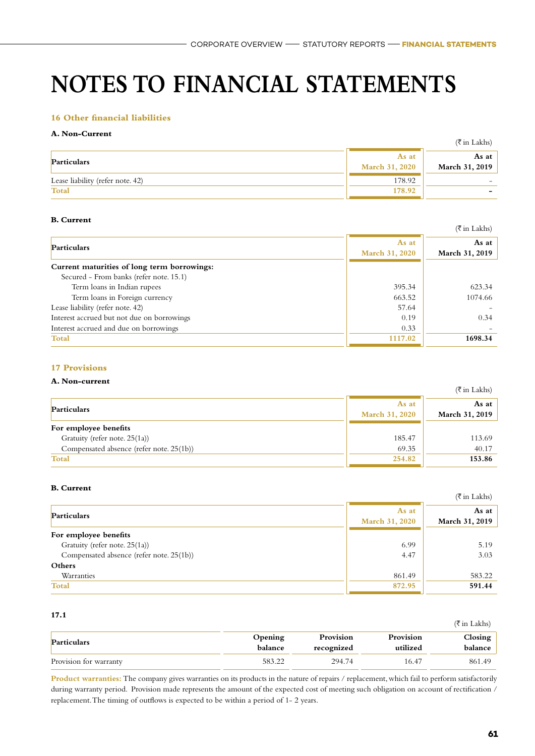#### **16 Other financial liabilities**

#### **A. Non-Current**

|                                  |                                | (₹in Lakhs)             |
|----------------------------------|--------------------------------|-------------------------|
| Particulars                      | As at<br><b>March 31, 2020</b> | As at<br>March 31, 2019 |
| Lease liability (refer note. 42) | 178.92                         |                         |
| Total                            | 178.92                         |                         |

#### **B. Current**

|                                             |                                | $(\bar{\bar{\tau}})$ in Lakhs) |
|---------------------------------------------|--------------------------------|--------------------------------|
| Particulars                                 | As at<br><b>March 31, 2020</b> | As at<br>March 31, 2019        |
| Current maturities of long term borrowings: |                                |                                |
| Secured - From banks (refer note, 15.1)     |                                |                                |
| Term loans in Indian rupees                 | 395.34                         | 623.34                         |
| Term loans in Foreign currency              | 663.52                         | 1074.66                        |
| Lease liability (refer note. 42)            | 57.64                          |                                |
| Interest accrued but not due on borrowings  | 0.19                           | 0.34                           |
| Interest accrued and due on borrowings      | 0.33                           |                                |
| <b>Total</b>                                | 1117.02                        | 1698.34                        |

#### **17 Provisions**

#### **A. Non-current**

| A. ivon-current                          |                                | $(\overline{\xi}$ in Lakhs)    |
|------------------------------------------|--------------------------------|--------------------------------|
| Particulars                              | As at<br><b>March 31, 2020</b> | As at<br><b>March 31, 2019</b> |
| For employee benefits                    |                                |                                |
| Gratuity (refer note. 25(1a))            | 185.47                         | 113.69                         |
| Compensated absence (refer note. 25(1b)) | 69.35                          | 40.17                          |
| <b>Total</b>                             | 254.82                         | 153.86                         |

#### **B. Current**

|                                          |                         | $(\overline{\xi}$ in Lakhs) |
|------------------------------------------|-------------------------|-----------------------------|
| Particulars                              | As at<br>March 31, 2020 | As at<br>March 31, 2019     |
| For employee benefits                    |                         |                             |
| Gratuity (refer note. 25(1a))            | 6.99                    | 5.19                        |
| Compensated absence (refer note. 25(1b)) | 4.47                    | 3.03                        |
| Others                                   |                         |                             |
| Warranties                               | 861.49                  | 583.22                      |
| <b>Total</b>                             | 872.95                  | 591.44                      |

#### **17.1**

| .                      |                    |                         |                       | (₹ in Lakhs)       |
|------------------------|--------------------|-------------------------|-----------------------|--------------------|
| Particulars            | Opening<br>balance | Provision<br>recognized | Provision<br>utilized | Closing<br>balance |
| Provision for warranty | 583.22             | 294.74                  | 16.47                 | 861.49             |

Product warranties: The company gives warranties on its products in the nature of repairs / replacement, which fail to perform satisfactorily during warranty period. Provision made represents the amount of the expected cost of meeting such obligation on account of rectification / replacement. The timing of outflows is expected to be within a period of 1- 2 years.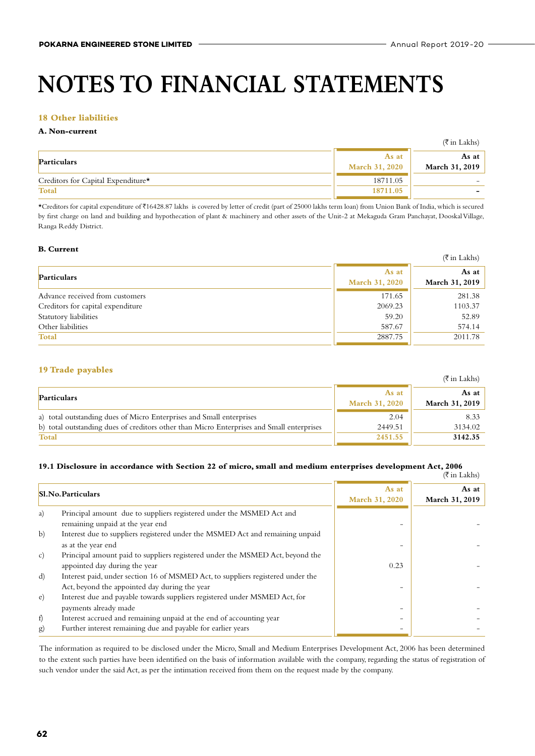$\mathcal{L}(\mathcal{L})$ 

# **NOTES TO FINANCIAL STATEMENTS**

#### **18 Other liabilities**

#### **A. Non-current**

|                                                |                                | $(\overline{\xi}$ in Lakhs) |
|------------------------------------------------|--------------------------------|-----------------------------|
| <b>Particulars</b>                             | As at<br><b>March 31, 2020</b> | As at<br>March 31, 2019     |
| Creditors for Capital Expenditure <sup>*</sup> | 18711.05                       |                             |
| <b>Total</b>                                   | 18711.05                       | -                           |

\*Creditors for capital expenditure of H16428.87 lakhs is covered by letter of credit (part of 25000 lakhs term loan) from Union Bank of India, which is secured by first charge on land and building and hypothecation of plant & machinery and other assets of the Unit-2 at Mekaguda Gram Panchayat, Dooskal Village, Ranga Reddy District.

#### **B. Current**

|                                   |                         | $(\overline{\xi}$ in Lakhs)    |
|-----------------------------------|-------------------------|--------------------------------|
| Particulars                       | As at<br>March 31, 2020 | As at<br><b>March 31, 2019</b> |
| Advance received from customers   | 171.65                  | 281.38                         |
| Creditors for capital expenditure | 2069.23                 | 1103.37                        |
| Statutory liabilities             | 59.20                   | 52.89                          |
| Other liabilities                 | 587.67                  | 574.14                         |
| <b>Total</b>                      | 2887.75                 | 2011.78                        |

#### **19 Trade payables**

|                                                                                           |                                | $(5 \text{ in Lakk})$   |
|-------------------------------------------------------------------------------------------|--------------------------------|-------------------------|
| Particulars                                                                               | As at<br><b>March 31, 2020</b> | As at<br>March 31, 2019 |
| a) total outstanding dues of Micro Enterprises and Small enterprises                      | 2.04                           | 8.33                    |
| b) total outstanding dues of creditors other than Micro Enterprises and Small enterprises | 2449.51                        | 3134.02                 |
| Total                                                                                     | 2451.55                        | 3142.35                 |

#### **19.1 Disclosure in accordance with Section 22 of micro, small and medium enterprises development Act, 2006** (H in Lakhs)

|                                                                                 |                          | $\left(\right)$ III LANIS   |
|---------------------------------------------------------------------------------|--------------------------|-----------------------------|
|                                                                                 | As at                    | As at $ $<br>March 31, 2019 |
|                                                                                 |                          |                             |
| Principal amount due to suppliers registered under the MSMED Act and            |                          |                             |
| remaining unpaid at the year end                                                |                          |                             |
| Interest due to suppliers registered under the MSMED Act and remaining unpaid   |                          |                             |
| as at the year end                                                              |                          |                             |
| Principal amount paid to suppliers registered under the MSMED Act, beyond the   |                          |                             |
| appointed day during the year                                                   | 0.23                     |                             |
| Interest paid, under section 16 of MSMED Act, to suppliers registered under the |                          |                             |
| Act, beyond the appointed day during the year                                   |                          |                             |
| Interest due and payable towards suppliers registered under MSMED Act, for      |                          |                             |
| payments already made                                                           |                          |                             |
| Interest accrued and remaining unpaid at the end of accounting year             |                          |                             |
| Further interest remaining due and payable for earlier years                    |                          |                             |
|                                                                                 | <b>Sl.No.Particulars</b> | March 31, 2020              |

The information as required to be disclosed under the Micro, Small and Medium Enterprises Development Act, 2006 has been determined to the extent such parties have been identified on the basis of information available with the company, regarding the status of registration of such vendor under the said Act, as per the intimation received from them on the request made by the company.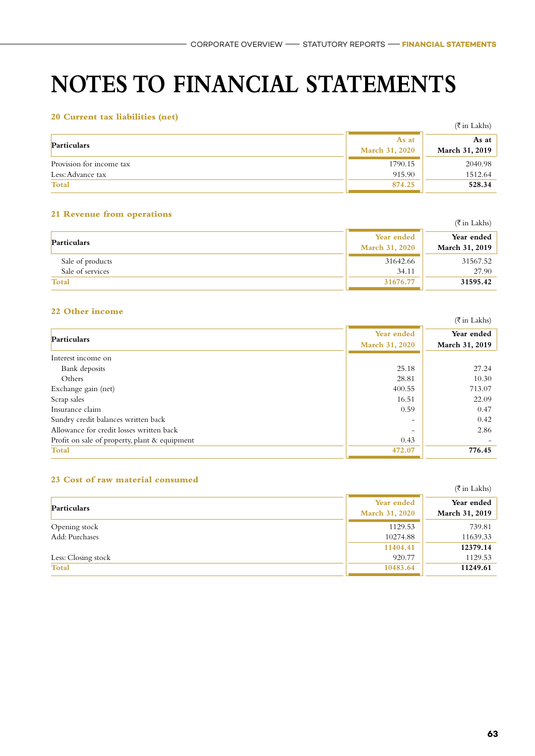### **20 Current tax liabilities (net)**

| so quitent tux hubmittes (net) |                       | $(\bar{\bar{\tau}}$ in Lakhs) |
|--------------------------------|-----------------------|-------------------------------|
| Particulars                    | As at                 | As at                         |
|                                | <b>March 31, 2020</b> | March 31, 2019                |
| Provision for income tax       | 1790.15               | 2040.98                       |
| Less: Advance tax              | 915.90                | 1512.64                       |
| <b>Total</b>                   | 874.25                | 528.34                        |

#### **21 Revenue from operations**

|                  |                       | (₹in Lakhs)    |
|------------------|-----------------------|----------------|
| Particulars      | Year ended            | Year ended     |
|                  | <b>March 31, 2020</b> | March 31, 2019 |
| Sale of products | 31642.66              | 31567.52       |
| Sale of services | 34.11                 | 27.90          |
| <b>Total</b>     | 31676.77              | 31595.42       |

### **22 Other income**

|                                               |                | $(\overline{\tau}$ in Lakhs) |
|-----------------------------------------------|----------------|------------------------------|
| Particulars                                   | Year ended     | Year ended                   |
|                                               | March 31, 2020 | March 31, 2019               |
| Interest income on                            |                |                              |
| Bank deposits                                 | 25.18          | 27.24                        |
| Others                                        | 28.81          | 10.30                        |
| Exchange gain (net)                           | 400.55         | 713.07                       |
| Scrap sales                                   | 16.51          | 22.09                        |
| Insurance claim                               | 0.59           | 0.47                         |
| Sundry credit balances written back           |                | 0.42                         |
| Allowance for credit losses written back      |                | 2.86                         |
| Profit on sale of property, plant & equipment | 0.43           |                              |
| <b>Total</b>                                  | 472.07         | 776.45                       |

#### **23 Cost of raw material consumed**

| - Cost of fun mantel and computed |                              | $(\overline{\tau}$ in Lakhs) |
|-----------------------------------|------------------------------|------------------------------|
| Particulars                       | Year ended<br>March 31, 2020 | Year ended<br>March 31, 2019 |
| Opening stock<br>Add: Purchases   | 1129.53<br>10274.88          | 739.81<br>11639.33           |
| Less: Closing stock               | 11404.41<br>920.77           | 12379.14<br>1129.53          |
| Total                             | 10483.64                     | 11249.61                     |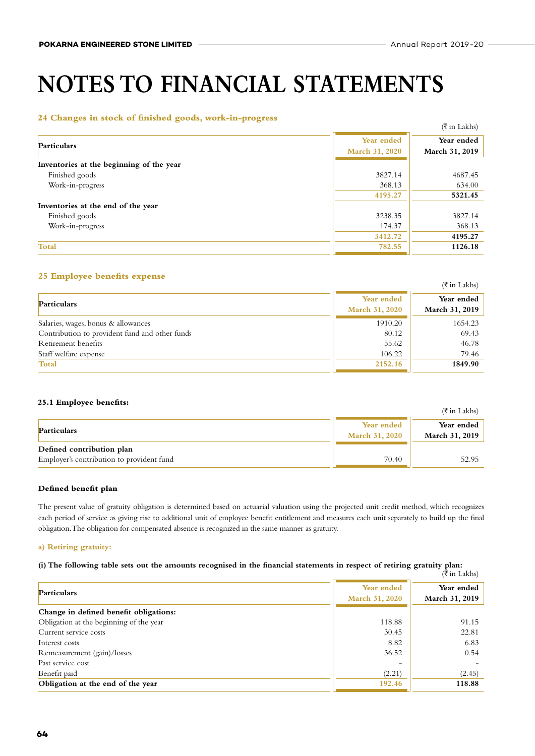#### **24 Changes in stock of finished goods, work-in-progress**

| $-$ . Can was given and become the analysis of give way in the and particle $-$ |                       | $(\overline{\tau}$ in Lakhs) |
|---------------------------------------------------------------------------------|-----------------------|------------------------------|
| Particulars                                                                     | Year ended            | Year ended                   |
|                                                                                 | <b>March 31, 2020</b> | March 31, 2019               |
| Inventories at the beginning of the year                                        |                       |                              |
| Finished goods                                                                  | 3827.14               | 4687.45                      |
| Work-in-progress                                                                | 368.13                | 634.00                       |
|                                                                                 | 4195.27               | 5321.45                      |
| Inventories at the end of the year                                              |                       |                              |
| Finished goods                                                                  | 3238.35               | 3827.14                      |
| Work-in-progress                                                                | 174.37                | 368.13                       |
|                                                                                 | 3412.72               | 4195.27                      |
| <b>Total</b>                                                                    | 782.55                | 1126.18                      |

#### **25 Employee benefits expense**

|                                                |                              | $(\bar{\bar{\tau}}$ in Lakhs)       |
|------------------------------------------------|------------------------------|-------------------------------------|
| Particulars                                    | Year ended<br>March 31, 2020 | Year ended<br><b>March 31, 2019</b> |
| Salaries, wages, bonus & allowances            | 1910.20                      | 1654.23                             |
| Contribution to provident fund and other funds | 80.12                        | 69.43                               |
| Retirement benefits                            | 55.62                        | 46.78                               |
| Staff welfare expense                          | 106.22                       | 79.46                               |
| <b>Total</b>                                   | 2152.16                      | 1849.90                             |

#### **25.1 Employee benefits:**

| 23.1 Employee benefits.                   |                                     | (₹in Lakhs)                  |
|-------------------------------------------|-------------------------------------|------------------------------|
| <b>Particulars</b>                        | Year ended<br><b>March 31, 2020</b> | Year ended<br>March 31, 2019 |
| Defined contribution plan                 |                                     |                              |
| Employer's contribution to provident fund | 70.40                               | 52.95                        |

#### **Defined benefit plan**

The present value of gratuity obligation is determined based on actuarial valuation using the projected unit credit method, which recognizes each period of service as giving rise to additional unit of employee benefit entitlement and measures each unit separately to build up the final obligation. The obligation for compensated absence is recognized in the same manner as gratuity.

#### **a) Retiring gratuity:**

#### **(i) The following table sets out the amounts recognised in the financial statements in respect of retiring gratuity plan:** rum<br>(₹in Lakhs)

|                                         |                                     | $\left(\right)$ III Lanis)   |
|-----------------------------------------|-------------------------------------|------------------------------|
| <b>Particulars</b>                      | Year ended<br><b>March 31, 2020</b> | Year ended<br>March 31, 2019 |
| Change in defined benefit obligations:  |                                     |                              |
| Obligation at the beginning of the year | 118.88                              | 91.15                        |
| Current service costs                   | 30.45                               | 22.81                        |
| Interest costs                          | 8.82                                | 6.83                         |
| Remeasurement (gain)/losses             | 36.52                               | 0.54                         |
| Past service cost                       | $\overline{\phantom{0}}$            |                              |
| Benefit paid                            | (2.21)                              | (2.45)                       |
| Obligation at the end of the year       | 192.46                              | 118.88                       |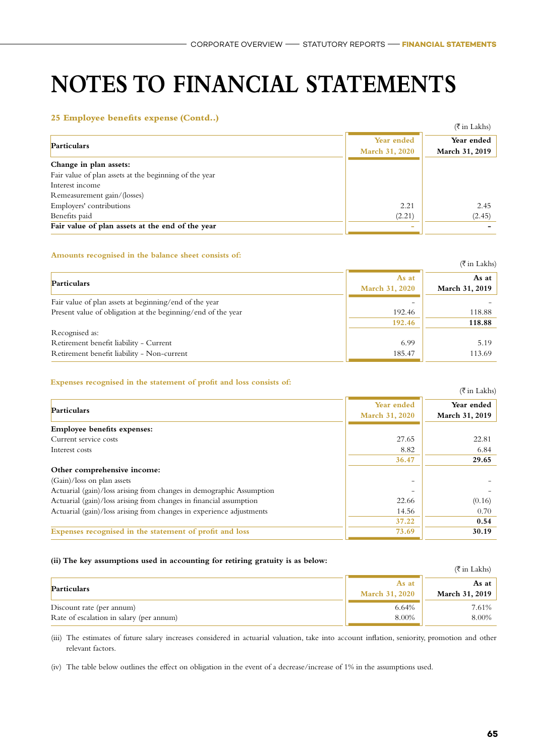#### **25 Employee benefits expense (Contd..)**

|                                                                                  |                              | $(\overline{\tau}$ in Lakhs) |
|----------------------------------------------------------------------------------|------------------------------|------------------------------|
| <b>Particulars</b>                                                               | Year ended<br>March 31, 2020 | Year ended<br>March 31, 2019 |
| Change in plan assets:<br>Fair value of plan assets at the beginning of the year |                              |                              |
| Interest income                                                                  |                              |                              |
| Remeasurement gain/(losses)<br>Employers' contributions                          | 2.21                         | 2.45                         |
| Benefits paid                                                                    | (2.21)                       | (2.45)                       |
| Fair value of plan assets at the end of the year                                 | ۰                            |                              |

#### **Amounts recognised in the balance sheet consists of:**

|                                                              |                       | $(\overline{\tau}$ in Lakhs) |
|--------------------------------------------------------------|-----------------------|------------------------------|
| Particulars                                                  | As at                 | As at                        |
|                                                              | <b>March 31, 2020</b> | March 31, 2019               |
| Fair value of plan assets at beginning/end of the year       |                       |                              |
| Present value of obligation at the beginning/end of the year | 192.46                | 118.88                       |
|                                                              | 192.46                | 118.88                       |
| Recognised as:                                               |                       |                              |
| Retirement benefit liability - Current                       | 6.99                  | 5.19                         |
| Retirement benefit liability - Non-current                   | 185.47                | 113.69                       |

#### **Expenses recognised in the statement of profit and loss consists of:**

|                                                                      |                       | $(\overline{\tau}$ in Lakhs) |
|----------------------------------------------------------------------|-----------------------|------------------------------|
| Particulars                                                          | Year ended            | Year ended                   |
|                                                                      | <b>March 31, 2020</b> | March 31, 2019               |
| <b>Employee benefits expenses:</b>                                   |                       |                              |
| Current service costs                                                | 27.65                 | 22.81                        |
| Interest costs                                                       | 8.82                  | 6.84                         |
|                                                                      | 36.47                 | 29.65                        |
| Other comprehensive income:                                          |                       |                              |
| $(Gain)/loss$ on plan assets                                         |                       |                              |
| Actuarial (gain)/loss arising from changes in demographic Assumption |                       |                              |
| Actuarial (gain)/loss arising from changes in financial assumption   | 22.66                 | (0.16)                       |
| Actuarial (gain)/loss arising from changes in experience adjustments | 14.56                 | 0.70                         |
|                                                                      | 37.22                 | 0.54                         |
| Expenses recognised in the statement of profit and loss              | 73.69                 | 30.19                        |
|                                                                      |                       |                              |

#### **(ii) The key assumptions used in accounting for retiring gratuity is as below:**

| $\mu$ , the net assumptions used in accounting for retring gradual, is as ocion. |                                | $(\bar{\bar{\tau}}$ in Lakhs)  |
|----------------------------------------------------------------------------------|--------------------------------|--------------------------------|
| Particulars                                                                      | As at<br><b>March 31, 2020</b> | As at<br><b>March 31, 2019</b> |
| Discount rate (per annum)                                                        | 6.64%                          | 7.61%                          |
| Rate of escalation in salary (per annum)                                         | 8.00%                          | 8.00%                          |

(iii) The estimates of future salary increases considered in actuarial valuation, take into account inflation, seniority, promotion and other relevant factors.

(iv) The table below outlines the effect on obligation in the event of a decrease/increase of 1% in the assumptions used.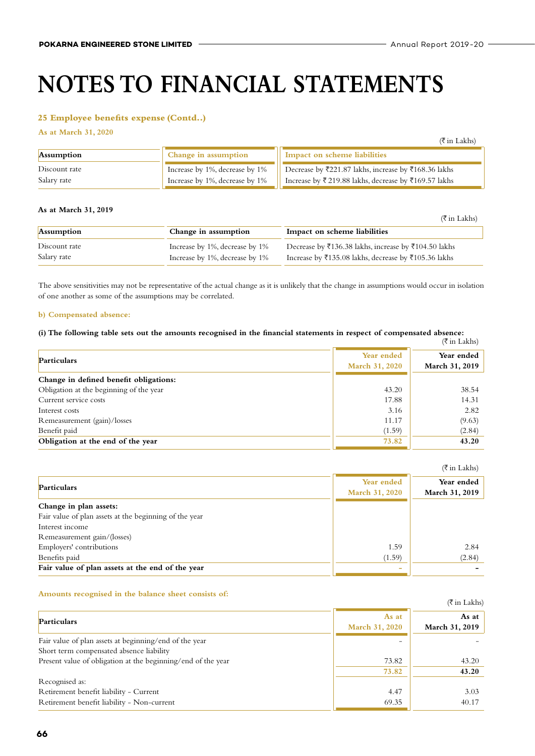#### **25 Employee benefits expense (Contd..)**

**As at March 31, 2020**

|                              |                                                                  | $(\bar{\bar{\tau}})$ in Lakhs)                                                                               |
|------------------------------|------------------------------------------------------------------|--------------------------------------------------------------------------------------------------------------|
| <b>Assumption</b>            | Change in assumption                                             | Impact on scheme liabilities                                                                                 |
| Discount rate<br>Salary rate | Increase by 1%, decrease by 1%<br>Increase by 1%, decrease by 1% | Decrease by ₹221.87 lakhs, increase by ₹168.36 lakhs<br>Increase by ₹219.88 lakhs, decrease by ₹169.57 lakhs |

#### **As at March 31, 2019**

|                   |                                | (₹in Lakhs)                                          |
|-------------------|--------------------------------|------------------------------------------------------|
| <b>Assumption</b> | Change in assumption           | Impact on scheme liabilities                         |
| Discount rate     | Increase by 1%, decrease by 1% | Decrease by ₹136.38 lakhs, increase by ₹104.50 lakhs |
| Salary rate       | Increase by 1%, decrease by 1% | Increase by ₹135.08 lakhs, decrease by ₹105.36 lakhs |

The above sensitivities may not be representative of the actual change as it is unlikely that the change in assumptions would occur in isolation of one another as some of the assumptions may be correlated.

#### **b) Compensated absence:**

### (i) The following table sets out the amounts recognised in the financial statements in respect of compensated absence:<br>( $\bar{\tau}$  in Lakhs)

|                                         |                       | (АНГЕЗКИЯ)            |
|-----------------------------------------|-----------------------|-----------------------|
| <b>Particulars</b>                      | Year ended            | Year ended            |
|                                         | <b>March 31, 2020</b> | <b>March 31, 2019</b> |
| Change in defined benefit obligations:  |                       |                       |
| Obligation at the beginning of the year | 43.20                 | 38.54                 |
| Current service costs                   | 17.88                 | 14.31                 |
| Interest costs                          | 3.16                  | 2.82                  |
| Remeasurement (gain)/losses             | 11.17                 | (9.63)                |
| Benefit paid                            | (1.59)                | (2.84)                |
| Obligation at the end of the year       | 73.82                 | 43.20                 |

|                                                        |                                     | $(\overline{\xi}$ in Lakhs)  |
|--------------------------------------------------------|-------------------------------------|------------------------------|
| Particulars                                            | Year ended<br><b>March 31, 2020</b> | Year ended<br>March 31, 2019 |
| Change in plan assets:                                 |                                     |                              |
| Fair value of plan assets at the beginning of the year |                                     |                              |
| Interest income                                        |                                     |                              |
| Remeasurement gain/(losses)                            |                                     |                              |
| Employers' contributions                               | 1.59                                | 2.84                         |
| Benefits paid                                          | (1.59)                              | (2.84)                       |
| Fair value of plan assets at the end of the year       | -                                   |                              |

#### **Amounts recognised in the balance sheet consists of:**

| THIS WAS TO CHAIN TO ALL THE CHANNELLY CALLERY COMMANDS OF                                         |                                | $(\overline{\tau}$ in Lakhs) |
|----------------------------------------------------------------------------------------------------|--------------------------------|------------------------------|
| Particulars                                                                                        | As at<br><b>March 31, 2020</b> | As at $ $<br>March 31, 2019  |
| Fair value of plan assets at beginning/end of the year<br>Short term compensated absence liability |                                |                              |
| Present value of obligation at the beginning/end of the year                                       | 73.82<br>73.82                 | 43.20<br>43.20               |
| Recognised as:                                                                                     |                                |                              |
| Retirement benefit liability - Current                                                             | 4.47                           | 3.03                         |
| Retirement benefit liability - Non-current                                                         | 69.35                          | 40.17                        |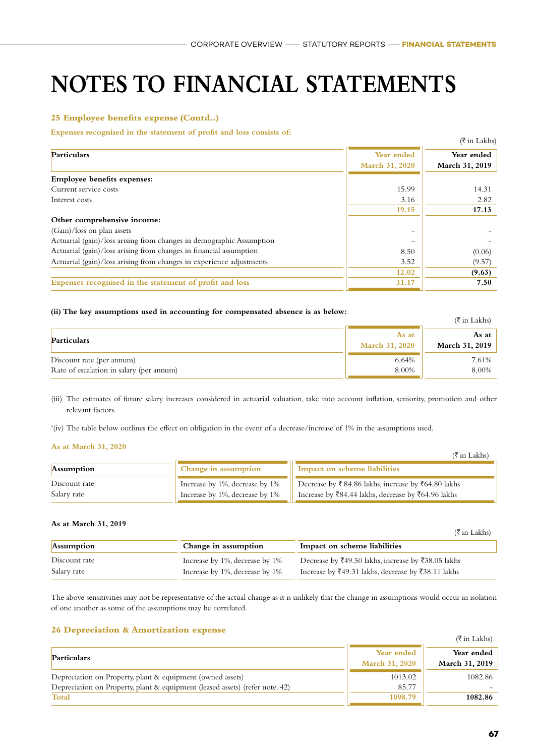#### **25 Employee benefits expense (Contd..)**

#### **Expenses recognised in the statement of profit and loss consists of:**

|                                                                      |                       | $(\overline{\xi}$ in Lakhs) |
|----------------------------------------------------------------------|-----------------------|-----------------------------|
| Particulars                                                          | Year ended            | Year ended                  |
|                                                                      | <b>March 31, 2020</b> | <b>March 31, 2019</b>       |
| <b>Employee benefits expenses:</b>                                   |                       |                             |
| Current service costs                                                | 15.99                 | 14.31                       |
| Interest costs                                                       | 3.16                  | 2.82                        |
|                                                                      | 19.15                 | 17.13                       |
| Other comprehensive income:                                          |                       |                             |
| $(Gain)/loss$ on plan assets                                         |                       |                             |
| Actuarial (gain)/loss arising from changes in demographic Assumption |                       |                             |
| Actuarial (gain)/loss arising from changes in financial assumption   | 8.50                  | (0.06)                      |
| Actuarial (gain)/loss arising from changes in experience adjustments | 3.52                  | (9.57)                      |
|                                                                      | 12.02                 | (9.63)                      |
| Expenses recognised in the statement of profit and loss              | 31.17                 | 7.50                        |

#### **(ii) The key assumptions used in accounting for compensated absence is as below:**

| $\mu$ , the net assumptions used in accounting for compensated assence is as before. |                                | $(\bar{\bar{\tau}}$ in Lakhs)  |
|--------------------------------------------------------------------------------------|--------------------------------|--------------------------------|
| Particulars                                                                          | As at<br><b>March 31, 2020</b> | As at<br><b>March 31, 2019</b> |
| Discount rate (per annum)<br>Rate of escalation in salary (per annum)                | 6.64%<br>8.00%                 | 7.61%<br>8.00%                 |

(iii) The estimates of future salary increases considered in actuarial valuation, take into account inflation, seniority, promotion and other relevant factors.

'(iv) The table below outlines the effect on obligation in the event of a decrease/increase of 1% in the assumptions used.

#### **As at March 31, 2020**

|                              |                                                                  | $(\bar{\bar{\tau}})$ in Lakhs)                                                                           |
|------------------------------|------------------------------------------------------------------|----------------------------------------------------------------------------------------------------------|
| <b>Assumption</b>            | Change in assumption                                             | Impact on scheme liabilities                                                                             |
| Discount rate<br>Salary rate | Increase by 1%, decrease by 1%<br>Increase by 1%, decrease by 1% | Decrease by ₹84.86 lakhs, increase by ₹64.80 lakhs<br>Increase by ₹84.44 lakhs, decrease by ₹64.96 lakhs |

#### **As at March 31, 2019**

|                              |                                                                  | (₹ in Lakhs)                                                                                             |
|------------------------------|------------------------------------------------------------------|----------------------------------------------------------------------------------------------------------|
| <b>Assumption</b>            | Change in assumption                                             | Impact on scheme liabilities                                                                             |
| Discount rate<br>Salary rate | Increase by 1%, decrease by 1%<br>Increase by 1%, decrease by 1% | Decrease by ₹49.50 lakhs, increase by ₹38.05 lakhs<br>Increase by ₹49.31 lakhs, decrease by ₹38.11 lakhs |

The above sensitivities may not be representative of the actual change as it is unlikely that the change in assumptions would occur in isolation of one another as some of the assumptions may be correlated.

#### **26 Depreciation & Amortization expense**

|                                                                                 |                                     | (уш такия)                   |
|---------------------------------------------------------------------------------|-------------------------------------|------------------------------|
| <b>Particulars</b>                                                              | Year ended<br><b>March 31, 2020</b> | Year ended<br>March 31, 2019 |
| Depreciation on Property, plant & equipment (owned assets)                      | 1013.02                             | 1082.86                      |
| Depreciation on Property, plant & equipment (leased assets) (refer note, $42$ ) | 85.77                               |                              |
| <b>Total</b>                                                                    | 1098.79                             | 1082.86                      |

 $\sqrt{+}$  in T in Lakehorn 1.1 in Lakehorn 1.1 in Lakehorn 1.1 in Lakehorn 1.1 in Lakehorn 1.1 in Lakehorn 1.1 in Lakehorn 1.1 in Lakehorn 1.1 in Lakehorn 1.1 in Lakehorn 1.1 in Lakehorn 1.1 in Lakehorn 1.1 in Lakehorn 1.1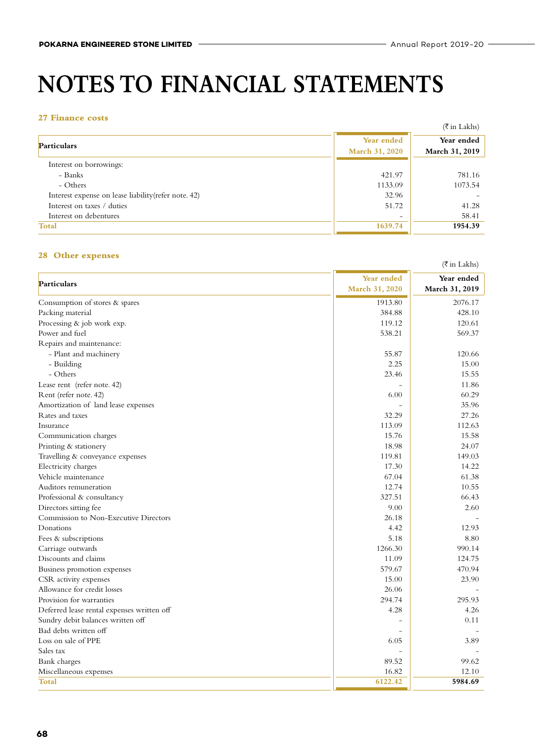#### **27 Finance costs**

| <i>AT</i> THRHICE COSLS                              |                                     | (₹ in Lakhs)                 |
|------------------------------------------------------|-------------------------------------|------------------------------|
| <b>Particulars</b>                                   | Year ended<br><b>March 31, 2020</b> | Year ended<br>March 31, 2019 |
| Interest on borrowings:                              |                                     |                              |
| – Banks                                              | 421.97                              | 781.16                       |
| - Others                                             | 1133.09                             | 1073.54                      |
| Interest expense on lease liability (refer note. 42) | 32.96                               |                              |
| Interest on taxes / duties                           | 51.72                               | 41.28                        |
| Interest on debentures                               |                                     | 58.41                        |
| Total                                                | 1639.74                             | 1954.39                      |

#### **28 Other expenses**

|                                            |                | (₹in Lakhs)    |
|--------------------------------------------|----------------|----------------|
|                                            | Year ended     | Year ended     |
| Particulars                                | March 31, 2020 | March 31, 2019 |
| Consumption of stores & spares             | 1913.80        | 2076.17        |
| Packing material                           | 384.88         | 428.10         |
| Processing & job work exp.                 | 119.12         | 120.61         |
| Power and fuel                             | 538.21         | 569.37         |
| Repairs and maintenance:                   |                |                |
| - Plant and machinery                      | 55.87          | 120.66         |
| - Building                                 | 2.25           | 15.00          |
| - Others                                   | 23.46          | 15.55          |
| Lease rent (refer note. 42)                |                | 11.86          |
| Rent (refer note. 42)                      | 6.00           | 60.29          |
| Amortization of land lease expenses        |                | 35.96          |
| Rates and taxes                            | 32.29          | 27.26          |
| Insurance                                  | 113.09         | 112.63         |
| Communication charges                      | 15.76          | 15.58          |
| Printing & stationery                      | 18.98          | 24.07          |
| Travelling & conveyance expenses           | 119.81         | 149.03         |
| Electricity charges                        | 17.30          | 14.22          |
| Vehicle maintenance                        | 67.04          | 61.38          |
| Auditors remuneration                      | 12.74          | 10.55          |
| Professional & consultancy                 | 327.51         | 66.43          |
| Directors sitting fee                      | 9.00           | 2.60           |
| Commission to Non-Executive Directors      | 26.18          |                |
| Donations                                  | 4.42           | 12.93          |
| Fees & subscriptions                       | 5.18           | 8.80           |
| Carriage outwards                          | 1266.30        | 990.14         |
| Discounts and claims                       | 11.09          | 124.75         |
| Business promotion expenses                | 579.67         | 470.94         |
| CSR activity expenses                      | 15.00          | 23.90          |
| Allowance for credit losses                | 26.06          |                |
| Provision for warranties                   | 294.74         | 295.93         |
| Deferred lease rental expenses written off | 4.28           | 4.26           |
| Sundry debit balances written off          |                | 0.11           |
| Bad debts written off                      |                |                |
| Loss on sale of PPE                        | 6.05           | 3.89           |
| Sales tax                                  |                |                |
| Bank charges                               | 89.52          | 99.62          |
| Miscellaneous expenses                     | 16.82          | 12.10          |
| Total                                      | 6122.42        | 5984.69        |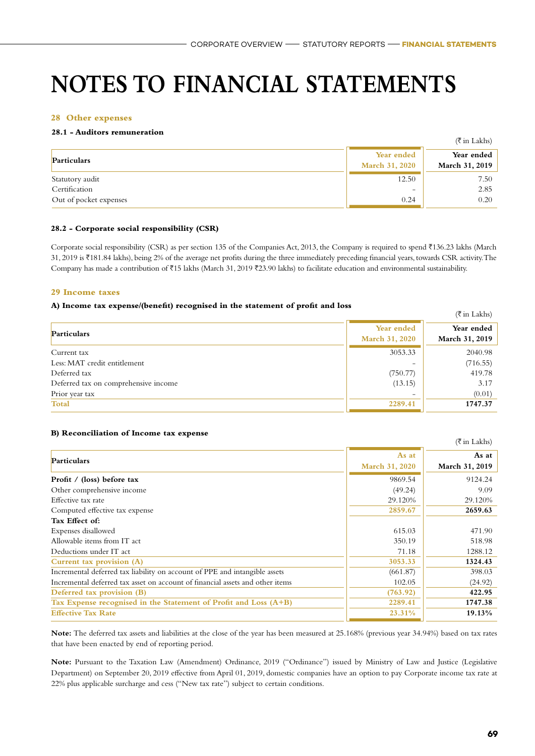#### **28 Other expenses**

#### **28.1 - Auditors remuneration**

|                        |                                     | (₹ in Lakhs)                 |
|------------------------|-------------------------------------|------------------------------|
| Particulars            | Year ended<br><b>March 31, 2020</b> | Year ended<br>March 31, 2019 |
| Statutory audit        | 12.50                               | 7.50                         |
| Certification          | $\overline{\phantom{0}}$            | 2.85                         |
| Out of pocket expenses | 0.24                                | 0.20                         |

#### **28.2 - Corporate social responsibility (CSR)**

Corporate social responsibility (CSR) as per section 135 of the Companies Act, 2013, the Company is required to spend ₹136.23 lakhs (March 31, 2019 is H181.84 lakhs), being 2% of the average net profits during the three immediately preceding financial years, towards CSR activity. The Company has made a contribution of  $\bar{\tau}$ 15 lakhs (March 31, 2019  $\bar{\tau}$ 23.90 lakhs) to facilitate education and environmental sustainability.

#### **29 Income taxes**

#### **A) Income tax expense/(benefit) recognised in the statement of profit and loss**

|                                      |                                     | $(\overline{\xi}$ in Lakhs)  |
|--------------------------------------|-------------------------------------|------------------------------|
| Particulars                          | Year ended<br><b>March 31, 2020</b> | Year ended<br>March 31, 2019 |
| Current tax                          | 3053.33                             | 2040.98                      |
| Less: MAT credit entitlement         | -                                   | (716.55)                     |
| Deferred tax                         | (750.77)                            | 419.78                       |
| Deferred tax on comprehensive income | (13.15)                             | 3.17                         |
| Prior year tax                       | $\overline{\phantom{0}}$            | (0.01)                       |
| Total                                | 2289.41                             | 1747.37                      |

#### **B) Reconciliation of Income tax expense**

|                                                                               |                       | $(\overline{\xi}$ in Lakhs) |
|-------------------------------------------------------------------------------|-----------------------|-----------------------------|
| <b>Particulars</b>                                                            | As at                 | As at                       |
|                                                                               | <b>March 31, 2020</b> | March 31, 2019              |
| Profit / (loss) before tax                                                    | 9869.54               | 9124.24                     |
| Other comprehensive income                                                    | (49.24)               | 9.09                        |
| Effective tax rate                                                            | 29.120%               | 29.120%                     |
| Computed effective tax expense                                                | 2859.67               | 2659.63                     |
| Tax Effect of:                                                                |                       |                             |
| Expenses disallowed                                                           | 615.03                | 471.90                      |
| Allowable items from IT act                                                   | 350.19                | 518.98                      |
| Deductions under IT act                                                       | 71.18                 | 1288.12                     |
| Current tax provision (A)                                                     | 3053.33               | 1324.43                     |
| Incremental deferred tax liability on account of PPE and intangible assets    | (661.87)              | 398.03                      |
| Incremental deferred tax asset on account of financial assets and other items | 102.05                | (24.92)                     |
| Deferred tax provision (B)                                                    | (763.92)              | 422.95                      |
| Tax Expense recognised in the Statement of Profit and Loss (A+B)              | 2289.41               | 1747.38                     |
| <b>Effective Tax Rate</b>                                                     | 23.31%                | 19.13%                      |

**Note:** The deferred tax assets and liabilities at the close of the year has been measured at 25.168% (previous year 34.94%) based on tax rates that have been enacted by end of reporting period.

**Note:** Pursuant to the Taxation Law (Amendment) Ordinance, 2019 ("Ordinance") issued by Ministry of Law and Justice (Legislative Department) on September 20, 2019 effective from April 01, 2019, domestic companies have an option to pay Corporate income tax rate at 22% plus applicable surcharge and cess ("New tax rate") subject to certain conditions.

 $\mathcal{L}$  in Lakhsberg in Lakhsberg in Lakhsberg in Lakhsberg in Lakhsberg in Lakhsberg in Lakhsberg in Lakhsberg in Lakhsberg in Lakhsberg in Lakhsberg in Lakhsberg in Lakhsberg in Lakhsberg in Lakhsberg in Lakhsberg in L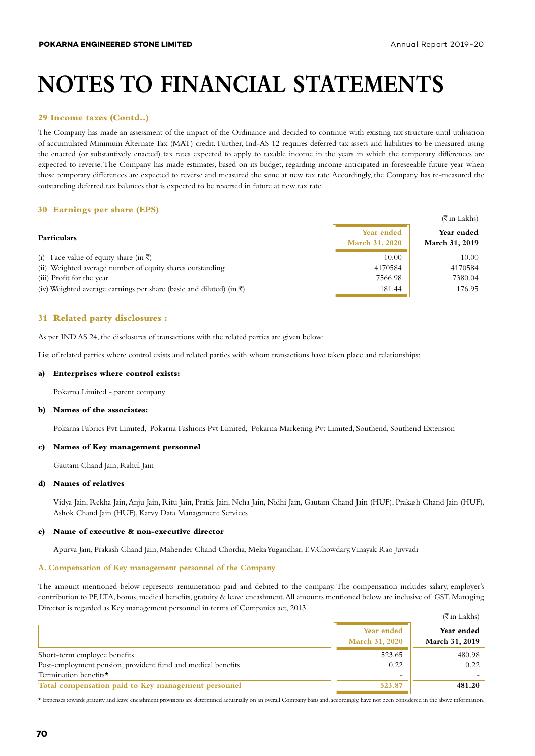#### **29 Income taxes (Contd..)**

The Company has made an assessment of the impact of the Ordinance and decided to continue with existing tax structure until utilisation of accumulated Minimum Alternate Tax (MAT) credit. Further, Ind-AS 12 requires deferred tax assets and liabilities to be measured using the enacted (or substantively enacted) tax rates expected to apply to taxable income in the years in which the temporary differences are expected to reverse. The Company has made estimates, based on its budget, regarding income anticipated in foreseeable future year when those temporary differences are expected to reverse and measured the same at new tax rate. Accordingly, the Company has re-measured the outstanding deferred tax balances that is expected to be reversed in future at new tax rate.

#### **30 Earnings per share (EPS)**

|                                                                                 |                                     | (₹ in Lakhs)                 |
|---------------------------------------------------------------------------------|-------------------------------------|------------------------------|
| Particulars                                                                     | Year ended<br><b>March 31, 2020</b> | Year ended<br>March 31, 2019 |
| (i) Face value of equity share (in $\bar{\zeta}$ )                              | 10.00                               | 10.00                        |
| (ii) Weighted average number of equity shares outstanding                       | 4170584                             | 4170584                      |
| (iii) Profit for the year                                                       | 7566.98                             | 7380.04                      |
| (iv) Weighted average earnings per share (basic and diluted) (in $\bar{\tau}$ ) | 181.44                              | 176.95                       |

#### **31 Related party disclosures :**

As per IND AS 24, the disclosures of transactions with the related parties are given below:

List of related parties where control exists and related parties with whom transactions have taken place and relationships:

#### **a) Enterprises where control exists:**

Pokarna Limited - parent company

#### **b) Names of the associates:**

Pokarna Fabrics Pvt Limited, Pokarna Fashions Pvt Limited, Pokarna Marketing Pvt Limited, Southend, Southend Extension

#### **c) Names of Key management personnel**

Gautam Chand Jain, Rahul Jain

#### **d) Names of relatives**

Vidya Jain, Rekha Jain, Anju Jain, Ritu Jain, Pratik Jain, Neha Jain, Nidhi Jain, Gautam Chand Jain (HUF), Prakash Chand Jain (HUF), Ashok Chand Jain (HUF), Karvy Data Management Services

#### **e) Name of executive & non-executive director**

Apurva Jain, Prakash Chand Jain, Mahender Chand Chordia, Meka Yugandhar, T.V.Chowdary, Vinayak Rao Juvvadi

#### **A. Compensation of Key management personnel of the Company**

The amount mentioned below represents remuneration paid and debited to the company. The compensation includes salary, employer's contribution to PF, LTA, bonus, medical benefits, gratuity & leave encashment. All amounts mentioned below are inclusive of GST. Managing Director is regarded as Key management personnel in terms of Companies act, 2013.  $\pm$  in Lakhs

|                                                              |                                     | (₹ in Lakhs)                 |
|--------------------------------------------------------------|-------------------------------------|------------------------------|
|                                                              | Year ended<br><b>March 31, 2020</b> | Year ended<br>March 31, 2019 |
| Short-term employee benefits                                 | 523.65                              | 480.98                       |
| Post-employment pension, provident fund and medical benefits | 0.22                                | 0.22                         |
| Termination benefits*                                        |                                     |                              |
| Total compensation paid to Key management personnel          | 523.87                              | 481.20                       |

\* Expenses towards gratuity and leave encashment provisions are determined actuarially on an overall Company basis and, accordingly, have not been considered in the above information.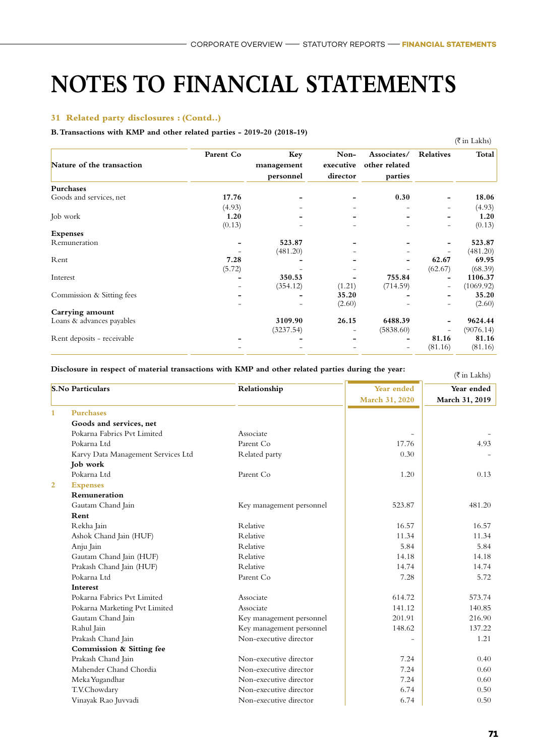#### **31 Related party disclosures : (Contd..)**

#### **B. Transactions with KMP and other related parties - 2019-20 (2018-19)**

|                            |           |            |           |               |                          | $(\overline{\xi}$ in Lakhs) |
|----------------------------|-----------|------------|-----------|---------------|--------------------------|-----------------------------|
|                            | Parent Co | Key        | Non-      | Associates/   | <b>Relatives</b>         | Total                       |
| Nature of the transaction  |           | management | executive | other related |                          |                             |
|                            |           | personnel  | director  | parties       |                          |                             |
| Purchases                  |           |            |           |               |                          |                             |
| Goods and services, net    | 17.76     |            |           | 0.30          |                          | 18.06                       |
|                            | (4.93)    |            |           |               | $\overline{\phantom{0}}$ | (4.93)                      |
| Job work                   | 1.20      |            |           |               |                          | 1.20                        |
|                            | (0.13)    |            |           |               | Ξ.                       | (0.13)                      |
| <b>Expenses</b>            |           |            |           |               |                          |                             |
| Remuneration               |           | 523.87     |           |               |                          | 523.87                      |
|                            |           | (481.20)   |           |               |                          | (481.20)                    |
| Rent                       | 7.28      |            |           |               | 62.67                    | 69.95                       |
|                            | (5.72)    |            |           |               | (62.67)                  | (68.39)                     |
| Interest                   |           | 350.53     |           | 755.84        |                          | 1106.37                     |
|                            |           | (354.12)   | (1.21)    | (714.59)      | $\overline{\phantom{0}}$ | (1069.92)                   |
| Commission & Sitting fees  |           |            | 35.20     |               |                          | 35.20                       |
|                            |           |            | (2.60)    |               |                          | (2.60)                      |
| Carrying amount            |           |            |           |               |                          |                             |
| Loans & advances payables  |           | 3109.90    | 26.15     | 6488.39       |                          | 9624.44                     |
|                            |           | (3237.54)  |           | (5838.60)     |                          | (9076.14)                   |
| Rent deposits - receivable |           |            |           |               | 81.16                    | 81.16                       |
|                            |           |            |           |               | (81.16)                  | (81.16)                     |
|                            |           |            |           |               |                          |                             |

### Disclosure in respect of material transactions with KMP and other related parties during the year:  $(\bar{\tau}_{\text{in}} | \text{akhe})$

|                | <b>S.No Particulars</b>            | Relationship             | Year ended     | Year ended     |
|----------------|------------------------------------|--------------------------|----------------|----------------|
|                |                                    |                          | March 31, 2020 | March 31, 2019 |
| $\mathbf{1}$   | <b>Purchases</b>                   |                          |                |                |
|                | Goods and services, net            |                          |                |                |
|                | Pokarna Fabrics Pvt Limited        | Associate                |                |                |
|                | Pokarna Ltd                        | Parent Co                | 17.76          | 4.93           |
|                | Karvy Data Management Services Ltd | Related party            | 0.30           |                |
|                | Job work                           |                          |                |                |
|                | Pokarna Ltd                        | Parent Co                | 1.20           | 0.13           |
| $\overline{2}$ | <b>Expenses</b>                    |                          |                |                |
|                | Remuneration                       |                          |                |                |
|                | Gautam Chand Jain                  | Key management personnel | 523.87         | 481.20         |
|                | Rent                               |                          |                |                |
|                |                                    | <b>R</b> elative         | 16.57          | 16.57          |
|                | Rekha Jain                         | <b>R</b> elative         | 11.34          | 11.34          |
|                | Ashok Chand Jain (HUF)             | <b>R</b> elative         | 5.84           | 5.84           |
|                | Anju Jain                          |                          |                |                |
|                | Gautam Chand Jain (HUF)            | <b>R</b> elative         | 14.18          | 14.18          |
|                | Prakash Chand Jain (HUF)           | <b>R</b> elative         | 14.74          | 14.74          |
|                | Pokarna Ltd                        | Parent Co                | 7.28           | 5.72           |
|                | Interest                           |                          |                |                |
|                | Pokarna Fabrics Pvt Limited        | Associate                | 614.72         | 573.74         |
|                | Pokarna Marketing Pvt Limited      | Associate                | 141.12         | 140.85         |
|                | Gautam Chand Jain                  | Key management personnel | 201.91         | 216.90         |
|                | Rahul Jain                         | Key management personnel | 148.62         | 137.22         |
|                | Prakash Chand Jain                 | Non-executive director   |                | 1.21           |
|                | Commission & Sitting fee           |                          |                |                |
|                | Prakash Chand Jain                 | Non-executive director   | 7.24           | 0.40           |
|                | Mahender Chand Chordia             | Non-executive director   | 7.24           | 0.60           |
|                | Meka Yugandhar                     | Non-executive director   | 7.24           | 0.60           |
|                | T.V.Chowdary                       | Non-executive director   | 6.74           | 0.50           |
|                | Vinayak Rao Juvvadi                | Non-executive director   | 6.74           | 0.50           |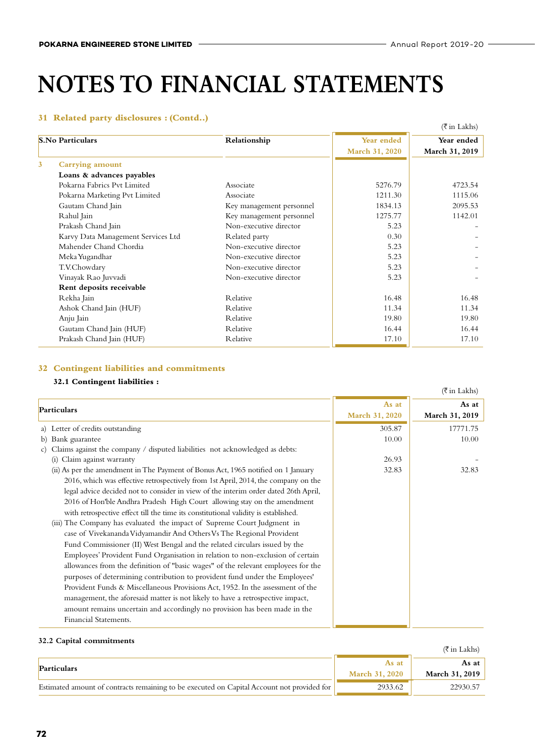#### **31 Related party disclosures : (Contd..)**

|                |                                    |                          |                | $(\overline{\xi}$ in Lakhs) |
|----------------|------------------------------------|--------------------------|----------------|-----------------------------|
|                | <b>S.No Particulars</b>            | Relationship             | Year ended     | Year ended                  |
|                |                                    |                          | March 31, 2020 | March 31, 2019              |
| $\overline{3}$ | Carrying amount                    |                          |                |                             |
|                | Loans & advances payables          |                          |                |                             |
|                | Pokarna Fabrics Pyt Limited        | Associate                | 5276.79        | 4723.54                     |
|                | Pokarna Marketing Pvt Limited      | Associate                | 1211.30        | 1115.06                     |
|                | Gautam Chand Jain                  | Key management personnel | 1834.13        | 2095.53                     |
|                | Rahul Jain                         | Key management personnel | 1275.77        | 1142.01                     |
|                | Prakash Chand Jain                 | Non-executive director   | 5.23           |                             |
|                | Karvy Data Management Services Ltd | Related party            | 0.30           |                             |
|                | Mahender Chand Chordia             | Non-executive director   | 5.23           |                             |
|                | Meka Yugandhar                     | Non-executive director   | 5.23           |                             |
|                | T.V.Chowdary                       | Non-executive director   | 5.23           |                             |
|                | Vinayak Rao Juvvadi                | Non-executive director   | 5.23           |                             |
|                | Rent deposits receivable           |                          |                |                             |
|                | Rekha Jain                         | Relative                 | 16.48          | 16.48                       |
|                | Ashok Chand Jain (HUF)             | Relative                 | 11.34          | 11.34                       |
|                | Anju Jain                          | Relative                 | 19.80          | 19.80                       |
|                | Gautam Chand Jain (HUF)            | Relative                 | 16.44          | 16.44                       |
|                | Prakash Chand Jain (HUF)           | Relative                 | 17.10          | 17.10                       |

#### **32 Contingent liabilities and commitments**

#### **32.1 Contingent liabilities :**

|                                                                                     |                | $(\overline{\xi}$ in Lakhs) |
|-------------------------------------------------------------------------------------|----------------|-----------------------------|
| Particulars                                                                         | As at          | As at                       |
|                                                                                     | March 31, 2020 | March 31, 2019              |
| a) Letter of credits outstanding                                                    | 305.87         | 17771.75                    |
| b) Bank guarantee                                                                   | 10.00          | 10.00                       |
| Claims against the company / disputed liabilities not acknowledged as debts:<br>C)  |                |                             |
| Claim against warranty<br>(i)                                                       | 26.93          |                             |
| (ii) As per the amendment in The Payment of Bonus Act, 1965 notified on 1 January   | 32.83          | 32.83                       |
| 2016, which was effective retrospectively from 1st April, 2014, the company on the  |                |                             |
| legal advice decided not to consider in view of the interim order dated 26th April, |                |                             |
| 2016 of Hon'ble Andhra Pradesh High Court allowing stay on the amendment            |                |                             |
| with retrospective effect till the time its constitutional validity is established. |                |                             |
| (iii) The Company has evaluated the impact of Supreme Court Judgment in             |                |                             |
| case of Vivekananda Vidyamandir And Others Vs The Regional Provident                |                |                             |
| Fund Commissioner (II) West Bengal and the related circulars issued by the          |                |                             |
| Employees' Provident Fund Organisation in relation to non-exclusion of certain      |                |                             |
| allowances from the definition of "basic wages" of the relevant employees for the   |                |                             |
| purposes of determining contribution to provident fund under the Employees'         |                |                             |
| Provident Funds & Miscellaneous Provisions Act, 1952. In the assessment of the      |                |                             |
| management, the aforesaid matter is not likely to have a retrospective impact,      |                |                             |
| amount remains uncertain and accordingly no provision has been made in the          |                |                             |
| Financial Statements.                                                               |                |                             |

#### **32.2 Capital commitments**

|                                                                                            |                       | (₹in Lakhs)           |
|--------------------------------------------------------------------------------------------|-----------------------|-----------------------|
| Particulars                                                                                | As at                 | As at                 |
|                                                                                            | <b>March 31, 2020</b> | <b>March 31, 2019</b> |
| Estimated amount of contracts remaining to be executed on Capital Account not provided for | 2933.62               | 22930.57              |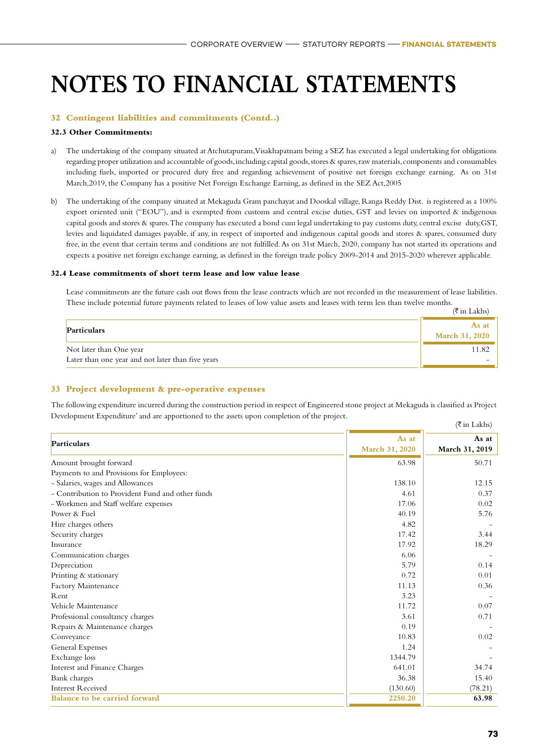#### **32 Contingent liabilities and commitments (Contd..)**

#### **32.3 Other Commitments:**

- a) The undertaking of the company situated at Atchutapuram, Visakhapatnam being a SEZ has executed a legal undertaking for obligations regarding proper utilization and accountable of goods, including capital goods, stores & spares, raw materials, components and consumables including fuels, imported or procured duty free and regarding achievement of positive net foreign exchange earning. As on 31st March,2019, the Company has a positive Net Foreign Exchange Earning, as defined in the SEZ Act,2005
- b) The undertaking of the company situated at Mekaguda Gram panchayat and Dooskal village, Ranga Reddy Dist. is registered as a 100% export oriented unit ("EOU"), and is exempted from customs and central excise duties, GST and levies on imported & indigenous capital goods and stores & spares. The company has executed a bond cum legal undertaking to pay customs duty, central excise duty,GST, levies and liquidated damages payable, if any, in respect of imported and indigenous capital goods and stores & spares, consumed duty free, in the event that certain terms and conditions are not fulfilled. As on 31st March, 2020, company has not started its operations and expects a positive net foreign exchange earning, as defined in the foreign trade policy 2009-2014 and 2015-2020 wherever applicable.

#### **32.4 Lease commitments of short term lease and low value lease**

Lease commitments are the future cash out flows from the lease contracts which are not recorded in the measurement of lease liabilities. These include potential future payments related to leases of low value assets and leases with term less than twelve months.  $(\overline{\xi}$  in Lakhs)

|                                                                              | $(5 \text{ in Lakhs})$         |
|------------------------------------------------------------------------------|--------------------------------|
| <b>Particulars</b>                                                           | As at<br><b>March 31, 2020</b> |
| Not later than One year<br>Later than one year and not later than five years |                                |
|                                                                              |                                |

#### **33 Project development & pre-operative expenses**

The following expenditure incurred during the construction period in respect of Engineered stone project at Mekaguda is classified as Project Development Expenditure' and are apportioned to the assets upon completion of the project.  $(\bar{\bar{\tau}}$  in Lakhs)

| Particulars                                      | As at          | As at          |
|--------------------------------------------------|----------------|----------------|
|                                                  | March 31, 2020 | March 31, 2019 |
| Amount brought forward                           | 63.98          | 50.71          |
| Payments to and Provisions for Employees:        |                |                |
| - Salaries, wages and Allowances                 | 138.10         | 12.15          |
| - Contribution to Provident Fund and other funds | 4.61           | 0.37           |
| - Workmen and Staff welfare expenses             | 17.06          | 0.02           |
| Power & Fuel                                     | 40.19          | 5.76           |
| Hire charges others                              | 4.82           |                |
| Security charges                                 | 17.42          | 3.44           |
| Insurance                                        | 17.92          | 18.29          |
| Communication charges                            | 6.06           |                |
| Depreciation                                     | 5.79           | 0.14           |
| Printing & stationary                            | 0.72           | 0.01           |
| Factory Maintenance                              | 11.13          | 0.36           |
| Rent                                             | 3.23           |                |
| Vehicle Maintenance                              | 11.72          | 0.07           |
| Professional consultancy charges                 | 3.61           | 0.71           |
| Repairs & Maintenance charges                    | 0.19           |                |
| Conveyance                                       | 10.83          | 0.02           |
| General Expenses                                 | 1.24           |                |
| Exchange loss                                    | 1344.79        |                |
| Interest and Finance Charges                     | 641.01         | 34.74          |
| Bank charges                                     | 36.38          | 15.40          |
| <b>Interest Received</b>                         | (130.60)       | (78.21)        |
| Balance to be carried forward                    | 2250.20        | 63.98          |
|                                                  |                |                |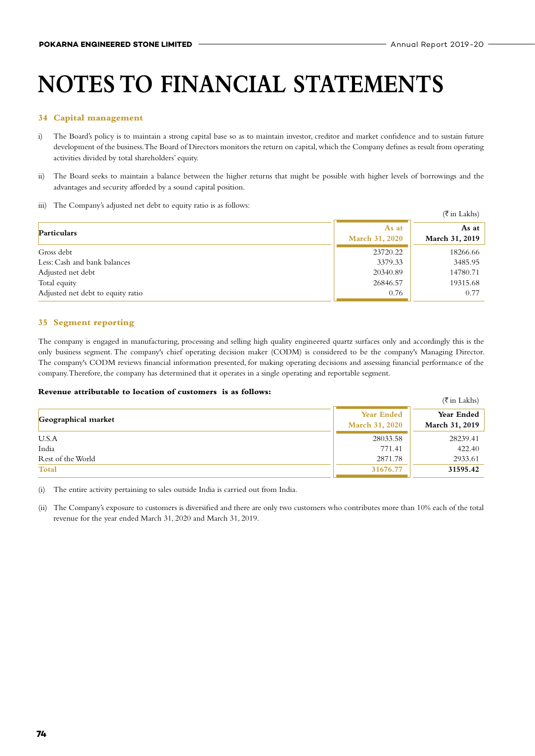#### **34 Capital management**

- i) The Board's policy is to maintain a strong capital base so as to maintain investor, creditor and market confidence and to sustain future development of the business. The Board of Directors monitors the return on capital, which the Company defines as result from operating activities divided by total shareholders' equity.
- ii) The Board seeks to maintain a balance between the higher returns that might be possible with higher levels of borrowings and the advantages and security afforded by a sound capital position.
- iii) The Company's adjusted net debt to equity ratio is as follows:

| and the companies of the companies of the companies of the companies of the companies of the companies of the |                                | $(\overline{\xi}$ in Lakhs) |
|---------------------------------------------------------------------------------------------------------------|--------------------------------|-----------------------------|
| Particulars                                                                                                   | As at<br><b>March 31, 2020</b> | As at<br>March 31, 2019     |
| Gross debt                                                                                                    | 23720.22                       | 18266.66                    |
| Less: Cash and bank balances                                                                                  | 3379.33                        | 3485.95                     |
| Adjusted net debt                                                                                             | 20340.89                       | 14780.71                    |
| Total equity                                                                                                  | 26846.57                       | 19315.68                    |
| Adjusted net debt to equity ratio                                                                             | 0.76                           | 0.77                        |

#### **35 Segment reporting**

The company is engaged in manufacturing, processing and selling high quality engineered quartz surfaces only and accordingly this is the only business segment. The company's chief operating decision maker (CODM) is considered to be the company's Managing Director. The company's CODM reviews financial information presented, for making operating decisions and assessing financial performance of the company. Therefore, the company has determined that it operates in a single operating and reportable segment.

#### **Revenue attributable to location of customers is as follows:**

|                     |                                     | (₹ in Lakhs)                 |
|---------------------|-------------------------------------|------------------------------|
| Geographical market | <b>Year Ended</b><br>March 31, 2020 | Year Ended<br>March 31, 2019 |
| U.S.A               | 28033.58                            | 28239.41                     |
| India               | 771.41                              | 422.40                       |
| Rest of the World   | 2871.78                             | 2933.61                      |
| <b>Total</b>        | 31676.77                            | 31595.42                     |

(i) The entire activity pertaining to sales outside India is carried out from India.

(ii) The Company's exposure to customers is diversified and there are only two customers who contributes more than 10% each of the total revenue for the year ended March 31, 2020 and March 31, 2019.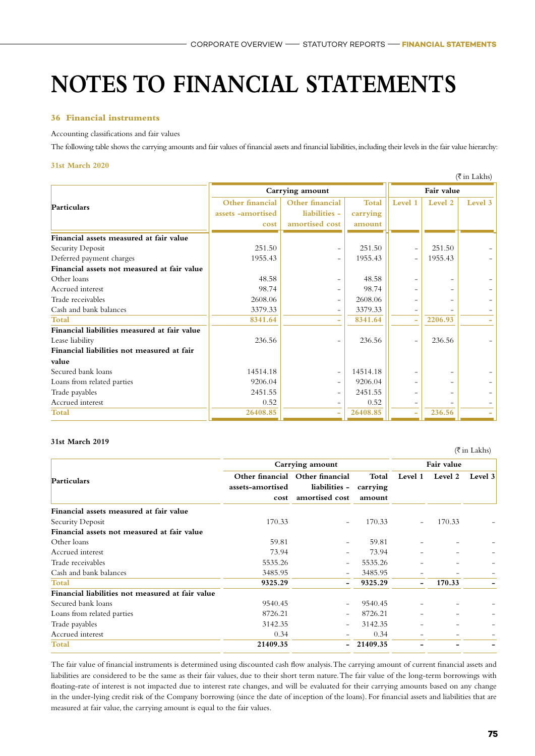#### **36 Financial instruments**

#### Accounting classifications and fair values

The following table shows the carrying amounts and fair values of financial assets and financial liabilities, including their levels in the fair value hierarchy:

#### **31st March 2020**

|                                              |                                              |                                                    |                                    |                          |         | $(\overline{\xi}$ in Lakhs) |
|----------------------------------------------|----------------------------------------------|----------------------------------------------------|------------------------------------|--------------------------|---------|-----------------------------|
|                                              | Carrying amount                              |                                                    |                                    | Fair value               |         |                             |
| Particulars                                  | Other financial<br>assets -amortised<br>cost | Other financial<br>liabilities -<br>amortised cost | <b>Total</b><br>carrying<br>amount | Level 1                  | Level 2 | Level 3                     |
| Financial assets measured at fair value      |                                              |                                                    |                                    |                          |         |                             |
| Security Deposit                             | 251.50                                       | $\overline{\phantom{m}}$                           | 251.50                             | $\qquad \qquad -$        | 251.50  |                             |
| Deferred payment charges                     | 1955.43                                      | $\overline{\phantom{m}}$                           | 1955.43                            | $\overline{a}$           | 1955.43 |                             |
| Financial assets not measured at fair value  |                                              |                                                    |                                    |                          |         |                             |
| Other loans                                  | 48.58                                        | Ξ.                                                 | 48.58                              | $\overline{\phantom{0}}$ |         |                             |
| Accrued interest                             | 98.74                                        | -                                                  | 98.74                              |                          |         |                             |
| Trade receivables                            | 2608.06                                      | $\overline{\phantom{m}}$                           | 2608.06                            |                          |         |                             |
| Cash and bank balances                       | 3379.33                                      | $\overline{\phantom{0}}$                           | 3379.33                            |                          |         |                             |
| Total                                        | 8341.64                                      | ٠                                                  | 8341.64                            | ۰                        | 2206.93 |                             |
| Financial liabilities measured at fair value |                                              |                                                    |                                    |                          |         |                             |
| Lease liability                              | 236.56                                       | $\overline{\phantom{0}}$                           | 236.56                             |                          | 236.56  |                             |
| Financial liabilities not measured at fair   |                                              |                                                    |                                    |                          |         |                             |
| value                                        |                                              |                                                    |                                    |                          |         |                             |
| Secured bank loans                           | 14514.18                                     | $\overline{\phantom{m}}$                           | 14514.18                           |                          |         |                             |
| Loans from related parties                   | 9206.04                                      | $\overline{\phantom{m}}$                           | 9206.04                            |                          |         |                             |
| Trade payables                               | 2451.55                                      | -                                                  | 2451.55                            |                          |         |                             |
| Accrued interest                             | 0.52                                         | -                                                  | 0.52                               |                          |         |                             |
| <b>Total</b>                                 | 26408.85                                     | ۰                                                  | 26408.85                           |                          | 236.56  |                             |

#### **31st March 2019**

#### **Particulars Carrying amount Fair value Other financial Other financial assets-amortised cost liabilities amortised cost Total carrying amount Level 1 Level 2 Level 3 Financial assets measured at fair value** Security Deposit 170.33 - 170.33 - 170.33 **Financial assets not measured at fair value** Other loans 59.81 - 59.81 - - - Accrued interest 73.94 - 73.94 - 73.94 Trade receivables 5535.26 - 5535.26 - - - Cash and bank balances and the set of the set of the set of the set of the set of the set of the set of the set of the set of the set of the set of the set of the set of the set of the set of the set of the set of the set **Total 9325.29 - 9325.29 - 170.33 - Financial liabilities not measured at fair value** Secured bank loans 19540.45 - 9540.45 - 9540.45 - 9540.45 Loans from related parties and the state of the state of the state of the state of the state of the state of the state of the state of the state of the state of the state of the state of the state of the state of the state Trade payables 2142.35 - 3142.35 Accrued interest  $0.34$  -  $0.34$  - 0.34 **Total 21409.35 - 21409.35 - - -**

The fair value of financial instruments is determined using discounted cash flow analysis. The carrying amount of current financial assets and liabilities are considered to be the same as their fair values, due to their short term nature. The fair value of the long-term borrowings with floating-rate of interest is not impacted due to interest rate changes, and will be evaluated for their carrying amounts based on any change in the under-lying credit risk of the Company borrowing (since the date of inception of the loans). For financial assets and liabilities that are measured at fair value, the carrying amount is equal to the fair values.

 $(\overline{\mathfrak{k}}$  in Lakhs)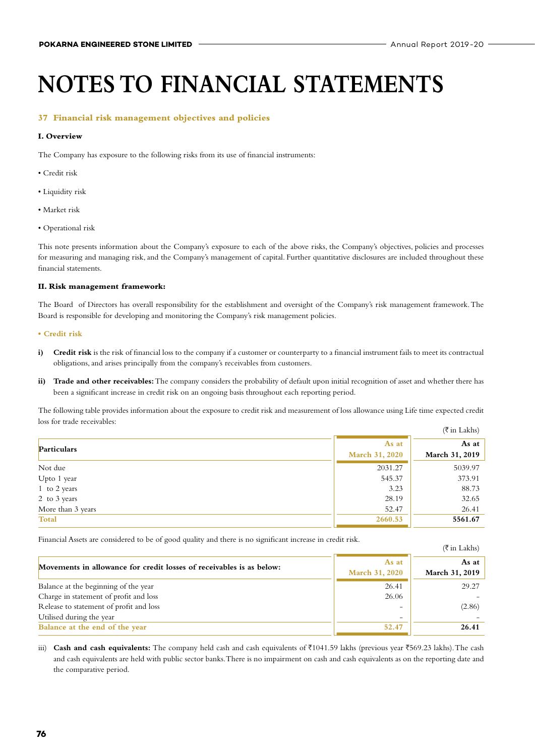$(\bar{\bar{\tau}})$  in Lakhs)

### **NOTES TO FINANCIAL STATEMENTS**

#### **37 Financial risk management objectives and policies**

#### **I. Overview**

The Company has exposure to the following risks from its use of financial instruments:

- Credit risk
- Liquidity risk
- Market risk
- Operational risk

This note presents information about the Company's exposure to each of the above risks, the Company's objectives, policies and processes for measuring and managing risk, and the Company's management of capital. Further quantitative disclosures are included throughout these financial statements.

#### **II. Risk management framework:**

The Board of Directors has overall responsibility for the establishment and oversight of the Company's risk management framework. The Board is responsible for developing and monitoring the Company's risk management policies.

#### **• Credit risk**

- **i) Credit risk** is the risk of financial loss to the company if a customer or counterparty to a financial instrument fails to meet its contractual obligations, and arises principally from the company's receivables from customers.
- ii) Trade and other receivables: The company considers the probability of default upon initial recognition of asset and whether there has been a significant increase in credit risk on an ongoing basis throughout each reporting period.

The following table provides information about the exposure to credit risk and measurement of loss allowance using Life time expected credit loss for trade receivables:  $(\bar{\bar{\tau}}$  in Lakhs)

|                   |                         | $\left(\right)$ in Lands |
|-------------------|-------------------------|--------------------------|
| Particulars       | As at<br>March 31, 2020 | As at<br>March 31, 2019  |
| Not due           | 2031.27                 | 5039.97                  |
| Upto 1 year       | 545.37                  | 373.91                   |
| 1 to 2 years      | 3.23                    | 88.73                    |
| 2 to 3 years      | 28.19                   | 32.65                    |
| More than 3 years | 52.47                   | 26.41                    |
| <b>Total</b>      | 2660.53                 | 5561.67                  |

Financial Assets are considered to be of good quality and there is no significant increase in credit risk.

|                                                                      |                                | $\cdots$                        |
|----------------------------------------------------------------------|--------------------------------|---------------------------------|
| Movements in allowance for credit losses of receivables is as below: | As at<br><b>March 31, 2020</b> | As at $\vert$<br>March 31, 2019 |
| Balance at the beginning of the year                                 | 26.41                          | 29.27                           |
| Charge in statement of profit and loss                               | 26.06                          |                                 |
| Release to statement of profit and loss                              | $\overline{\phantom{0}}$       | (2.86)                          |
| Utilised during the year                                             | $\overline{\phantom{m}}$       |                                 |
| Balance at the end of the year                                       | 52.47                          | 26.41                           |

iii) **Cash and cash equivalents:** The company held cash and cash equivalents of ₹1041.59 lakhs (previous year ₹569.23 lakhs). The cash and cash equivalents are held with public sector banks. There is no impairment on cash and cash equivalents as on the reporting date and the comparative period.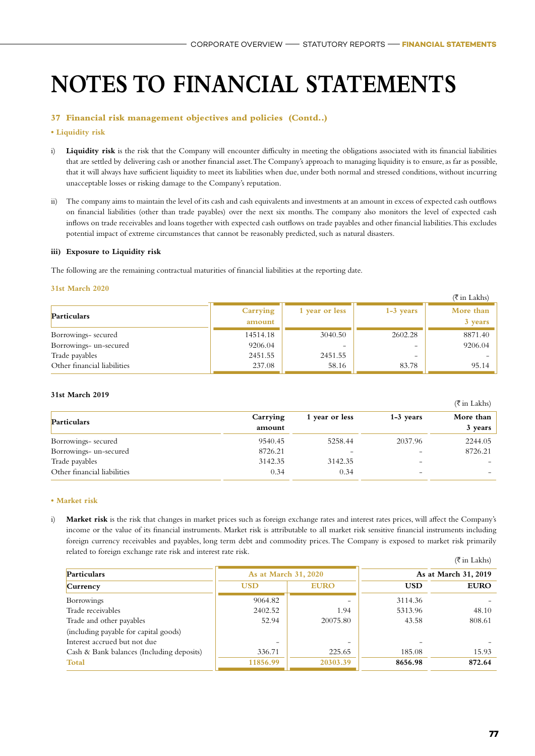#### **37 Financial risk management objectives and policies (Contd..)**

#### **• Liquidity risk**

- i) **Liquidity risk** is the risk that the Company will encounter difficulty in meeting the obligations associated with its financial liabilities that are settled by delivering cash or another financial asset. The Company's approach to managing liquidity is to ensure, as far as possible, that it will always have sufficient liquidity to meet its liabilities when due, under both normal and stressed conditions, without incurring unacceptable losses or risking damage to the Company's reputation.
- ii) The company aims to maintain the level of its cash and cash equivalents and investments at an amount in excess of expected cash outflows on financial liabilities (other than trade payables) over the next six months. The company also monitors the level of expected cash inflows on trade receivables and loans together with expected cash outflows on trade payables and other financial liabilities. This excludes potential impact of extreme circumstances that cannot be reasonably predicted, such as natural disasters.

#### **iii) Exposure to Liquidity risk**

The following are the remaining contractual maturities of financial liabilities at the reporting date.

#### **31st March 2020**

|                             |                    |                          |             | $(\overline{\xi}$ in Lakhs) |
|-----------------------------|--------------------|--------------------------|-------------|-----------------------------|
| <b>Particulars</b>          | Carrying<br>amount | 1 year or less           | $1-3$ years | More than<br>3 years        |
| Borrowings-secured          | 14514.18           | 3040.50                  | 2602.28     | 8871.40                     |
| Borrowings- un-secured      | 9206.04            | $\overline{\phantom{0}}$ |             | 9206.04                     |
| Trade payables              | 2451.55            | 2451.55                  |             |                             |
| Other financial liabilities | 237.08             | 58.16                    | 83.78       | 95.14                       |

#### **31st March 2019**

| <b>Particulars</b>          | Carrying<br>amount | 1 year or less | 1-3 years | More than<br>3 years |
|-----------------------------|--------------------|----------------|-----------|----------------------|
| Borrowings-secured          | 9540.45            | 5258.44        | 2037.96   | 2244.05              |
| Borrowings- un-secured      | 8726.21            | -              |           | 8726.21              |
| Trade payables              | 3142.35            | 3142.35        | -         |                      |
| Other financial liabilities | 0.34               | 0.34           |           |                      |

#### **• Market risk**

i) **Market risk** is the risk that changes in market prices such as foreign exchange rates and interest rates prices, will affect the Company's income or the value of its financial instruments. Market risk is attributable to all market risk sensitive financial instruments including foreign currency receivables and payables, long term debt and commodity prices. The Company is exposed to market risk primarily related to foreign exchange rate risk and interest rate risk.

|                                           |                          |             |            | $(\overline{\xi}$ in Lakhs) |
|-------------------------------------------|--------------------------|-------------|------------|-----------------------------|
| <b>Particulars</b>                        | As at March 31, 2020     |             |            | As at March 31, 2019        |
| Currency                                  | <b>USD</b>               | <b>EURO</b> | <b>USD</b> | <b>EURO</b>                 |
| <b>Borrowings</b>                         | 9064.82                  |             | 3114.36    |                             |
| Trade receivables                         | 2402.52                  | 1.94        | 5313.96    | 48.10                       |
| Trade and other payables                  | 52.94                    | 20075.80    | 43.58      | 808.61                      |
| (including payable for capital goods)     |                          |             |            |                             |
| Interest accrued but not due              | $\overline{\phantom{0}}$ |             |            |                             |
| Cash & Bank balances (Including deposits) | 336.71                   | 225.65      | 185.08     | 15.93                       |
| <b>Total</b>                              | 11856.99                 | 20303.39    | 8656.98    | 872.64                      |

 $($ ₹ in Lakhs)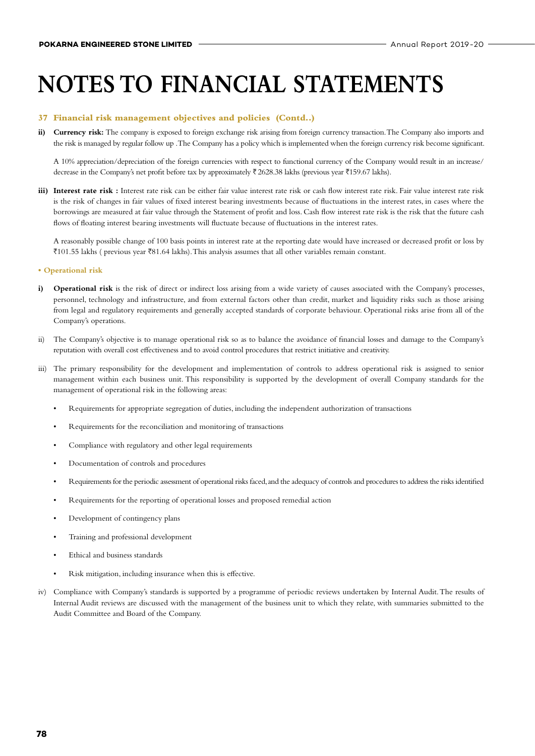#### **37 Financial risk management objectives and policies (Contd..)**

ii) Currency risk: The company is exposed to foreign exchange risk arising from foreign currency transaction. The Company also imports and the risk is managed by regular follow up . The Company has a policy which is implemented when the foreign currency risk become significant.

A 10% appreciation/depreciation of the foreign currencies with respect to functional currency of the Company would result in an increase/ decrease in the Company's net profit before tax by approximately  $\bar{\tau}$  2628.38 lakhs (previous year  $\bar{\tau}$ 159.67 lakhs).

iii) Interest rate risk : Interest rate risk can be either fair value interest rate risk or cash flow interest rate risk. Fair value interest rate risk is the risk of changes in fair values of fixed interest bearing investments because of fluctuations in the interest rates, in cases where the borrowings are measured at fair value through the Statement of profit and loss. Cash flow interest rate risk is the risk that the future cash flows of floating interest bearing investments will fluctuate because of fluctuations in the interest rates.

A reasonably possible change of 100 basis points in interest rate at the reporting date would have increased or decreased profit or loss by  $\bar{\xi}$ 101.55 lakhs ( previous year  $\bar{\xi}$ 81.64 lakhs). This analysis assumes that all other variables remain constant.

#### **• Operational risk**

- i) **Operational risk** is the risk of direct or indirect loss arising from a wide variety of causes associated with the Company's processes, personnel, technology and infrastructure, and from external factors other than credit, market and liquidity risks such as those arising from legal and regulatory requirements and generally accepted standards of corporate behaviour. Operational risks arise from all of the Company's operations.
- ii) The Company's objective is to manage operational risk so as to balance the avoidance of financial losses and damage to the Company's reputation with overall cost effectiveness and to avoid control procedures that restrict initiative and creativity.
- iii) The primary responsibility for the development and implementation of controls to address operational risk is assigned to senior management within each business unit. This responsibility is supported by the development of overall Company standards for the management of operational risk in the following areas:
	- Requirements for appropriate segregation of duties, including the independent authorization of transactions
	- Requirements for the reconciliation and monitoring of transactions
	- Compliance with regulatory and other legal requirements
	- Documentation of controls and procedures
	- Requirements for the periodic assessment of operational risks faced, and the adequacy of controls and procedures to address the risks identified
	- Requirements for the reporting of operational losses and proposed remedial action
	- Development of contingency plans
	- Training and professional development
	- Ethical and business standards
	- Risk mitigation, including insurance when this is effective.
- iv) Compliance with Company's standards is supported by a programme of periodic reviews undertaken by Internal Audit. The results of Internal Audit reviews are discussed with the management of the business unit to which they relate, with summaries submitted to the Audit Committee and Board of the Company.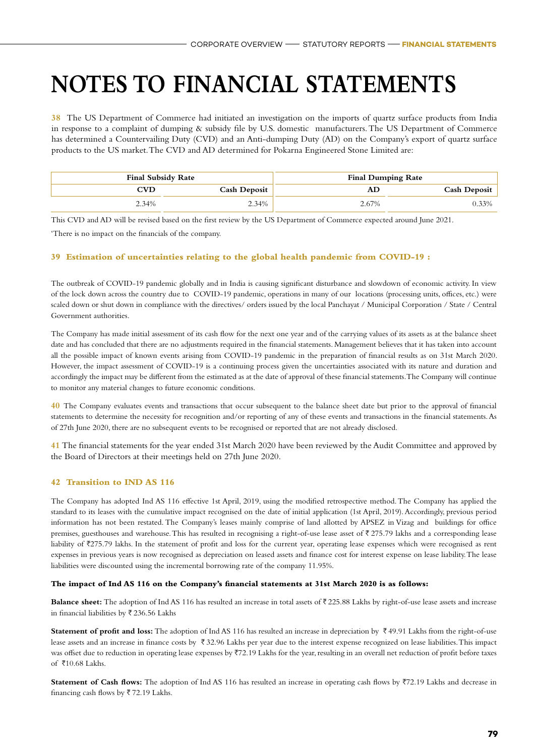**38** The US Department of Commerce had initiated an investigation on the imports of quartz surface products from India in response to a complaint of dumping & subsidy file by U.S. domestic manufacturers. The US Department of Commerce has determined a Countervailing Duty (CVD) and an Anti-dumping Duty (AD) on the Company's export of quartz surface products to the US market. The CVD and AD determined for Pokarna Engineered Stone Limited are:

| <b>Final Subsidy Rate</b> |                     |       | <b>Final Dumping Rate</b> |
|---------------------------|---------------------|-------|---------------------------|
| CVD                       | <b>Cash Deposit</b> | AD    | <b>Cash Deposit</b>       |
| 2.34%                     | 2.34%               | 2.67% | 0.33%                     |

This CVD and AD will be revised based on the first review by the US Department of Commerce expected around June 2021. 'There is no impact on the financials of the company.

#### **39 Estimation of uncertainties relating to the global health pandemic from COVID-19 :**

The outbreak of COVID-19 pandemic globally and in India is causing significant disturbance and slowdown of economic activity. In view of the lock down across the country due to COVID-19 pandemic, operations in many of our locations (processing units, offices, etc.) were scaled down or shut down in compliance with the directives/ orders issued by the local Panchayat / Municipal Corporation / State / Central Government authorities.

The Company has made initial assessment of its cash flow for the next one year and of the carrying values of its assets as at the balance sheet date and has concluded that there are no adjustments required in the financial statements. Management believes that it has taken into account all the possible impact of known events arising from COVID-19 pandemic in the preparation of financial results as on 31st March 2020. However, the impact assessment of COVID-19 is a continuing process given the uncertainties associated with its nature and duration and accordingly the impact may be different from the estimated as at the date of approval of these financial statements. The Company will continue to monitor any material changes to future economic conditions.

**40** The Company evaluates events and transactions that occur subsequent to the balance sheet date but prior to the approval of financial statements to determine the necessity for recognition and/or reporting of any of these events and transactions in the financial statements. As of 27th June 2020, there are no subsequent events to be recognised or reported that are not already disclosed.

**41** The financial statements for the year ended 31st March 2020 have been reviewed by the Audit Committee and approved by the Board of Directors at their meetings held on 27th June 2020.

#### **42 Transition to IND AS 116**

The Company has adopted Ind AS 116 effective 1st April, 2019, using the modified retrospective method. The Company has applied the standard to its leases with the cumulative impact recognised on the date of initial application (1st April, 2019). Accordingly, previous period information has not been restated. The Company's leases mainly comprise of land allotted by APSEZ in Vizag and buildings for office premises, guesthouses and warehouse. This has resulted in recognising a right-of-use lease asset of  $\bar{\tau}$  275.79 lakhs and a corresponding lease liability of ₹275.79 lakhs. In the statement of profit and loss for the current year, operating lease expenses which were recognised as rent expenses in previous years is now recognised as depreciation on leased assets and finance cost for interest expense on lease liability. The lease liabilities were discounted using the incremental borrowing rate of the company 11.95%.

#### **The impact of Ind AS 116 on the Company's financial statements at 31st March 2020 is as follows:**

**Balance sheet:** The adoption of Ind AS 116 has resulted an increase in total assets of ₹225.88 Lakhs by right-of-use lease assets and increase in financial liabilities by  $\bar{\tau}$  236.56 Lakhs

**Statement of profit and loss:** The adoption of Ind AS 116 has resulted an increase in depreciation by  $\bar{\tau}$  49.91 Lakhs from the right-of-use lease assets and an increase in finance costs by  $\bar{\tau}$  32.96 Lakhs per year due to the interest expense recognized on lease liabilities. This impact was offset due to reduction in operating lease expenses by ₹72.19 Lakhs for the year, resulting in an overall net reduction of profit before taxes of  $\bar{x}$ 10.68 Lakhs.

**Statement of Cash flows:** The adoption of Ind AS 116 has resulted an increase in operating cash flows by  $72.19$  Lakhs and decrease in financing cash flows by  $\overline{5}$  72.19 Lakhs.